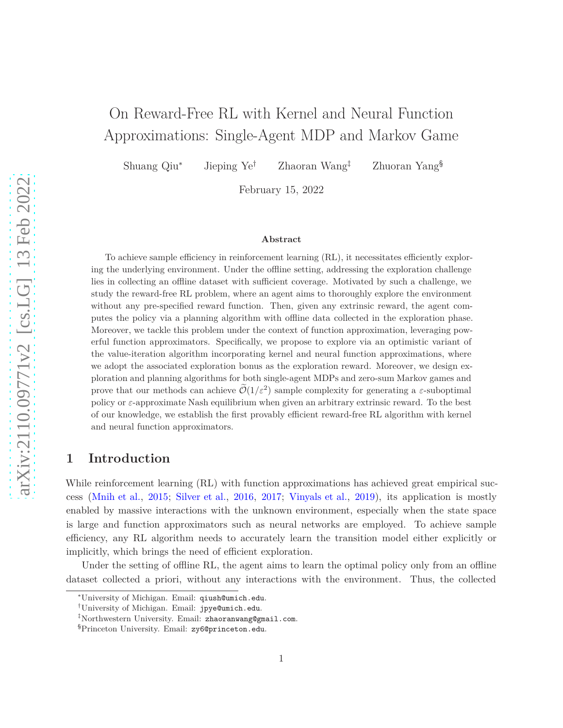# On Reward-Free RL with Kernel and Neural Function Approximations: Single-Agent MDP and Markov Game

Shuang Qiu<sup>∗</sup> Jieping Ye† Zhaoran Wang‡ Zhuoran Yang§

February 15, 2022

#### **Abstract**

To achieve sample efficiency in reinforcement learning (RL), it necessitates efficiently exploring the underlying environment. Under the offline setting, addressing the exploration challenge lies in collecting an offline dataset with sufficient coverage. Motivated by such a challenge, we study the reward-free RL problem, where an agent aims to thoroughly explore the environment without any pre-specified reward function. Then, given any extrinsic reward, the agent computes the policy via a planning algorithm with offline data collected in the exploration phase. Moreover, we tackle this problem under the context of function approximation, leveraging powerful function approximators. Specifically, we propose to explore via an optimistic variant of the value-iteration algorithm incorporating kernel and neural function approximations, where we adopt the associated exploration bonus as the exploration reward. Moreover, we design exploration and planning algorithms for both single-agent MDPs and zero-sum Markov games and prove that our methods can achieve  $\tilde{\mathcal{O}}(1/\varepsilon^2)$  sample complexity for generating a  $\varepsilon$ -suboptimal policy or *ε*-approximate Nash equilibrium when given an arbitrary extrinsic reward. To the best of our knowledge, we establish the first provably efficient reward-free RL algorithm with kernel and neural function approximators.

# **1 Introduction**

While reinforcement learning (RL) with function approximations has achieved great empirical success [\(Mnih et al.,](#page-18-0) [2015](#page-18-0); [Silver et al.](#page-19-0), [2016](#page-19-0), [2017](#page-19-1); [Vinyals et al.,](#page-19-2) [2019\)](#page-19-2), its application is mostly enabled by massive interactions with the unknown environment, especially when the state space is large and function approximators such as neural networks are employed. To achieve sample efficiency, any RL algorithm needs to accurately learn the transition model either explicitly or implicitly, which brings the need of efficient exploration.

Under the setting of offline RL, the agent aims to learn the optimal policy only from an offline dataset collected a priori, without any interactions with the environment. Thus, the collected

<sup>∗</sup>University of Michigan. Email: qiush@umich.edu.

<sup>†</sup>University of Michigan. Email: jpye@umich.edu.

<sup>‡</sup>Northwestern University. Email: zhaoranwang@gmail.com.

<sup>§</sup>Princeton University. Email: zy6@princeton.edu.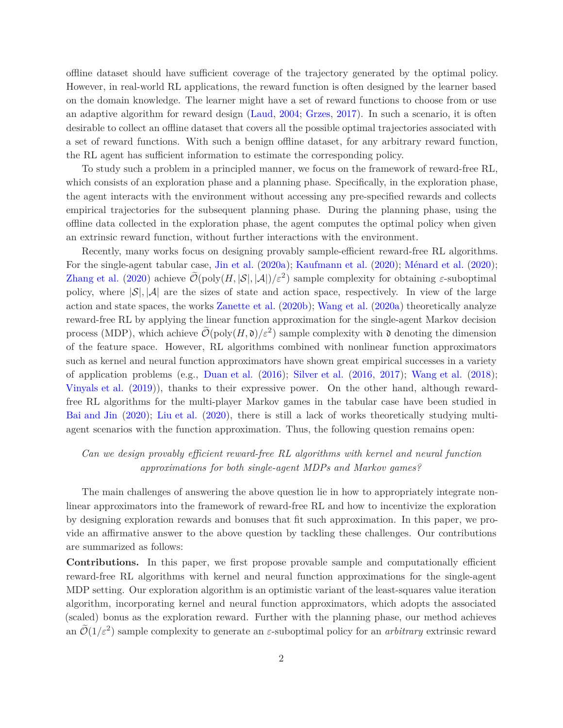offline dataset should have sufficient coverage of the trajectory generated by the optimal policy. However, in real-world RL applications, the reward function is often designed by the learner based on the domain knowledge. The learner might have a set of reward functions to choose from or use an adaptive algorithm for reward design [\(Laud](#page-18-1), [2004;](#page-18-1) [Grzes](#page-18-2), [2017](#page-18-2)). In such a scenario, it is often desirable to collect an offline dataset that covers all the possible optimal trajectories associated with a set of reward functions. With such a benign offline dataset, for any arbitrary reward function, the RL agent has sufficient information to estimate the corresponding policy.

To study such a problem in a principled manner, we focus on the framework of reward-free RL, which consists of an exploration phase and a planning phase. Specifically, in the exploration phase, the agent interacts with the environment without accessing any pre-specified rewards and collects empirical trajectories for the subsequent planning phase. During the planning phase, using the offline data collected in the exploration phase, the agent computes the optimal policy when given an extrinsic reward function, without further interactions with the environment.

Recently, many works focus on designing provably sample-efficient reward-free RL algorithms. For the single-agent tabular case, [Jin et al.](#page-18-3) [\(2020a](#page-18-3)); [Kaufmann et al.](#page-18-4) [\(2020](#page-18-5)); [Ménard et al.](#page-18-5) (2020); [Zhang et al.](#page-20-0) [\(2020](#page-20-0)) achieve  $\widetilde{\mathcal{O}}(\text{poly}(H, |\mathcal{S}|, |\mathcal{A}|)/\varepsilon^2)$  sample complexity for obtaining  $\varepsilon$ -suboptimal policy, where  $|\mathcal{S}|, |\mathcal{A}|$  are the sizes of state and action space, respectively. In view of the large action and state spaces, the works [Zanette et al.](#page-20-1) [\(2020b](#page-20-1)); [Wang et al.](#page-19-3) [\(2020a](#page-19-3)) theoretically analyze reward-free RL by applying the linear function approximation for the single-agent Markov decision process (MDP), which achieve  $\tilde{\mathcal{O}}(\text{poly}(H,\mathfrak{d})/\varepsilon^2)$  sample complexity with  $\mathfrak{d}$  denoting the dimension of the feature space. However, RL algorithms combined with nonlinear function approximators such as kernel and neural function approximators have shown great empirical successes in a variety of application problems (e.g., [Duan et al.](#page-17-0) [\(2016](#page-17-0)); [Silver et al.](#page-19-0) [\(2016](#page-19-0), [2017](#page-19-1)); [Wang et al.](#page-19-4) [\(2018](#page-19-4)); [Vinyals et al.](#page-19-2) [\(2019\)](#page-19-2)), thanks to their expressive power. On the other hand, although rewardfree RL algorithms for the multi-player Markov games in the tabular case have been studied in [Bai and Jin](#page-17-1) [\(2020\)](#page-17-1); [Liu et al.](#page-18-6) [\(2020\)](#page-18-6), there is still a lack of works theoretically studying multiagent scenarios with the function approximation. Thus, the following question remains open:

# *Can we design provably efficient reward-free RL algorithms with kernel and neural function approximations for both single-agent MDPs and Markov games?*

The main challenges of answering the above question lie in how to appropriately integrate nonlinear approximators into the framework of reward-free RL and how to incentivize the exploration by designing exploration rewards and bonuses that fit such approximation. In this paper, we provide an affirmative answer to the above question by tackling these challenges. Our contributions are summarized as follows:

**Contributions.** In this paper, we first propose provable sample and computationally efficient reward-free RL algorithms with kernel and neural function approximations for the single-agent MDP setting. Our exploration algorithm is an optimistic variant of the least-squares value iteration algorithm, incorporating kernel and neural function approximators, which adopts the associated (scaled) bonus as the exploration reward. Further with the planning phase, our method achieves an  $\tilde{\mathcal{O}}(1/\varepsilon^2)$  sample complexity to generate an  $\varepsilon$ -suboptimal policy for an *arbitrary* extrinsic reward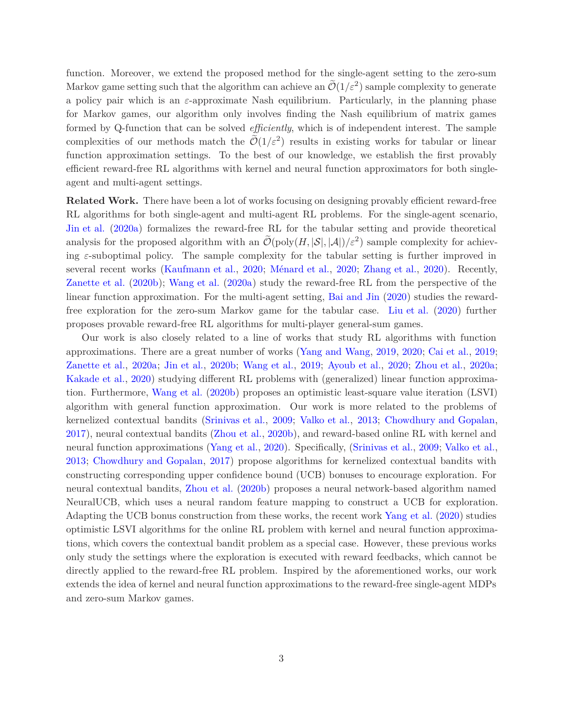function. Moreover, we extend the proposed method for the single-agent setting to the zero-sum Markov game setting such that the algorithm can achieve an  $\mathcal{O}(1/\varepsilon^2)$  sample complexity to generate a policy pair which is an *ε*-approximate Nash equilibrium. Particularly, in the planning phase for Markov games, our algorithm only involves finding the Nash equilibrium of matrix games formed by Q-function that can be solved *efficiently*, which is of independent interest. The sample complexities of our methods match the  $\tilde{\mathcal{O}}(1/\varepsilon^2)$  results in existing works for tabular or linear function approximation settings. To the best of our knowledge, we establish the first provably efficient reward-free RL algorithms with kernel and neural function approximators for both singleagent and multi-agent settings.

**Related Work.** There have been a lot of works focusing on designing provably efficient reward-free RL algorithms for both single-agent and multi-agent RL problems. For the single-agent scenario, [Jin et al.](#page-18-3) [\(2020a\)](#page-18-3) formalizes the reward-free RL for the tabular setting and provide theoretical analysis for the proposed algorithm with an  $\tilde{\mathcal{O}}(\text{poly}(H, |\mathcal{S}|, |\mathcal{A}|)/\varepsilon^2)$  sample complexity for achieving *ε*-suboptimal policy. The sample complexity for the tabular setting is further improved in several recent works [\(Kaufmann et al.](#page-18-4), [2020](#page-18-4); [Ménard et al.](#page-18-5), [2020;](#page-18-5) [Zhang et al.](#page-20-0), [2020\)](#page-20-0). Recently, [Zanette et al.](#page-20-1) [\(2020b](#page-20-1)); [Wang et al.](#page-19-3) [\(2020a](#page-19-3)) study the reward-free RL from the perspective of the linear function approximation. For the multi-agent setting, [Bai and Jin](#page-17-1) [\(2020](#page-17-1)) studies the rewardfree exploration for the zero-sum Markov game for the tabular case. [Liu et al.](#page-18-6) [\(2020](#page-18-6)) further proposes provable reward-free RL algorithms for multi-player general-sum games.

Our work is also closely related to a line of works that study RL algorithms with function approximations. There are a great number of works [\(Yang and Wang,](#page-19-5) [2019](#page-19-5), [2020](#page-19-6); [Cai et al.](#page-17-2), [2019](#page-17-2); [Zanette et al.](#page-19-7), [2020a](#page-19-7); [Jin et al.](#page-18-7), [2020b;](#page-18-7) [Wang et al.](#page-19-8), [2019;](#page-19-8) [Ayoub et al.](#page-17-3), [2020](#page-17-3); [Zhou et al.,](#page-20-2) [2020a](#page-20-2); [Kakade et al.,](#page-18-8) [2020](#page-18-8)) studying different RL problems with (generalized) linear function approximation. Furthermore, [Wang et al.](#page-19-9) [\(2020b](#page-19-9)) proposes an optimistic least-square value iteration (LSVI) algorithm with general function approximation. Our work is more related to the problems of kernelized contextual bandits [\(Srinivas et al.](#page-19-10), [2009](#page-19-10); [Valko et al.,](#page-19-11) [2013;](#page-19-11) [Chowdhury and Gopalan](#page-17-4), [2017](#page-17-4)), neural contextual bandits [\(Zhou et al.,](#page-20-3) [2020b\)](#page-20-3), and reward-based online RL with kernel and neural function approximations [\(Yang et al.,](#page-19-12) [2020\)](#page-19-12). Specifically, [\(Srinivas et al.](#page-19-10), [2009](#page-19-10); [Valko et al.](#page-19-11), [2013](#page-19-11); [Chowdhury and Gopalan,](#page-17-4) [2017](#page-17-4)) propose algorithms for kernelized contextual bandits with constructing corresponding upper confidence bound (UCB) bonuses to encourage exploration. For neural contextual bandits, [Zhou et al.](#page-20-3) [\(2020b\)](#page-20-3) proposes a neural network-based algorithm named NeuralUCB, which uses a neural random feature mapping to construct a UCB for exploration. Adapting the UCB bonus construction from these works, the recent work [Yang et al.](#page-19-12) [\(2020\)](#page-19-12) studies optimistic LSVI algorithms for the online RL problem with kernel and neural function approximations, which covers the contextual bandit problem as a special case. However, these previous works only study the settings where the exploration is executed with reward feedbacks, which cannot be directly applied to the reward-free RL problem. Inspired by the aforementioned works, our work extends the idea of kernel and neural function approximations to the reward-free single-agent MDPs and zero-sum Markov games.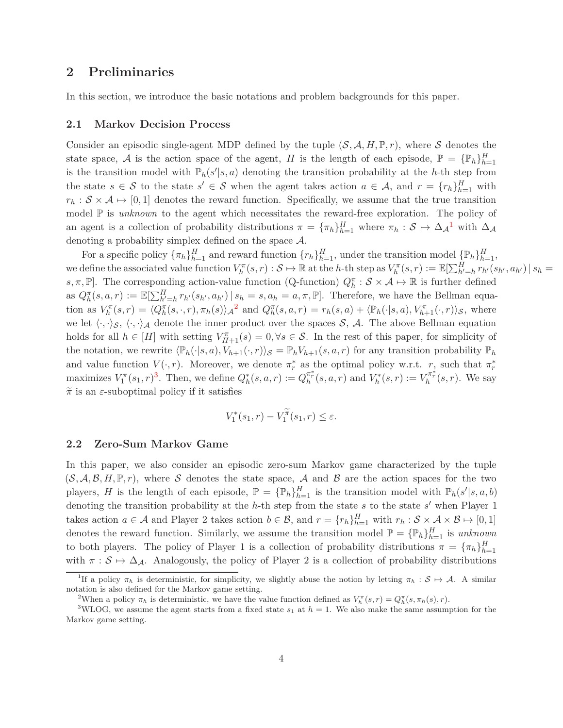# **2 Preliminaries**

In this section, we introduce the basic notations and problem backgrounds for this paper.

#### **2.1 Markov Decision Process**

Consider an episodic single-agent MDP defined by the tuple  $(S, \mathcal{A}, H, \mathbb{P}, r)$ , where S denotes the state space, A is the action space of the agent, H is the length of each episode,  $\mathbb{P} = {\mathbb{P}_h}_{h=1}^H$ is the transition model with  $\mathbb{P}_h(s'|s, a)$  denoting the transition probability at the *h*-th step from the state  $s \in S$  to the state  $s' \in S$  when the agent takes action  $a \in A$ , and  $r = \{r_h\}_{h=1}^H$  with  $r_h$  :  $S \times A \mapsto [0,1]$  denotes the reward function. Specifically, we assume that the true transition model  $\mathbb P$  is *unknown* to the agent which necessitates the reward-free exploration. The policy of an agent is a collection of probability distributions  $\pi = {\{\pi_h\}}_{h=1}^H$  $\pi = {\{\pi_h\}}_{h=1}^H$  $\pi = {\{\pi_h\}}_{h=1}^H$  where  $\pi_h : S \mapsto \Delta_{\mathcal{A}}^1$  with  $\Delta_{\mathcal{A}}$ denoting a probability simplex defined on the space  $A$ .

For a specific policy  $\{\pi_h\}_{h=1}^H$  and reward function  $\{r_h\}_{h=1}^H$ , under the transition model  $\{\mathbb{P}_h\}_{h=1}^H$ , we define the associated value function  $V_h^{\pi}(s,r): \mathcal{S} \mapsto \mathbb{R}$  at the h-th step as  $V_h^{\pi}(s,r) := \mathbb{E}[\sum_{h'=h}^H r_{h'}(s_{h'}, a_{h'}) | s_h =$ *s*,  $\pi$ ,  $\mathbb{P}$ . The corresponding action-value function (Q-function)  $Q_h^{\pi}$ :  $S \times A \mapsto \mathbb{R}$  is further defined as  $Q_h^{\pi}(s, a, r) := \mathbb{E}[\sum_{h'=h}^H r_{h'}(s_{h'}, a_{h'}) | s_h = s, a_h = a, \pi, \mathbb{P}].$  Therefore, we have the Bellman equation as  $V_h^{\pi}(s,r) = \langle Q_h^{\pi}(s,\cdot,r), \pi_h(s) \rangle_{\mathcal{A}}^2$  $V_h^{\pi}(s,r) = \langle Q_h^{\pi}(s,\cdot,r), \pi_h(s) \rangle_{\mathcal{A}}^2$  and  $Q_h^{\pi}(s,a,r) = r_h(s,a) + \langle \mathbb{P}_h(\cdot|s,a), V_{h+1}^{\pi}(\cdot,r) \rangle_{\mathcal{S}}$ , where we let  $\langle \cdot, \cdot \rangle_{\mathcal{S}}, \langle \cdot, \cdot \rangle_{\mathcal{A}}$  denote the inner product over the spaces S, A. The above Bellman equation holds for all  $h \in [H]$  with setting  $V_{H+1}^{\pi}(s) = 0, \forall s \in \mathcal{S}$ . In the rest of this paper, for simplicity of the notation, we rewrite  $\langle \mathbb{P}_h(\cdot|s, a), V_{h+1}(\cdot, r) \rangle_{\mathcal{S}} = \mathbb{P}_h V_{h+1}(s, a, r)$  for any transition probability  $\mathbb{P}_h$ and value function  $V(\cdot,r)$ . Moreover, we denote  $\pi_r^*$  as the optimal policy w.r.t.  $r,$  such that  $\pi_r^*$ maximizes  $V_1^{\pi}(s_1, r)^3$  $V_1^{\pi}(s_1, r)^3$ . Then, we define  $Q_h^*(s, a, r) := Q_h^{\pi_r^*}(s, a, r)$  and  $V_h^*(s, r) := V_h^{\pi_r^*}(s, r)$ . We say  $\tilde{\pi}$  is an *ε*-suboptimal policy if it satisfies

$$
V_1^*(s_1, r) - V_1^{\pi}(s_1, r) \le \varepsilon.
$$

#### **2.2 Zero-Sum Markov Game**

In this paper, we also consider an episodic zero-sum Markov game characterized by the tuple  $(S, \mathcal{A}, \mathcal{B}, H, \mathbb{P}, r)$ , where S denotes the state space, A and B are the action spaces for the two players, *H* is the length of each episode,  $\mathbb{P} = {\mathbb{P}_h}_{h=1}^H$  is the transition model with  $\mathbb{P}_h(s'|s, a, b)$ denoting the transition probability at the *h*-th step from the state *s* to the state *s* ′ when Player 1 takes action  $a \in \mathcal{A}$  and Player 2 takes action  $b \in \mathcal{B}$ , and  $r = \{r_h\}_{h=1}^H$  with  $r_h : \mathcal{S} \times \mathcal{A} \times \mathcal{B} \mapsto [0,1]$ denotes the reward function. Similarly, we assume the transition model  $\mathbb{P} = {\{\mathbb{P}_h\}}_{h=1}^H$  is *unknown* to both players. The policy of Player 1 is a collection of probability distributions  $\pi = {\{\pi_h\}}_{h=1}^H$ with  $\pi : \mathcal{S} \mapsto \Delta_{\mathcal{A}}$ . Analogously, the policy of Player 2 is a collection of probability distributions

<sup>&</sup>lt;sup>1</sup>If a policy  $\pi_h$  is deterministic, for simplicity, we slightly abuse the notion by letting  $\pi_h : S \mapsto A$ . A similar notation is also defined for the Markov game setting.

<span id="page-3-1"></span><span id="page-3-0"></span><sup>&</sup>lt;sup>2</sup>When a policy  $\pi_h$  is deterministic, we have the value function defined as  $V_h^{\pi}(s,r) = Q_h^{\pi}(s,\pi_h(s),r)$ .

<span id="page-3-2"></span><sup>&</sup>lt;sup>3</sup>WLOG, we assume the agent starts from a fixed state  $s_1$  at  $h = 1$ . We also make the same assumption for the Markov game setting.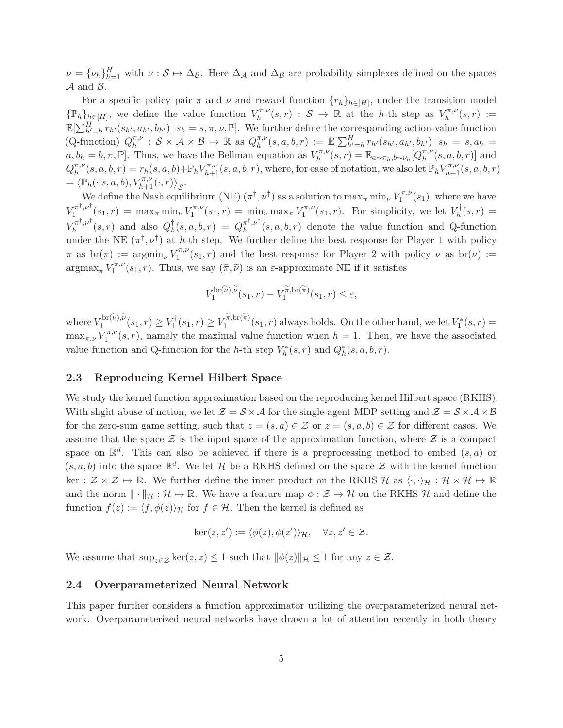$\nu = {\nu_h}_{h=1}^H$  with  $\nu : S \mapsto \Delta_B$ . Here  $\Delta_A$  and  $\Delta_B$  are probability simplexes defined on the spaces  $A$  and  $B$ .

For a specific policy pair  $\pi$  and  $\nu$  and reward function  $\{r_h\}_{h \in [H]}$ , under the transition model  $\{\mathbb{P}_h\}_{h\in[H]}$ , we define the value function  $V^{\pi,\nu}_h$  $\chi_h^{\pi,\nu}(s,r)$  :  $\mathcal{S} \mapsto \mathbb{R}$  at the *h*-th step as  $V_h^{\pi,\nu}$  $h^{\pi,\nu}(s,r) :=$  $\mathbb{E}[\sum_{h'=h}^{H} r_{h'}(s_{h'}, a_{h'}, b_{h'}) \mid s_h = s, \pi, \nu, \mathbb{P}].$  We further define the corresponding action-value function (Q-function)  $Q_h^{\pi,\nu}$  $\eta_h^{\pi,\nu}$  :  $S \times A \times B \mapsto \mathbb{R}$  as  $Q_h^{\pi,\nu}$  $\mathbb{E}[\sum_{h'=h}^{H} r_{h'}(s_{h'}, a_{h'}, b_{h'}) | s_h = s, a_h =$  $a, b_h = b, \pi, \mathbb{P}$ . Thus, we have the Bellman equation as  $V_h^{\pi, \nu}$  $\mathbb{E}_{h}^{\pi,\nu}(s,r) = \mathbb{E}_{a \sim \pi_h, b \sim \nu_h} [Q_{h}^{\pi,\nu}]$  $_h^{n,\nu}(s, a, b, r)$  and  $Q^{\pi,\nu}_h$  $\binom{\pi,\nu}{h}(s,a,b,r) = r_h(s,a,b)+\mathbb{P}_h V_{h+1}^{\pi,\nu}(s,a,b,r)$ , where, for ease of notation, we also let  $\mathbb{P}_h V_{h+1}^{\pi,\nu}(s,a,b,r)$  $=\langle \mathbb{P}_h(\cdot|s, a, b), V_{h+1}^{\pi,\nu}(\cdot, r) \rangle_{\mathcal{S}}.$ 

We define the Nash equilibrium (NE)  $(\pi^{\dagger}, \nu^{\dagger})$  as a solution to  $\max_{\pi} \min_{\nu} V_1^{\pi, \nu}$  $\binom{\pi,\nu}{1}(s_1)$ , where we have  $V_1^{\pi^\dagger,\nu^\dagger}$  $\int_{1}^{\pi^{\dagger},\nu^{\dagger}}(s_1,r) = \max_{\pi} \min_{\nu} V_1^{\pi,\nu}$  $\sum_{1}^{\tau \pi,\nu} (s_1, r) = \min_{\nu} \max_{\pi} V_1^{\pi,\nu}$  $\int_1^{\pi,\nu}(s_1,r)$ . For simplicity, we let  $V_h^{\dagger}(s,r)$  =  $V^{\pi^\dagger,\nu^\dagger}_h$  $Q_h^{\pi^{\dagger},\nu^{\dagger}}(s,r)$  and also  $Q_h^{\dagger}(s,a,b,r) = Q_h^{\pi^{\dagger},\nu^{\dagger}}$  $h^{(n)}(s, a, b, r)$  denote the value function and Q-function under the NE  $(\pi^{\dagger}, \nu^{\dagger})$  at *h*-th step. We further define the best response for Player 1 with policy  $\pi$  as  $\operatorname{br}(\pi) := \operatorname{argmin}_{\nu} V_1^{\pi,\nu}$  $\int_1^{\pi,\nu}(s_1,r)$  and the best response for Player 2 with policy  $\nu$  as  $\text{br}(\nu) :=$  $\operatorname{argmax}_{\pi} V_1^{\pi,\nu}$  $\int_1^{\pi,\nu}(s_1,r)$ . Thus, we say  $(\tilde{\pi}, \tilde{\nu})$  is an *ε*-approximate NE if it satisfies

$$
V_1^{\operatorname{br}(\widetilde{\nu}),\widetilde{\nu}}(s_1,r)-V_1^{\widetilde{\pi},\operatorname{br}(\widetilde{\pi})}(s_1,r)\leq \varepsilon,
$$

where  $V_1^{\text{br}(\nu),\nu}(s_1,r) \geq V_1^{\dagger}(s_1,r) \geq V_1^{\pi,\text{br}(\pi)}(s_1,r)$  always holds. On the other hand, we let  $V_1^*(s,r)$  $\max_{\pi,\nu} V_1^{\pi,\nu}$  $\int_1^{\pi,\nu}(s,r)$ , namely the maximal value function when  $h = 1$ . Then, we have the associated value function and Q-function for the *h*-th step  $V_h^*(s, r)$  and  $Q_h^*(s, a, b, r)$ .

### **2.3 Reproducing Kernel Hilbert Space**

We study the kernel function approximation based on the reproducing kernel Hilbert space (RKHS). With slight abuse of notion, we let  $\mathcal{Z} = \mathcal{S} \times \mathcal{A}$  for the single-agent MDP setting and  $\mathcal{Z} = \mathcal{S} \times \mathcal{A} \times \mathcal{B}$ for the zero-sum game setting, such that  $z = (s, a) \in \mathcal{Z}$  or  $z = (s, a, b) \in \mathcal{Z}$  for different cases. We assume that the space  $\mathcal Z$  is the input space of the approximation function, where  $\mathcal Z$  is a compact space on  $\mathbb{R}^d$ . This can also be achieved if there is a preprocessing method to embed  $(s, a)$  or  $(s, a, b)$  into the space  $\mathbb{R}^d$ . We let H be a RKHS defined on the space  $\mathcal Z$  with the kernel function ker :  $\mathcal{Z} \times \mathcal{Z} \mapsto \mathbb{R}$ . We further define the inner product on the RKHS H as  $\langle \cdot, \cdot \rangle_{\mathcal{H}} : \mathcal{H} \times \mathcal{H} \mapsto \mathbb{R}$ and the norm  $\|\cdot\|_{\mathcal{H}} : \mathcal{H} \mapsto \mathbb{R}$ . We have a feature map  $\phi : \mathcal{Z} \mapsto \mathcal{H}$  on the RKHS  $\mathcal{H}$  and define the function  $f(z) := \langle f, \phi(z) \rangle_{\mathcal{H}}$  for  $f \in \mathcal{H}$ . Then the kernel is defined as

$$
\ker(z, z') := \langle \phi(z), \phi(z') \rangle_{\mathcal{H}}, \quad \forall z, z' \in \mathcal{Z}.
$$

We assume that  $\sup_{z \in \mathcal{Z}} \ker(z, z) \leq 1$  such that  $\|\phi(z)\|_{\mathcal{H}} \leq 1$  for any  $z \in \mathcal{Z}$ .

#### <span id="page-4-0"></span>**2.4 Overparameterized Neural Network**

This paper further considers a function approximator utilizing the overparameterized neural network. Overparameterized neural networks have drawn a lot of attention recently in both theory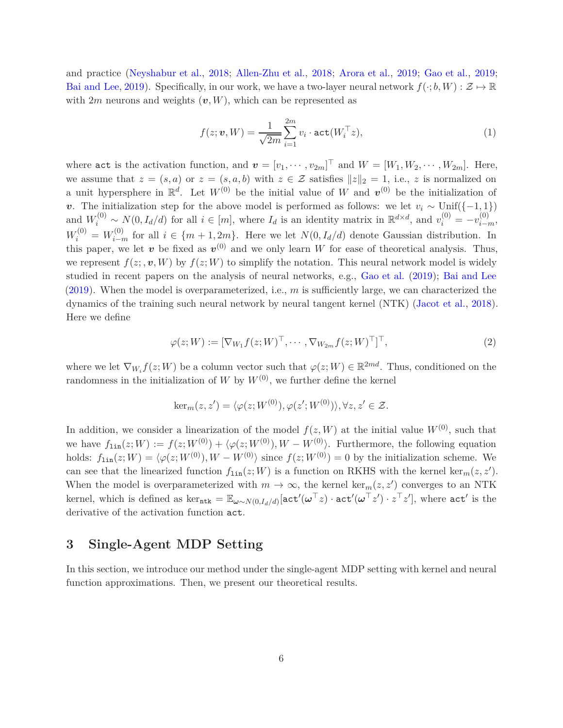and practice [\(Neyshabur et al.](#page-18-9), [2018](#page-18-9); [Allen-Zhu et al.,](#page-17-5) [2018](#page-17-5); [Arora et al.](#page-17-6), [2019;](#page-17-6) [Gao et al.](#page-18-10), [2019](#page-18-10); [Bai and Lee](#page-17-7), [2019](#page-17-7)). Specifically, in our work, we have a two-layer neural network  $f(\cdot; b, W) : \mathcal{Z} \mapsto \mathbb{R}$ with  $2m$  neurons and weights  $(v, W)$ , which can be represented as

$$
f(z; \boldsymbol{v}, W) = \frac{1}{\sqrt{2m}} \sum_{i=1}^{2m} v_i \cdot \text{act}(W_i^{\top} z), \tag{1}
$$

where act is the activation function, and  $\mathbf{v} = [v_1, \dots, v_{2m}]^\top$  and  $W = [W_1, W_2, \dots, W_{2m}]$ . Here, we assume that  $z = (s, a)$  or  $z = (s, a, b)$  with  $z \in \mathcal{Z}$  satisfies  $||z||_2 = 1$ , i.e., *z* is normalized on a unit hypersphere in  $\mathbb{R}^d$ . Let  $W^{(0)}$  be the initial value of W and  $v^{(0)}$  be the initialization of *v*. The initialization step for the above model is performed as follows: we let  $v_i \sim \text{Unif}(\{-1, 1\})$ and  $W_i^{(0)} \sim N(0, I_d/d)$  for all  $i \in [m]$ , where  $I_d$  is an identity matrix in  $\mathbb{R}^{d \times d}$ , and  $v_i^{(0)} = -v_{i-m}^{(0)}$ ,  $W_i^{(0)} = W_{i-m}^{(0)}$  for all  $i \in \{m+1, 2m\}$ . Here we let  $N(0, I_d/d)$  denote Gaussian distribution. In this paper, we let *v* be fixed as  $v^{(0)}$  and we only learn *W* for ease of theoretical analysis. Thus, we represent  $f(z; v, W)$  by  $f(z; W)$  to simplify the notation. This neural network model is widely studied in recent papers on the analysis of neural networks, e.g., [Gao et al.](#page-18-10) [\(2019](#page-18-10)); [Bai and Lee](#page-17-7) [\(2019](#page-17-7)). When the model is overparameterized, i.e., *m* is sufficiently large, we can characterized the dynamics of the training such neural network by neural tangent kernel (NTK) [\(Jacot et al.](#page-18-11), [2018\)](#page-18-11). Here we define

<span id="page-5-0"></span>
$$
\varphi(z;W) := [\nabla_{W_1} f(z;W)^\top, \cdots, \nabla_{W_{2m}} f(z;W)^\top]^\top,
$$
\n(2)

where we let  $\nabla_{W_i} f(z;W)$  be a column vector such that  $\varphi(z;W) \in \mathbb{R}^{2md}$ . Thus, conditioned on the randomness in the initialization of *W* by  $W^{(0)}$ , we further define the kernel

$$
\ker_m(z, z') = \langle \varphi(z; W^{(0)}), \varphi(z'; W^{(0)}) \rangle, \forall z, z' \in \mathcal{Z}.
$$

In addition, we consider a linearization of the model  $f(z, W)$  at the initial value  $W^{(0)}$ , such that we have  $f_{\text{lin}}(z;W) := f(z;W^{(0)}) + \langle \varphi(z;W^{(0)}), W - W^{(0)} \rangle$ . Furthermore, the following equation holds:  $f_{\text{lin}}(z;W) = \langle \varphi(z;W^{(0)}), W - W^{(0)} \rangle$  since  $f(z;W^{(0)}) = 0$  by the initialization scheme. We can see that the linearized function  $f_{\text{lin}}(z;W)$  is a function on RKHS with the kernel ker<sub>m</sub> $(z, z')$ . When the model is overparameterized with  $m \to \infty$ , the kernel ker<sub>m</sub> $(z, z')$  converges to an NTK kernel, which is defined as  $\text{ker}_{\textbf{ntk}} = \mathbb{E}_{\boldsymbol{\omega} \sim N(0, I_d/d)}[\textbf{act}'(\boldsymbol{\omega}^\top z) \cdot \textbf{act}'(\boldsymbol{\omega}^\top z') \cdot z^\top z'],$  where  $\textbf{act}'$  is the derivative of the activation function act.

# **3 Single-Agent MDP Setting**

In this section, we introduce our method under the single-agent MDP setting with kernel and neural function approximations. Then, we present our theoretical results.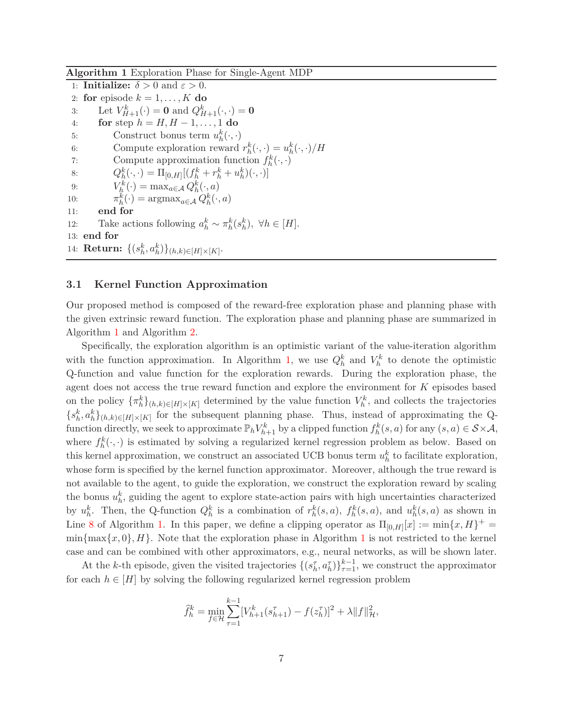<span id="page-6-0"></span>**Algorithm 1** Exploration Phase for Single-Agent MDP

1: **Initialize:**  $\delta > 0$  and  $\varepsilon > 0$ . 2: **for** episode  $k = 1, \ldots, K$  **do** 3: Let  $V_{H+1}^k(\cdot) = 0$  and  $Q_{H+1}^k(\cdot, \cdot) = 0$ 4: **for** step *h* = *H, H* − 1*, . . . ,* 1 **do** 5: Construct bonus term  $u_h^k(\cdot, \cdot)$ 6: Compute exploration reward  $r_h^k(\cdot, \cdot) = u_h^k(\cdot, \cdot)/H$ 7: Compute approximation function  $f_h^k(\cdot, \cdot)$ 8:  $Q_h^k(\cdot, \cdot) = \Pi_{[0,H]}[(f_h^k + r_h^k + u_h^k)(\cdot, \cdot)]$ 9:  $V_h^k(\cdot) = \max_{a \in \mathcal{A}} Q_h^k(\cdot, a)$ 10:  $\pi_h^k(\cdot) = \operatorname{argmax}_{a \in \mathcal{A}} Q_h^k(\cdot, a)$ 11: **end for** 12: Take actions following  $a_h^k \sim \pi_h^k(s_h^k)$ ,  $\forall h \in [H]$ . 13: **end for** 14: **Return:**  $\{(s_h^k, a_h^k)\}_{(h,k) \in [H] \times [K]}$ .

### **3.1 Kernel Function Approximation**

Our proposed method is composed of the reward-free exploration phase and planning phase with the given extrinsic reward function. The exploration phase and planning phase are summarized in Algorithm [1](#page-6-0) and Algorithm [2.](#page-7-0)

Specifically, the exploration algorithm is an optimistic variant of the value-iteration algorithm with the function approximation. In Algorithm [1,](#page-6-0) we use  $Q_h^k$  and  $V_h^k$  to denote the optimistic Q-function and value function for the exploration rewards. During the exploration phase, the agent does not access the true reward function and explore the environment for *K* episodes based on the policy  ${\{\pi_h^k\}}_{(h,k)\in[H]\times[K]}$  determined by the value function  $V_h^k$ , and collects the trajectories  ${s_h^k, a_h^k}_{(h,k) \in [H] \times [K]}$  for the subsequent planning phase. Thus, instead of approximating the Qfunction directly, we seek to approximate  $\mathbb{P}_h V_{h+1}^k$  by a clipped function  $f_h^k(s, a)$  for any  $(s, a) \in S \times \mathcal{A}$ , where  $f_h^k(\cdot, \cdot)$  is estimated by solving a regularized kernel regression problem as below. Based on this kernel approximation, we construct an associated UCB bonus term  $u_h^k$  to facilitate exploration, whose form is specified by the kernel function approximator. Moreover, although the true reward is not available to the agent, to guide the exploration, we construct the exploration reward by scaling the bonus  $u_h^k$ , guiding the agent to explore state-action pairs with high uncertainties characterized by  $u_h^k$ . Then, the Q-function  $Q_h^k$  is a combination of  $r_h^k(s, a)$ ,  $f_h^k(s, a)$ , and  $u_h^k(s, a)$  as shown in Line [8](#page-6-0) of Algorithm [1.](#page-6-0) In this paper, we define a clipping operator as  $\Pi_{[0,H]}[x] := \min\{x,H\}^+$  $\min{\max\{x, 0\}, H\}$ . Note that the exploration phase in Algorithm [1](#page-6-0) is not restricted to the kernel case and can be combined with other approximators, e.g., neural networks, as will be shown later.

At the *k*-th episode, given the visited trajectories  $\{(s_h^{\tau}, a_h^{\tau})\}_{\tau=1}^{k-1}$ , we construct the approximator for each  $h \in [H]$  by solving the following regularized kernel regression problem

$$
\widehat{f}_h^k = \min_{f \in \mathcal{H}} \sum_{\tau=1}^{k-1} [V_{h+1}^k(s_{h+1}^{\tau}) - f(z_h^{\tau})]^2 + \lambda ||f||_{\mathcal{H}}^2,
$$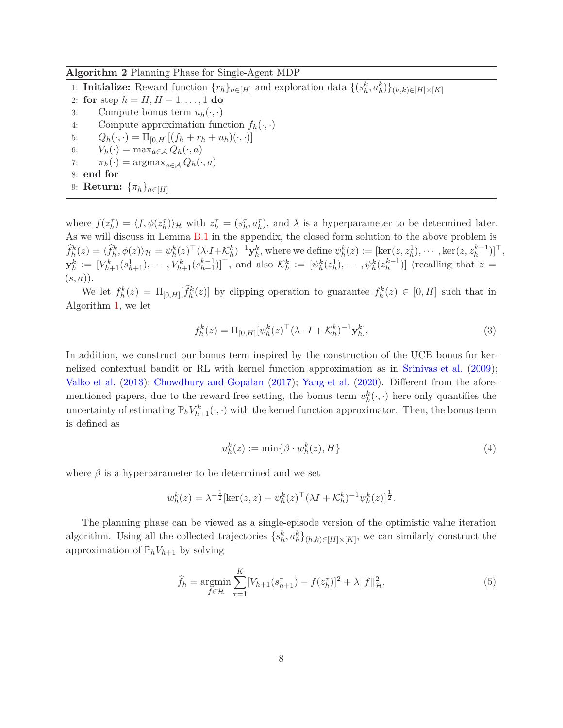#### <span id="page-7-0"></span>**Algorithm 2** Planning Phase for Single-Agent MDP

1: **Initialize:** Reward function  $\{r_h\}_{h \in [H]}$  and exploration data  $\{(s_h^k, a_h^k)\}_{(h,k) \in [H] \times [K]}$ 

- 2: **for** step  $h = H, H 1, \ldots, 1$  **do**<br>3: Compute bonus term  $u_h(\cdot, \cdot)$
- 3: Compute bonus term  $u_h(\cdot, \cdot)$ <br>4: Compute approximation fun Compute approximation function  $f_h(\cdot, \cdot)$
- 5:  $Q_h(\cdot, \cdot) = \Pi_{[0,H]}[(f_h + r_h + u_h)(\cdot, \cdot)]$
- 6:  $V_h(\cdot) = \max_{a \in \mathcal{A}} Q_h(\cdot, a)$
- 7:  $\pi_h(\cdot) = \operatorname{argmax}_{a \in A} Q_h(\cdot, a)$

8: **end for**

9: **Return:**  $\{\pi_h\}_{h\in[H]}$ 

where  $f(z_h^{\tau}) = \langle f, \phi(z_h^{\tau}) \rangle_{\mathcal{H}}$  with  $z_h^{\tau} = (s_h^{\tau}, a_h^{\tau})$ , and  $\lambda$  is a hyperparameter to be determined later. As we will discuss in Lemma [B.1](#page-24-0) in the appendix, the closed form solution to the above problem is  $\widehat{f}_h^k(z) = \langle \widehat{f}_h^k, \phi(z) \rangle_{\mathcal{H}} = \psi_h^k(z)^\top (\lambda \cdot I + \mathcal{K}_h^k)^{-1} \mathbf{y}_h^k$ , where we define  $\psi_h^k(z) := [\ker(z, z_h^1), \cdots, \ker(z, z_h^{k-1})]^\top$ ,  $\mathbf{y}_h^k := [V_{h+1}^k(s_{h+1}^1), \cdots, V_{h+1}^k(s_{h+1}^{k-1})]^\top$ , and also  $\mathcal{K}_h^k := [\psi_h^k(z_h^1), \cdots, \psi_h^k(z_h^{k-1})]$  (recalling that  $z =$ (*s, a*)).

We let  $f_h^k(z) = \Pi_{[0,H]}[\tilde{f}_h^k(z)]$  by clipping operation to guarantee  $f_h^k(z) \in [0,H]$  such that in Algorithm [1,](#page-6-0) we let

$$
f_h^k(z) = \Pi_{[0,H]} [\psi_h^k(z)^\top (\lambda \cdot I + \mathcal{K}_h^k)^{-1} \mathbf{y}_h^k],
$$
\n(3)

In addition, we construct our bonus term inspired by the construction of the UCB bonus for kernelized contextual bandit or RL with kernel function approximation as in [Srinivas et al.](#page-19-10) [\(2009](#page-19-10)); [Valko et al.](#page-19-11) [\(2013](#page-19-11)); [Chowdhury and Gopalan](#page-17-4) [\(2017](#page-17-4)); [Yang et al.](#page-19-12) [\(2020](#page-19-12)). Different from the aforementioned papers, due to the reward-free setting, the bonus term  $u_h^k(\cdot, \cdot)$  here only quantifies the uncertainty of estimating  $\mathbb{P}_h V_{h+1}^k(\cdot, \cdot)$  with the kernel function approximator. Then, the bonus term is defined as

<span id="page-7-3"></span><span id="page-7-2"></span><span id="page-7-1"></span>
$$
u_h^k(z) := \min\{\beta \cdot w_h^k(z), H\} \tag{4}
$$

where  $\beta$  is a hyperparameter to be determined and we set

$$
w_h^k(z) = \lambda^{-\frac{1}{2}} [\ker(z, z) - \psi_h^k(z)^\top (\lambda I + \mathcal{K}_h^k)^{-1} \psi_h^k(z)]^{\frac{1}{2}}.
$$

The planning phase can be viewed as a single-episode version of the optimistic value iteration algorithm. Using all the collected trajectories  $\{s_h^k, a_h^k\}_{(h,k)\in[H]\times[K]}$ , we can similarly construct the approximation of  $\mathbb{P}_h V_{h+1}$  by solving

$$
\widehat{f}_h = \underset{f \in \mathcal{H}}{\text{argmin}} \sum_{\tau=1}^K [V_{h+1}(s_{h+1}^{\tau}) - f(z_h^{\tau})]^2 + \lambda \|f\|_{\mathcal{H}}^2.
$$
\n(5)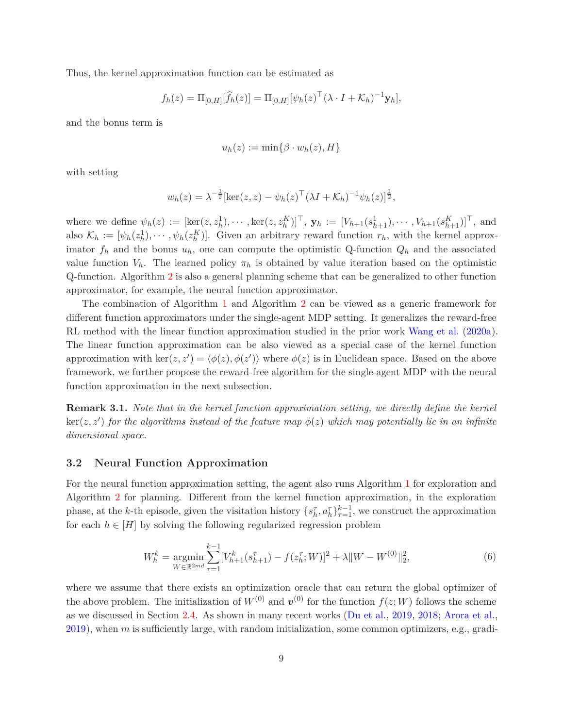Thus, the kernel approximation function can be estimated as

$$
f_h(z) = \Pi_{[0,H]}[\widehat{f}_h(z)] = \Pi_{[0,H]}[\psi_h(z)^\top (\lambda \cdot I + \mathcal{K}_h)^{-1} \mathbf{y}_h],
$$

and the bonus term is

$$
u_h(z) := \min\{\beta \cdot w_h(z), H\}
$$

with setting

$$
w_h(z) = \lambda^{-\frac{1}{2}} [\ker(z, z) - \psi_h(z)^\top (\lambda I + \mathcal{K}_h)^{-1} \psi_h(z)]^{\frac{1}{2}},
$$

where we define  $\psi_h(z) := [\ker(z, z_h^1), \cdots, \ker(z, z_h^K)]^\top$ ,  $\mathbf{y}_h := [V_{h+1}(s_{h+1}^1), \cdots, V_{h+1}(s_{h+1}^K)]^\top$ , and also  $\mathcal{K}_h := [\psi_h(z_h^1), \dots, \psi_h(z_h^K)]$ . Given an arbitrary reward function  $r_h$ , with the kernel approximator  $f_h$  and the bonus  $u_h$ , one can compute the optimistic Q-function  $Q_h$  and the associated value function  $V_h$ . The learned policy  $\pi_h$  is obtained by value iteration based on the optimistic Q-function. Algorithm [2](#page-7-0) is also a general planning scheme that can be generalized to other function approximator, for example, the neural function approximator.

The combination of Algorithm [1](#page-6-0) and Algorithm [2](#page-7-0) can be viewed as a generic framework for different function approximators under the single-agent MDP setting. It generalizes the reward-free RL method with the linear function approximation studied in the prior work [Wang et al.](#page-19-3) [\(2020a](#page-19-3)). The linear function approximation can be also viewed as a special case of the kernel function approximation with ker( $z, z'$ ) =  $\langle \phi(z), \phi(z') \rangle$  where  $\phi(z)$  is in Euclidean space. Based on the above framework, we further propose the reward-free algorithm for the single-agent MDP with the neural function approximation in the next subsection.

**Remark 3.1.** *Note that in the kernel function approximation setting, we directly define the kernel*  $\ker(z, z')$  *for the algorithms instead of the feature map*  $\phi(z)$  *which may potentially lie in an infinite dimensional space.*

#### **3.2 Neural Function Approximation**

For the neural function approximation setting, the agent also runs Algorithm [1](#page-6-0) for exploration and Algorithm [2](#page-7-0) for planning. Different from the kernel function approximation, in the exploration phase, at the *k*-th episode, given the visitation history  $\{s_h^{\tau}, a_h^{\tau}\}_{\tau=1}^{k-1}$ , we construct the approximation for each  $h \in [H]$  by solving the following regularized regression problem

<span id="page-8-0"></span>
$$
W_h^k = \underset{W \in \mathbb{R}^{2md}}{\operatorname{argmin}} \sum_{\tau=1}^{k-1} [V_{h+1}^k(s_{h+1}^{\tau}) - f(z_h^{\tau}; W)]^2 + \lambda \|W - W^{(0)}\|_2^2,
$$
\n
$$
(6)
$$

where we assume that there exists an optimization oracle that can return the global optimizer of the above problem. The initialization of  $W^{(0)}$  and  $v^{(0)}$  for the function  $f(z;W)$  follows the scheme as we discussed in Section [2.4.](#page-4-0) As shown in many recent works [\(Du et al.](#page-17-8), [2019](#page-17-8), [2018](#page-17-9); [Arora et al.](#page-17-6), [2019](#page-17-6)), when *m* is sufficiently large, with random initialization, some common optimizers, e.g., gradi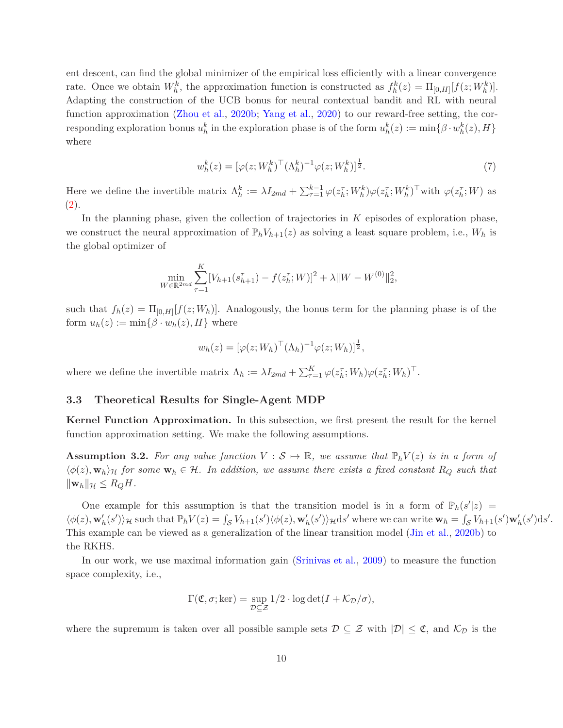ent descent, can find the global minimizer of the empirical loss efficiently with a linear convergence rate. Once we obtain  $W_h^k$ , the approximation function is constructed as  $f_h^k(z) = \Pi_{[0,H]}[f(z;W_h^k)]$ . Adapting the construction of the UCB bonus for neural contextual bandit and RL with neural function approximation [\(Zhou et al.](#page-20-3), [2020b](#page-20-3); [Yang et al.](#page-19-12), [2020\)](#page-19-12) to our reward-free setting, the cor- $\text{responding exploration bonus } u_h^k$  in the exploration phase is of the form  $u_h^k(z) := \min\{\beta \cdot w_h^k(z), H\}$ where

<span id="page-9-0"></span>
$$
w_h^k(z) = [\varphi(z; W_h^k)^\top (\Lambda_h^k)^{-1} \varphi(z; W_h^k)]^{\frac{1}{2}}.
$$
\n(7)

Here we define the invertible matrix  $\Lambda_h^k := \lambda I_{2md} + \sum_{\tau=1}^{k-1} \varphi(z_h^{\tau};W_h^k) \varphi(z_h^{\tau};W_h^k)^{\top}$  with  $\varphi(z_h^{\tau};W)$  as [\(2\)](#page-5-0).

In the planning phase, given the collection of trajectories in *K* episodes of exploration phase, we construct the neural approximation of  $\mathbb{P}_h V_{h+1}(z)$  as solving a least square problem, i.e.,  $W_h$  is the global optimizer of

$$
\min_{W \in \mathbb{R}^{2md}} \sum_{\tau=1}^{K} [V_{h+1}(s_{h+1}^{\tau}) - f(z_h^{\tau}; W)]^2 + \lambda \|W - W^{(0)}\|_2^2,
$$

such that  $f_h(z) = \Pi_{[0,H]}[f(z;W_h)]$ . Analogously, the bonus term for the planning phase is of the form  $u_h(z) := \min\{\beta \cdot w_h(z), H\}$  where

$$
w_h(z) = [\varphi(z; W_h)^\top (\Lambda_h)^{-1} \varphi(z; W_h)]^{\frac{1}{2}},
$$

where we define the invertible matrix  $\Lambda_h := \lambda I_{2md} + \sum_{\tau=1}^K \varphi(z_h^{\tau}; W_h) \varphi(z_h^{\tau}; W_h)^{\top}$ .

### <span id="page-9-1"></span>**3.3 Theoretical Results for Single-Agent MDP**

**Kernel Function Approximation.** In this subsection, we first present the result for the kernel function approximation setting. We make the following assumptions.

<span id="page-9-2"></span>**Assumption 3.2.** For any value function  $V : \mathcal{S} \mapsto \mathbb{R}$ , we assume that  $\mathbb{P}_h V(z)$  is in a form of  $\langle \phi(z), \mathbf{w}_h \rangle_{\mathcal{H}}$  *for some*  $\mathbf{w}_h \in \mathcal{H}$ *. In addition, we assume there exists a fixed constant*  $R_Q$  *such that*  $\|\mathbf{w}_h\|_{\mathcal{H}} \leq R_Q H$ .

One example for this assumption is that the transition model is in a form of  $\mathbb{P}_h(s'|z)$  =  $\langle \phi(z), \mathbf{w}'_h(s') \rangle_{\mathcal{H}}$  such that  $\mathbb{P}_h V(z) = \int_{\mathcal{S}} V_{h+1}(s') \langle \phi(z), \mathbf{w}'_h(s') \rangle_{\mathcal{H}} ds'$  where we can write  $\mathbf{w}_h = \int_{\mathcal{S}} V_h(z) \langle \phi(z), \mathbf{w}'_h(s') \rangle_{\mathcal{H}} ds'$  $\int_{\mathcal{S}} V_{h+1}(s') \mathbf{w}'_h(s') ds'.$ This example can be viewed as a generalization of the linear transition model [\(Jin et al.](#page-18-7), [2020b\)](#page-18-7) to the RKHS.

In our work, we use maximal information gain [\(Srinivas et al.](#page-19-10), [2009](#page-19-10)) to measure the function space complexity, i.e.,

$$
\Gamma(\mathfrak{C}, \sigma; \ker) = \sup_{\mathcal{D} \subseteq \mathcal{Z}} 1/2 \cdot \log \det(I + \mathcal{K}_{\mathcal{D}}/\sigma),
$$

where the supremum is taken over all possible sample sets  $\mathcal{D} \subseteq \mathcal{Z}$  with  $|\mathcal{D}| \leq \mathfrak{C}$ , and  $\mathcal{K}_{\mathcal{D}}$  is the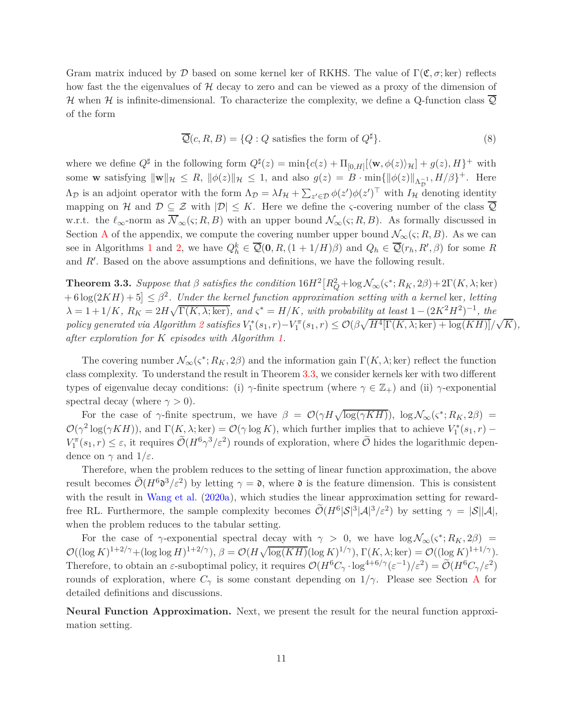Gram matrix induced by D based on some kernel ker of RKHS. The value of  $\Gamma(\mathfrak{C}, \sigma; \text{ker})$  reflects how fast the the eigenvalues of  $H$  decay to zero and can be viewed as a proxy of the dimension of H when H is infinite-dimensional. To characterize the complexity, we define a Q-function class  $\overline{Q}$ of the form

<span id="page-10-1"></span>
$$
\overline{\mathcal{Q}}(c, R, B) = \{Q : Q \text{ satisfies the form of } Q^{\sharp}\}. \tag{8}
$$

where we define  $Q^{\sharp}$  in the following form  $Q^{\sharp}(z) = \min\{c(z) + \Pi_{[0,H]}[\langle \mathbf{w}, \phi(z) \rangle_{\mathcal{H}}] + g(z), H\}^+$  with some **w** satisfying  $\|\mathbf{w}\|_{\mathcal{H}} \leq R$ ,  $\|\phi(z)\|_{\mathcal{H}} \leq 1$ , and also  $g(z) = B \cdot \min\{\|\phi(z)\|_{\Lambda_{\mathcal{D}}^{-1}}, H/\beta\}^{+}$ . Here  $\Lambda_{\mathcal{D}}$  is an adjoint operator with the form  $\Lambda_{\mathcal{D}} = \lambda I_{\mathcal{H}} + \sum_{z' \in \mathcal{D}} \phi(z') \phi(z')^{\top}$  with  $I_{\mathcal{H}}$  denoting identity mapping on H and  $\mathcal{D} \subseteq \mathcal{Z}$  with  $|\mathcal{D}| \leq K$ . Here we define the *ς*-covering number of the class  $\overline{\mathcal{Q}}$ w.r.t. the  $\ell_{\infty}$ -norm as  $\overline{\mathcal{N}}_{\infty}(\varsigma; R, B)$  with an upper bound  $\mathcal{N}_{\infty}(\varsigma; R, B)$ . As formally discussed in Section [A](#page-21-0) of the appendix, we compute the covering number upper bound  $\mathcal{N}_{\infty}(\varsigma; R, B)$ . As we can see in Algorithms [1](#page-6-0) and [2,](#page-7-0) we have  $Q_h^k \in \overline{Q}(0, R, (1 + 1/H)\beta)$  and  $Q_h \in \overline{Q}(r_h, R', \beta)$  for some R and *R*′ . Based on the above assumptions and definitions, we have the following result.

<span id="page-10-0"></span>**Theorem 3.3.** *Suppose that*  $\beta$  *satisfies the condition*  $16H^2[R_Q^2 + \log N_\infty(\varsigma^*; R_K, 2\beta) + 2\Gamma(K, \lambda; \ker)$  $+ 6 \log(2KH) + 5 \leq \beta^2$ . Under the kernel function approximation setting with a kernel ker, letting  $\lambda = 1 + 1/K$ ,  $R_K = 2H\sqrt{\Gamma(K, \lambda; \ker)}$ , and  $\varsigma^* = H/K$ , with probability at least  $1 - (2K^2H^2)^{-1}$ , the policy generated via Algorithm [2](#page-7-0) satisfies  $V_1^*(s_1,r) - V_1^{\pi}(s_1,r) \leq \mathcal{O}(\beta\sqrt{H^4[\Gamma(K,\lambda;\ker) + \log(KH)]}/\sqrt{K}),$ *after exploration for K episodes with Algorithm [1.](#page-6-0)*

The covering number  $\mathcal{N}_{\infty}(\varsigma^*; R_K, 2\beta)$  and the information gain  $\Gamma(K, \lambda; \text{ker})$  reflect the function class complexity. To understand the result in Theorem [3.3,](#page-10-0) we consider kernels ker with two different types of eigenvalue decay conditions: (i)  $\gamma$ -finite spectrum (where  $\gamma \in \mathbb{Z}_+$ ) and (ii)  $\gamma$ -exponential spectral decay (where  $\gamma > 0$ ).

For the case of *γ*-finite spectrum, we have  $\beta = \mathcal{O}(\gamma H \sqrt{\log(\gamma KH)})$ ,  $\log \mathcal{N}_{\infty}(\varsigma^*; R_K, 2\beta)$  $\mathcal{O}(\gamma^2 \log(\gamma KH))$ , and  $\Gamma(K, \lambda; \ker) = \mathcal{O}(\gamma \log K)$ , which further implies that to achieve  $V_1^*(s_1, r)$  –  $V_1^{\pi}(s_1, r) \leq \varepsilon$ , it requires  $\tilde{\mathcal{O}}(H^6 \gamma^3/\varepsilon^2)$  rounds of exploration, where  $\tilde{\mathcal{O}}$  hides the logarithmic dependence on  $\gamma$  and  $1/\varepsilon$ .

Therefore, when the problem reduces to the setting of linear function approximation, the above result becomes  $\tilde{\mathcal{O}}(H^6\mathfrak{d}^3/\varepsilon^2)$  by letting  $\gamma = \mathfrak{d}$ , where  $\mathfrak{d}$  is the feature dimension. This is consistent with the result in [Wang et al.](#page-19-3) [\(2020a](#page-19-3)), which studies the linear approximation setting for rewardfree RL. Furthermore, the sample complexity becomes  $\tilde{\mathcal{O}}(H^6|\mathcal{S}|^3|\mathcal{A}|^3/\varepsilon^2)$  by setting  $\gamma = |\mathcal{S}||\mathcal{A}|$ , when the problem reduces to the tabular setting.

For the case of *γ*-exponential spectral decay with  $\gamma > 0$ , we have  $\log N_{\infty}(\varsigma^*; R_K, 2\beta)$  =  $\mathcal{O}((\log K)^{1+2/\gamma} + (\log \log H)^{1+2/\gamma}), \ \beta = \mathcal{O}(H\sqrt{\log (KH)}(\log K)^{1/\gamma}), \Gamma(K, \lambda; \ker) = \mathcal{O}((\log K)^{1+1/\gamma}).$ Therefore, to obtain an  $\varepsilon$ -suboptimal policy, it requires  $\mathcal{O}(H^6C_\gamma \cdot \log^{4+6/\gamma}(\varepsilon^{-1})/\varepsilon^2) = \widetilde{\mathcal{O}}(H^6C_\gamma/\varepsilon^2)$ rounds of exploration, where  $C_\gamma$  is some constant depending on  $1/\gamma$ . Please see Section [A](#page-21-0) for detailed definitions and discussions.

**Neural Function Approximation.** Next, we present the result for the neural function approximation setting.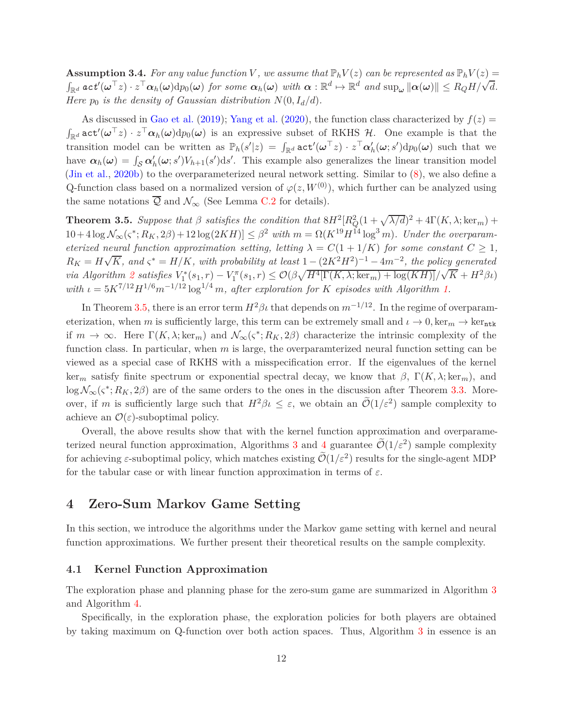**Assumption 3.4.** For any value function V, we assume that  $\mathbb{P}_h V(z)$  can be represented as  $\mathbb{P}_h V(z)$  =  $\int_{\mathbb{R}^d} act'(\omega^{\top}z) \cdot z^{\top} \alpha_h(\omega) d p_0(\omega)$  for some  $\alpha_h(\omega)$  with  $\alpha : \mathbb{R}^d \mapsto \mathbb{R}^d$  and  $\sup_{\omega} ||\alpha(\omega)|| \le R_Q H/\sqrt{d}$ . *Here*  $p_0$  *is the density of Gaussian distribution*  $N(0, I_d/d)$ *.* 

As discussed in [Gao et al.](#page-18-10) [\(2019](#page-18-10)); [Yang et al.](#page-19-12) [\(2020](#page-19-12)), the function class characterized by  $f(z)$  $\int_{\mathbb{R}^d} \mathtt{act}'(\boldsymbol{\omega}^\top z) \cdot z^\top \boldsymbol{\alpha}_h(\boldsymbol{\omega}) \mathrm{d}p_0(\boldsymbol{\omega})$  is an expressive subset of RKHS  $\mathcal{H}$ . One example is that the transition model can be written as  $\mathbb{P}_h(s'|z) = \int_{\mathbb{R}^d} \text{act}'(\omega^\top z) \cdot z^\top \alpha'_h(\omega; s') dp_0(\omega)$  such that we have  $\alpha_h(\omega) = \int_{\mathcal{S}} \alpha'_h(\omega; s') V_{h+1}(s') ds'$ . This example also generalizes the linear transition model [\(Jin et al.](#page-18-7), [2020b\)](#page-18-7) to the overparameterized neural network setting. Similar to [\(8\)](#page-10-1), we also define a Q-function class based on a normalized version of  $\varphi(z, W^{(0)})$ , which further can be analyzed using the same notations  $\overline{Q}$  and  $\mathcal{N}_{\infty}$  (See Lemma [C.2](#page-38-0) for details).

<span id="page-11-0"></span>**Theorem 3.5.** *Suppose that*  $\beta$  *satisfies the condition that*  $8H^2[R_Q^2(1+\sqrt{\lambda/d})^2+4\Gamma(K,\lambda;\ker_m)+\frac{2\lambda^2}{2\lambda^2}$  $10 + 4 \log \mathcal{N}_{\infty}(\varsigma^*; R_K, 2\beta) + 12 \log(2KH) \leq \beta^2 \text{ with } m = \Omega(K^{19} H^{14} \log^3 m)$ . Under the overparam*eterized neural function approximation setting, letting*  $\lambda = C(1 + 1/K)$  *for some constant*  $C \geq 1$ *,*  $R_K = H\sqrt{K}$ , and  $\varsigma^* = H/K$ , with probability at least  $1 - (2K^2H^2)^{-1} - 4m^{-2}$ , the policy generated via Algorithm [2](#page-7-0) satisfies  $V_1^*(s_1,r) - V_1^{\pi}(s_1,r) \leq \mathcal{O}(\beta \sqrt{H^4[\Gamma(K,\lambda;\ker_m) + \log(KH)]}/\sqrt{K} + H^2\beta \iota)$ *with*  $\iota = 5K^{7/12}H^{1/6}m^{-1/12}\log^{1/4}m$ , after exploration for *K* episodes with Algorithm [1.](#page-6-0)

In Theorem [3.5,](#page-11-0) there is an error term  $H^2\beta\iota$  that depends on  $m^{-1/12}$ . In the regime of overparameterization, when *m* is sufficiently large, this term can be extremely small and  $\iota \to 0$ , ker<sub>m</sub>  $\to$  ker<sub>ntk</sub> if  $m \to \infty$ . Here  $\Gamma(K, \lambda; \ker_m)$  and  $\mathcal{N}_{\infty}(\varsigma^*; R_K, 2\beta)$  characterize the intrinsic complexity of the function class. In particular, when *m* is large, the overparamterized neural function setting can be viewed as a special case of RKHS with a misspecification error. If the eigenvalues of the kernel ker<sub>m</sub> satisfy finite spectrum or exponential spectral decay, we know that  $\beta$ ,  $\Gamma(K, \lambda; \ker_m)$ , and  $\log \mathcal{N}_{\infty}(\varsigma^*; R_K, 2\beta)$  are of the same orders to the ones in the discussion after Theorem [3.3.](#page-10-0) Moreover, if *m* is sufficiently large such that  $H^2 \beta \iota \leq \varepsilon$ , we obtain an  $\widetilde{\mathcal{O}}(1/\varepsilon^2)$  sample complexity to achieve an  $\mathcal{O}(\varepsilon)$ -suboptimal policy.

Overall, the above results show that with the kernel function approximation and overparame-terized neural function approximation, Algorithms [3](#page-12-0) and [4](#page-14-0) guarantee  $\tilde{\mathcal{O}}(1/\varepsilon^2)$  sample complexity for achieving  $\varepsilon$ -suboptimal policy, which matches existing  $\mathcal{O}(1/\varepsilon^2)$  results for the single-agent MDP for the tabular case or with linear function approximation in terms of *ε*.

# **4 Zero-Sum Markov Game Setting**

In this section, we introduce the algorithms under the Markov game setting with kernel and neural function approximations. We further present their theoretical results on the sample complexity.

#### **4.1 Kernel Function Approximation**

The exploration phase and planning phase for the zero-sum game are summarized in Algorithm [3](#page-12-0) and Algorithm [4.](#page-14-0)

Specifically, in the exploration phase, the exploration policies for both players are obtained by taking maximum on Q-function over both action spaces. Thus, Algorithm [3](#page-12-0) in essence is an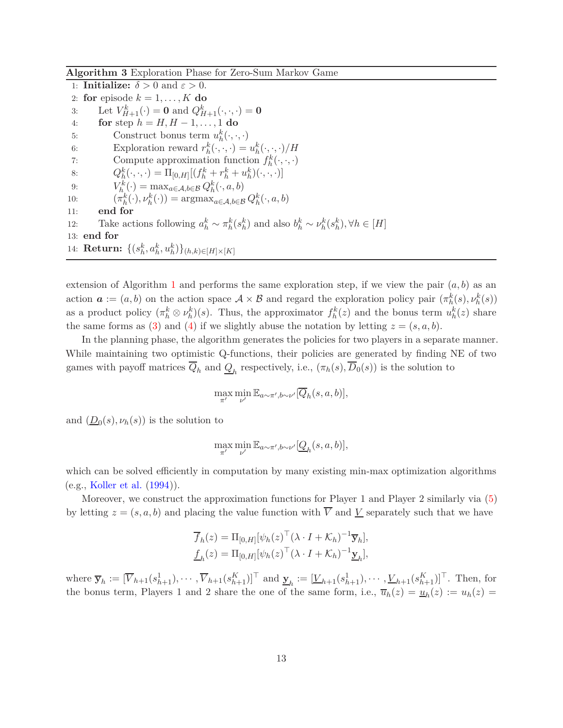<span id="page-12-0"></span>**Algorithm 3** Exploration Phase for Zero-Sum Markov Game

1: **Initialize:**  $\delta > 0$  and  $\varepsilon > 0$ . 2: **for** episode  $k = 1, \ldots, K$  **do** 3: Let  $V_{H+1}^k(\cdot) = 0$  and  $Q_{H+1}^k(\cdot, \cdot, \cdot) = 0$ 4: **for** step *h* = *H, H* − 1*, . . . ,* 1 **do** 5: Construct bonus term  $u_h^k(\cdot, \cdot, \cdot)$ 6: Exploration reward  $r_h^k(\cdot, \cdot, \cdot) = u_h^k(\cdot, \cdot, \cdot) / H$ 7: Compute approximation function  $f_h^k(\cdot, \cdot, \cdot)$ 8:  $Q_h^k(\cdot, \cdot, \cdot) = \Pi_{[0,H]}[(f_h^k + r_h^k + u_h^k)(\cdot, \cdot, \cdot)]$ 9:  $V_h^k(\cdot) = \max_{a \in \mathcal{A}, b \in \mathcal{B}} Q_h^k(\cdot, a, b)$ 10:  $(\pi_h^k(\cdot), \nu_h^k(\cdot)) = \operatorname{argmax}_{a \in \mathcal{A}, b \in \mathcal{B}} Q_h^k(\cdot, a, b)$ 11: **end for** 12: Take actions following  $a_h^k \sim \pi_h^k(s_h^k)$  and also  $b_h^k \sim \nu_h^k(s_h^k)$ ,  $\forall h \in [H]$ 13: **end for** 14:  ${\bf Return:} \; \{ (s_h^k, a_h^k, u_h^k) \}_{(h,k) \in [H] \times [K]}$ 

extension of Algorithm [1](#page-6-0) and performs the same exploration step, if we view the pair  $(a, b)$  as an action  $\boldsymbol{a} := (a, b)$  on the action space  $\mathcal{A} \times \mathcal{B}$  and regard the exploration policy pair  $(\pi_h^k(s), \nu_h^k(s))$ as a product policy  $(\pi_h^k \otimes \nu_h^k)(s)$ . Thus, the approximator  $f_h^k(z)$  and the bonus term  $u_h^k(z)$  share the same forms as [\(3\)](#page-7-1) and [\(4\)](#page-7-2) if we slightly abuse the notation by letting  $z = (s, a, b)$ .

In the planning phase, the algorithm generates the policies for two players in a separate manner. While maintaining two optimistic Q-functions, their policies are generated by finding NE of two games with payoff matrices  $Q_h$  and  $\underline{Q}_h$  respectively, i.e.,  $(\pi_h(s), D_0(s))$  is the solution to

$$
\max_{\pi'} \min_{\nu'} \mathbb{E}_{a \sim \pi', b \sim \nu'}[\overline{Q}_h(s, a, b)],
$$

and  $(\underline{D}_0(s), \nu_h(s))$  is the solution to

$$
\max_{\pi'} \min_{\nu'} \mathbb{E}_{a \sim \pi', b \sim \nu'}[Q_h(s, a, b)],
$$

which can be solved efficiently in computation by many existing min-max optimization algorithms (e.g., [Koller et al.](#page-18-12) [\(1994](#page-18-12))).

Moreover, we construct the approximation functions for Player 1 and Player 2 similarly via [\(5\)](#page-7-3) by letting  $z = (s, a, b)$  and placing the value function with  $\overline{V}$  and  $\underline{V}$  separately such that we have

$$
\overline{f}_h(z) = \Pi_{[0,H]}[\psi_h(z)^\top (\lambda \cdot I + \mathcal{K}_h)^{-1} \overline{\mathbf{y}}_h],
$$
  

$$
\underline{f}_h(z) = \Pi_{[0,H]}[\psi_h(z)^\top (\lambda \cdot I + \mathcal{K}_h)^{-1} \underline{\mathbf{y}}_h],
$$

where  $\overline{\mathbf{y}}_h := [\overline{V}_{h+1}(s_{h+1}^1), \cdots, \overline{V}_{h+1}(s_{h+1}^K)]^\top$  and  $\underline{\mathbf{y}}_h := [\underline{V}_{h+1}(s_{h+1}^1), \cdots, \underline{V}_{h+1}(s_{h+1}^K)]^\top$ . Then, for the bonus term, Players 1 and 2 share the one of the same form, i.e.,  $\overline{u}_h(z) = \underline{u}_h(z) := u_h(z)$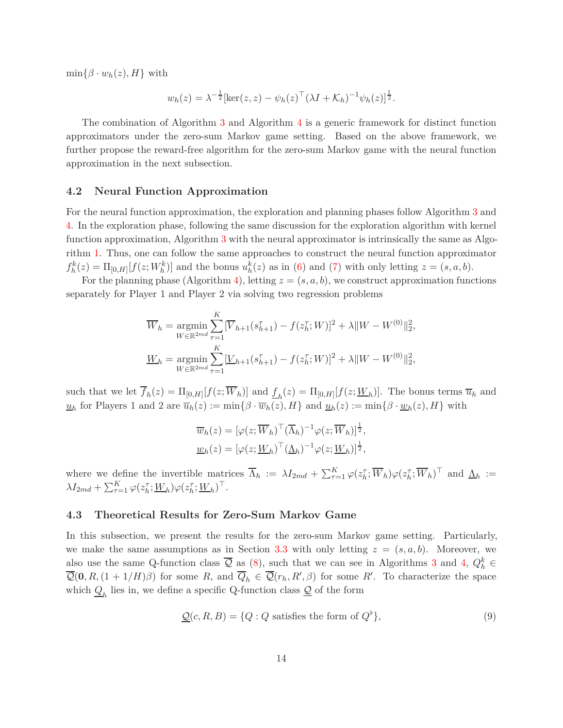$\min\{\beta \cdot w_h(z), H\}$  with

$$
w_h(z) = \lambda^{-\frac{1}{2}} [\ker(z, z) - \psi_h(z)^\top (\lambda I + \mathcal{K}_h)^{-1} \psi_h(z)]^{\frac{1}{2}}.
$$

The combination of Algorithm [3](#page-12-0) and Algorithm [4](#page-14-0) is a generic framework for distinct function approximators under the zero-sum Markov game setting. Based on the above framework, we further propose the reward-free algorithm for the zero-sum Markov game with the neural function approximation in the next subsection.

### **4.2 Neural Function Approximation**

For the neural function approximation, the exploration and planning phases follow Algorithm [3](#page-12-0) and [4.](#page-14-0) In the exploration phase, following the same discussion for the exploration algorithm with kernel function approximation, Algorithm [3](#page-12-0) with the neural approximator is intrinsically the same as Algorithm [1.](#page-6-0) Thus, one can follow the same approaches to construct the neural function approximator  $f_h^k(z) = \Pi_{[0,H]}[f(z;W_h^k)]$  and the bonus  $u_h^k(z)$  as in [\(6\)](#page-8-0) and [\(7\)](#page-9-0) with only letting  $z = (s, a, b)$ .

For the planning phase (Algorithm [4\)](#page-14-0), letting  $z = (s, a, b)$ , we construct approximation functions separately for Player 1 and Player 2 via solving two regression problems

$$
\overline{W}_h = \underset{W \in \mathbb{R}^{2md}}{\text{argmin}} \sum_{\tau=1}^K [\overline{V}_{h+1}(s_{h+1}^{\tau}) - f(z_h^{\tau}; W)]^2 + \lambda \|W - W^{(0)}\|_2^2,
$$
  

$$
\underline{W}_h = \underset{W \in \mathbb{R}^{2md}}{\text{argmin}} \sum_{\tau=1}^K [\underline{V}_{h+1}(s_{h+1}^{\tau}) - f(z_h^{\tau}; W)]^2 + \lambda \|W - W^{(0)}\|_2^2,
$$

such that we let  $f_h(z) = \Pi_{[0,H]}[f(z;W_h)]$  and  $\underline{f}_h(z) = \Pi_{[0,H]}[f(z;W_h)]$ . The bonus terms  $\overline{u}_h$  and  $u_h$  for Players 1 and 2 are  $\overline{u}_h(z) := \min\{\beta \cdot \overline{w}_h(z), H\}$  and  $\underline{u}_h(z) := \min\{\beta \cdot \underline{w}_h(z), H\}$  with

$$
\overline{w}_h(z) = [\varphi(z; \overline{W}_h)^\top (\overline{\Lambda}_h)^{-1} \varphi(z; \overline{W}_h)]^{\frac{1}{2}},
$$
  

$$
\underline{w}_h(z) = [\varphi(z; \underline{W}_h)^\top (\underline{\Lambda}_h)^{-1} \varphi(z; \underline{W}_h)]^{\frac{1}{2}},
$$

where we define the invertible matrices  $\overline{\Lambda}_h := \lambda I_{2md} + \sum_{\tau=1}^K \varphi(z_h^{\tau}; \overline{W}_h) \varphi(z_h^{\tau}; \overline{W}_h)^{\top}$  and  $\underline{\Lambda}_h :=$  $\lambda I_{2md} + \sum_{\tau=1}^{K} \varphi(z_h^{\tau};W_h) \varphi(z_h^{\tau};W_h)^{\top}.$ 

#### **4.3 Theoretical Results for Zero-Sum Markov Game**

In this subsection, we present the results for the zero-sum Markov game setting. Particularly, we make the same assumptions as in Section [3.3](#page-9-1) with only letting  $z = (s, a, b)$ . Moreover, we also use the same Q-function class  $\overline{Q}$  as [\(8\)](#page-10-1), such that we can see in Algorithms [3](#page-12-0) and [4,](#page-14-0)  $Q_h^k \in$  $Q(\mathbf{0}, R, (1 + 1/H)\beta)$  for some *R*, and  $Q_h \in Q(r_h, R', \beta)$  for some *R'*. To characterize the space which  $Q_h$  lies in, we define a specific Q-function class  $Q$  of the form

$$
\underline{\mathcal{Q}}(c, R, B) = \{Q : Q \text{ satisfies the form of } Q^{\flat}\},\tag{9}
$$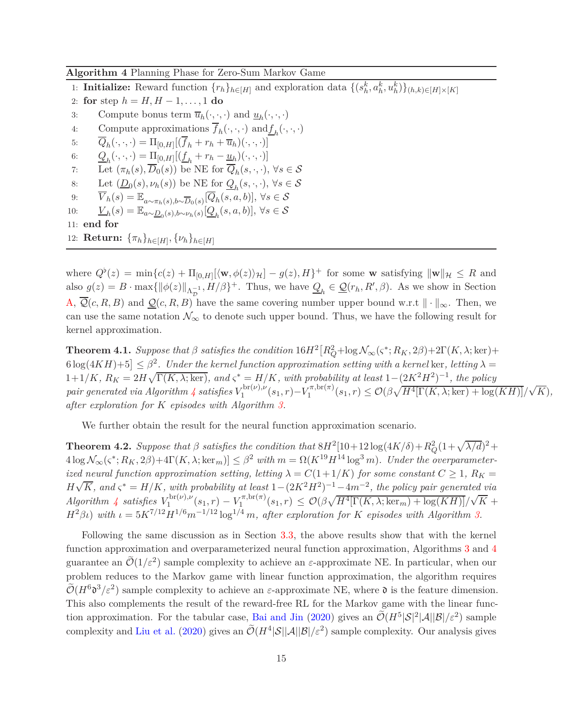<span id="page-14-0"></span>**Algorithm 4** Planning Phase for Zero-Sum Markov Game

1: **Initialize:** Reward function  $\{r_h\}_{h \in [H]}$  and exploration data  $\{(s_h^k, a_h^k, u_h^k)\}_{(h,k) \in [H] \times [K]}$ 

- 2: **for** step *h* = *H, H* − 1*, . . . ,* 1 **do**
- 3: Compute bonus term  $\overline{u}_h(\cdot,\cdot,\cdot)$  and  $\underline{u}_h(\cdot,\cdot,\cdot)$
- 4: Compute approximations  $f_h(\cdot, \cdot, \cdot)$  and  $\underline{f}_h(\cdot, \cdot, \cdot)$
- 5:  $Q_h(\cdot, \cdot, \cdot) = \Pi_{[0,H]}[(f_h + r_h + \overline{u}_h)(\cdot, \cdot, \cdot)]$
- 6:  $Q_h(\cdot, \cdot, \cdot) = \prod_{[0,H]} [(\underline{f}_h + r_h \underline{u}_h)(\cdot, \cdot, \cdot)]$
- 7: Let  $(\pi_h(s), D_0(s))$  be NE for  $Q_h(s, \cdot, \cdot)$ ,  $\forall s \in \mathcal{S}$
- 8: Let  $(\underline{D}_0(s), \nu_h(s))$  be NE for  $\underline{Q}_h(s, \cdot, \cdot), \forall s \in \mathcal{S}$
- 9:  $\overline{V}_h(s) = \mathbb{E}_{a \sim \pi_h(s), b \sim \overline{D}_0(s)} [\overline{Q}_h(s, a, b)], \forall s \in \mathcal{S}$
- 10:  $V_h(s) = \mathbb{E}_{a \sim \underline{D}_0(s), b \sim \nu_h(s)}[Q_h(s, a, b)], \forall s \in \mathcal{S}$

```
11: end for
```
12: **Return:**  ${\{\pi_h\}}_{h \in [H]}, {\{\nu_h\}}_{h \in [H]}$ 

where  $Q^{\flat}(z) = \min\{c(z) + \Pi_{[0,H]}[(\mathbf{w}, \phi(z))_{\mathcal{H}}] - g(z), H\}^+$  for some **w** satisfying  $\|\mathbf{w}\|_{\mathcal{H}} \leq R$  and also  $g(z) = B \cdot \max\{\|\phi(z)\|_{\Lambda_{\mathcal{D}}^{-1}}, H/\beta\}^+$ . Thus, we have  $\underline{Q}_h \in \underline{\mathcal{Q}}(r_h, R', \beta)$ . As we show in Section [A,](#page-21-0)  $\overline{Q}(c, R, B)$  and  $\underline{Q}(c, R, B)$  have the same covering number upper bound w.r.t  $\|\cdot\|_{\infty}$ . Then, we can use the same notation  $\mathcal{N}_{\infty}$  to denote such upper bound. Thus, we have the following result for kernel approximation.

<span id="page-14-1"></span>**Theorem 4.1.** *Suppose that*  $\beta$  *satisfies the condition*  $16H^2[R_Q^2 + \log N_\infty(\varsigma^*; R_K, 2\beta) + 2\Gamma(K, \lambda; \ker) +$  $\left[ 6 \log(4KH) + 5 \right] \leq \beta^2$ . Under the kernel function approximation setting with a kernel ker, letting  $\lambda =$  $1+1/K$ ,  $R_K = 2H\sqrt{\Gamma(K, \lambda; \ker)}$ , and  $\varsigma^* = H/K$ , with probability at least  $1-(2K^2H^2)^{-1}$ , the policy *pair generated via Algorithm*  $\frac{1}{4}$  $\frac{1}{4}$  $\frac{1}{4}$  *satisfies*  $V_1^{\text{br}(\nu),\nu}$  $V_1^{\text{br}(\nu),\nu}(s_1,r) - V_1^{\pi,\text{br}(\pi)}$  $\frac{\sigma}{1}$ ,  $\ln(\pi)(s_1, r) \leq \mathcal{O}(\beta \sqrt{H^4[\Gamma(K, \lambda; \ker) + \log(KH)]}/\sqrt{K}),$ *after exploration for K episodes with Algorithm [3.](#page-12-0)*

We further obtain the result for the neural function approximation scenario.

<span id="page-14-2"></span>**Theorem 4.2.** *Suppose that*  $\beta$  *satisfies the condition that*  $8H^2[10+12\log(4K/\delta)+R_Q^2(1+\sqrt{\lambda/d})^2+$  $4 \log \mathcal{N}_{\infty}(\varsigma^*; R_K, 2\beta) + 4\Gamma(K, \lambda; \ker_m) \leq \beta^2 \text{ with } m = \Omega(K^{19} H^{14} \log^3 m)$ . Under the overparameter*ized neural function approximation setting, letting*  $\lambda = C(1 + 1/K)$  *for some constant*  $C \geq 1$ *,*  $R_K =$  $H\sqrt{K}$ , and  $\varsigma^* = H/K$ , with probability at least  $1-(2K^2H^2)^{-1}-4m^{-2}$ , the policy pair generated via *Algorithm* [4](#page-14-0) *satisfies*  $V_1^{\text{br}(\nu),\nu}$  $V_1^{\text{br}(\nu),\nu}(s_1,r) - V_1^{\pi,\text{br}(\pi)}$  $\frac{1}{\sqrt{\pi}}, \operatorname{br}(\pi)(s_1, r) \leq \mathcal{O}(\beta \sqrt{H^4[\Gamma(K, \lambda; \ker_m) + \log(KH)]}/\sqrt{K} + \frac{1}{\sqrt{\pi}}$  $H^2\beta_l$ ) *with*  $\iota = 5K^{7/12}H^{1/6}m^{-1/12}\log^{1/4}m$ , after exploration for *K* episodes with Algorithm [3.](#page-12-0)

Following the same discussion as in Section [3.3,](#page-9-1) the above results show that with the kernel function approximation and overparameterized neural function approximation, Algorithms [3](#page-12-0) and [4](#page-14-0) guarantee an  $\mathcal{O}(1/\varepsilon^2)$  sample complexity to achieve an  $\varepsilon$ -approximate NE. In particular, when our problem reduces to the Markov game with linear function approximation, the algorithm requires  $\widetilde{\mathcal{O}}(H^6\mathfrak{d}^3/\varepsilon^2)$  sample complexity to achieve an  $\varepsilon$ -approximate NE, where  $\mathfrak{d}$  is the feature dimension. This also complements the result of the reward-free RL for the Markov game with the linear func-tion approximation. For the tabular case, [Bai and Jin](#page-17-1) [\(2020\)](#page-17-1) gives an  $\tilde{\mathcal{O}}(H^5|\mathcal{S}|^2|\mathcal{A}||\mathcal{B}|/\varepsilon^2)$  sample complexity and [Liu et al.](#page-18-6) [\(2020](#page-18-6)) gives an  $\tilde{\mathcal{O}}(H^4|\mathcal{S}||\mathcal{A}||\mathcal{B}|/\varepsilon^2)$  sample complexity. Our analysis gives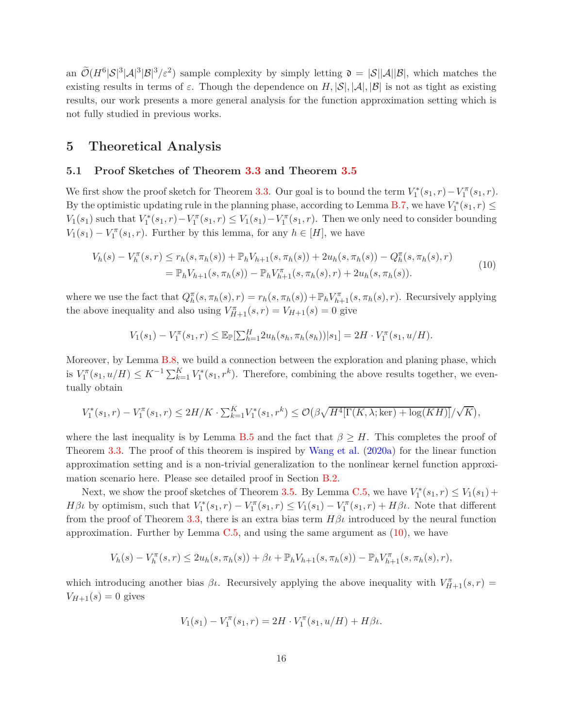an  $\widetilde{\mathcal{O}}(H^6|\mathcal{S}|^3|\mathcal{A}|^3|\mathcal{B}|^3/\varepsilon^2)$  sample complexity by simply letting  $\mathfrak{d} = |\mathcal{S}||\mathcal{A}||\mathcal{B}|$ , which matches the existing results in terms of  $\varepsilon$ . Though the dependence on  $H, |\mathcal{S}|, |\mathcal{A}|, |\mathcal{B}|$  is not as tight as existing results, our work presents a more general analysis for the function approximation setting which is not fully studied in previous works.

## **5 Theoretical Analysis**

### **5.1 Proof Sketches of Theorem [3.3](#page-10-0) and Theorem [3.5](#page-11-0)**

We first show the proof sketch for Theorem [3.3.](#page-10-0) Our goal is to bound the term  $V_1^*(s_1, r) - V_1^{\pi}(s_1, r)$ . By the optimistic updating rule in the planning phase, according to Lemma [B.7,](#page-34-0) we have  $V_1^*(s_1, r) \leq$ *V*<sub>1</sub>(*s*<sub>1</sub>) such that *V*<sup>\*</sup><sub>1</sub><sup> $\{s_1, r\}$  − *V*<sub>1</sub><sup> $\pi$ </sup>(*s*<sub>1</sub>, *r*) ≤ *V*<sub>1</sub>(*s*<sub>1</sub>, *r*). Then we only need to consider bounding</sup>  $V_1(s_1) - V_1^{\pi}(s_1, r)$ . Further by this lemma, for any  $h \in [H]$ , we have

$$
V_h(s) - V_h^{\pi}(s, r) \le r_h(s, \pi_h(s)) + \mathbb{P}_h V_{h+1}(s, \pi_h(s)) + 2u_h(s, \pi_h(s)) - Q_h^{\pi}(s, \pi_h(s), r)
$$
  
=  $\mathbb{P}_h V_{h+1}(s, \pi_h(s)) - \mathbb{P}_h V_{h+1}^{\pi}(s, \pi_h(s), r) + 2u_h(s, \pi_h(s)).$  (10)

where we use the fact that  $Q_h^{\pi}(s, \pi_h(s), r) = r_h(s, \pi_h(s)) + \mathbb{P}_h V_{h+1}^{\pi}(s, \pi_h(s), r)$ . Recursively applying the above inequality and also using  $V_{H+1}^{\pi}(s, r) = V_{H+1}(s) = 0$  give

<span id="page-15-0"></span>
$$
V_1(s_1) - V_1^{\pi}(s_1, r) \leq \mathbb{E}_{\mathbb{P}}[\sum_{h=1}^H 2u_h(s_h, \pi_h(s_h)) | s_1] = 2H \cdot V_1^{\pi}(s_1, u/H).
$$

Moreover, by Lemma [B.8,](#page-35-0) we build a connection between the exploration and planing phase, which is  $V_1^{\pi}(s_1, u/H) \leq K^{-1} \sum_{k=1}^K V_1^*(s_1, r^k)$ . Therefore, combining the above results together, we eventually obtain

$$
V_1^*(s_1,r) - V_1^{\pi}(s_1,r) \le 2H/K \cdot \sum_{k=1}^K V_1^*(s_1,r^k) \le \mathcal{O}(\beta \sqrt{H^4[\Gamma(K,\lambda;\ker) + \log(KH)]}/\sqrt{K}),
$$

where the last inequality is by Lemma [B.5](#page-30-0) and the fact that  $\beta \geq H$ . This completes the proof of Theorem [3.3.](#page-10-0) The proof of this theorem is inspired by [Wang et al.](#page-19-3) [\(2020a](#page-19-3)) for the linear function approximation setting and is a non-trivial generalization to the nonlinear kernel function approximation scenario here. Please see detailed proof in Section [B.2.](#page-37-0)

Next, we show the proof sketches of Theorem [3.5.](#page-11-0) By Lemma [C.5,](#page-51-0) we have  $V_1^*(s_1, r) \le V_1(s_1) +$  $H\beta\iota$  by optimism, such that  $V_1^*(s_1, r) - V_1^{\pi}(s_1, r) \leq V_1(s_1) - V_1^{\pi}(s_1, r) + H\beta\iota$ . Note that different from the proof of Theorem [3.3,](#page-10-0) there is an extra bias term  $H\beta\iota$  introduced by the neural function approximation. Further by Lemma  $C.5$ , and using the same argument as  $(10)$ , we have

$$
V_h(s) - V_h^{\pi}(s,r) \le 2u_h(s, \pi_h(s)) + \beta \iota + \mathbb{P}_h V_{h+1}(s, \pi_h(s)) - \mathbb{P}_h V_{h+1}^{\pi}(s, \pi_h(s), r),
$$

which introducing another bias  $\beta\iota$ . Recursively applying the above inequality with  $V_{H+1}^{\pi}(s,r)$  =  $V_{H+1}(s) = 0$  gives

$$
V_1(s_1) - V_1^{\pi}(s_1, r) = 2H \cdot V_1^{\pi}(s_1, u/H) + H\beta\iota.
$$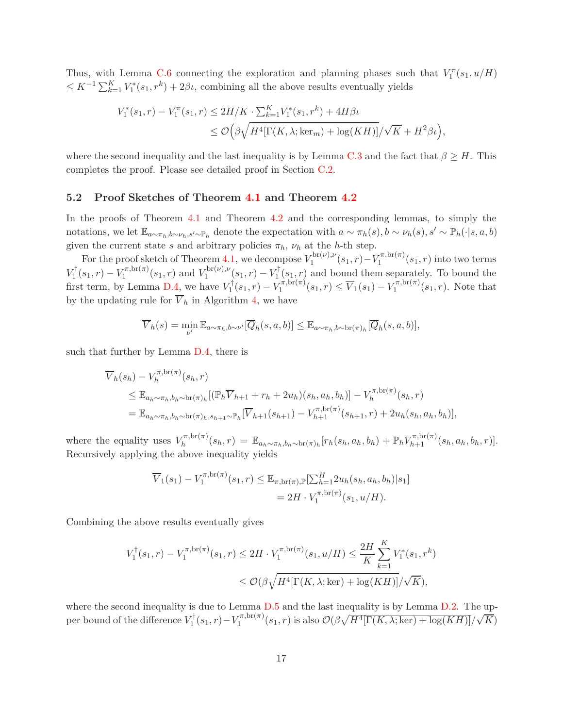Thus, with Lemma [C.6](#page-52-0) connecting the exploration and planning phases such that  $V_1^{\pi}(s_1, u/H)$  $\leq K^{-1} \sum_{k=1}^{K} V_1^*(s_1, r^k) + 2\beta\iota$ , combining all the above results eventually yields

$$
V_1^*(s_1, r) - V_1^{\pi}(s_1, r) \le 2H/K \cdot \sum_{k=1}^K V_1^*(s_1, r^k) + 4H\beta\iota
$$
  

$$
\le \mathcal{O}\Big(\beta\sqrt{H^4[\Gamma(K, \lambda; \ker_m) + \log(KH)]}/\sqrt{K} + H^2\beta\iota\Big),
$$

where the second inequality and the last inequality is by Lemma [C.3](#page-48-0) and the fact that  $\beta \geq H$ . This completes the proof. Please see detailed proof in Section [C.2.](#page-53-0)

#### **5.2 Proof Sketches of Theorem [4.1](#page-14-1) and Theorem [4.2](#page-14-2)**

In the proofs of Theorem [4.1](#page-14-1) and Theorem [4.2](#page-14-2) and the corresponding lemmas, to simply the notations, we let  $\mathbb{E}_{a\sim\pi_h,b\sim\nu_h,s'\sim\mathbb{P}_h}$  denote the expectation with  $a\sim\pi_h(s), b\sim\nu_h(s), s'\sim\mathbb{P}_h(\cdot|s,a,b)$ given the current state *s* and arbitrary policies  $\pi_h$ ,  $\nu_h$  at the *h*-th step.

For the proof sketch of Theorem [4.1,](#page-14-1) we decompose  $V_1^{\text{br}(\nu),\nu}$  $V_1^{\text{br}(\nu),\nu}(s_1,r) - V_1^{\pi,\text{br}(\pi)}$  $\int_1^{\pi/0.01(\pi)} (s_1, r)$  into two terms  $V_1^{\dagger}(s_1, r) - V_1^{\pi, \text{br}(\pi)}$  $V_1^{\pi, \text{br}(\pi)}(s_1, r)$  and  $V_1^{\text{br}(\nu), \nu}$  $\sum_{1}^{\text{opt}(v),v}(s_1,r)-V_1^{\dagger}(s_1,r)$  and bound them separately. To bound the first term, by Lemma [D.4,](#page-58-0) we have  $V_1^{\dagger}(s_1, r) - V_1^{\pi, \text{br}(\pi)}$  $V_1^{\pi, \text{br}(\pi)}(s_1, r) \leq \overline{V}_1(s_1) - V_1^{\pi, \text{br}(\pi)}$  $\int_1^{r_1, \text{or}(\pi)} (s_1, r)$ . Note that by the updating rule for  $\overline{V}_h$  in Algorithm [4,](#page-14-0) we have

$$
\overline{V}_h(s) = \min_{\nu'} \mathbb{E}_{a \sim \pi_h, b \sim \nu'}[\overline{Q}_h(s, a, b)] \leq \mathbb{E}_{a \sim \pi_h, b \sim \text{br}(\pi)_h}[\overline{Q}_h(s, a, b)],
$$

such that further by Lemma [D.4,](#page-58-0) there is

$$
\overline{V}_h(s_h) - V_h^{\pi, br(\pi)}(s_h, r) \n\leq \mathbb{E}_{a_h \sim \pi_h, b_h \sim \text{br}(\pi)_h} [(\mathbb{P}_h \overline{V}_{h+1} + r_h + 2u_h)(s_h, a_h, b_h)] - V_h^{\pi, br(\pi)}(s_h, r) \n= \mathbb{E}_{a_h \sim \pi_h, b_h \sim \text{br}(\pi)_{h}, s_{h+1} \sim \mathbb{P}_h} [\overline{V}_{h+1}(s_{h+1}) - V_{h+1}^{\pi, br(\pi)}(s_{h+1}, r) + 2u_h(s_h, a_h, b_h)],
$$

where the equality uses  $V^{\pi, \text{br}(\pi)}_h$  $\mathbb{E}_{h}^{\pi,\text{br}(\pi)}(s_{h},r) = \mathbb{E}_{a_{h}\sim\pi_{h},b_{h}\sim\text{br}(\pi)_{h}}[r_{h}(s_{h},a_{h},b_{h}) + \mathbb{P}_{h}V_{h+1}^{\pi,\text{br}(\pi)}(s_{h},a_{h},b_{h},r)].$ Recursively applying the above inequality yields

$$
\overline{V}_1(s_1) - V_1^{\pi, \text{br}(\pi)}(s_1, r) \leq \mathbb{E}_{\pi, \text{br}(\pi), \mathbb{P}}[\sum_{h=1}^H 2u_h(s_h, a_h, b_h)|s_1] \n= 2H \cdot V_1^{\pi, \text{br}(\pi)}(s_1, u/H).
$$

Combining the above results eventually gives

$$
V_1^{\dagger}(s_1, r) - V_1^{\pi, \text{br}(\pi)}(s_1, r) \le 2H \cdot V_1^{\pi, \text{br}(\pi)}(s_1, u/H) \le \frac{2H}{K} \sum_{k=1}^K V_1^*(s_1, r^k)
$$
  

$$
\le \mathcal{O}(\beta \sqrt{H^4[\Gamma(K, \lambda; \text{ker}) + \log(KH)]}/\sqrt{K}),
$$

where the second inequality is due to Lemma  $D.5$  and the last inequality is by Lemma  $D.2$ . The upper bound of the difference  $V_1^{\dagger}(s_1, r) - V_1^{\pi, \text{br}(\pi)}$  $\frac{\partial}{\partial t} \left( s_1, r \right)$  is also  $\mathcal{O}\left( \beta \sqrt{H^4 \left[ \Gamma(K, \lambda; \ker) + \log(KH) \right]} / \sqrt{K} \right)$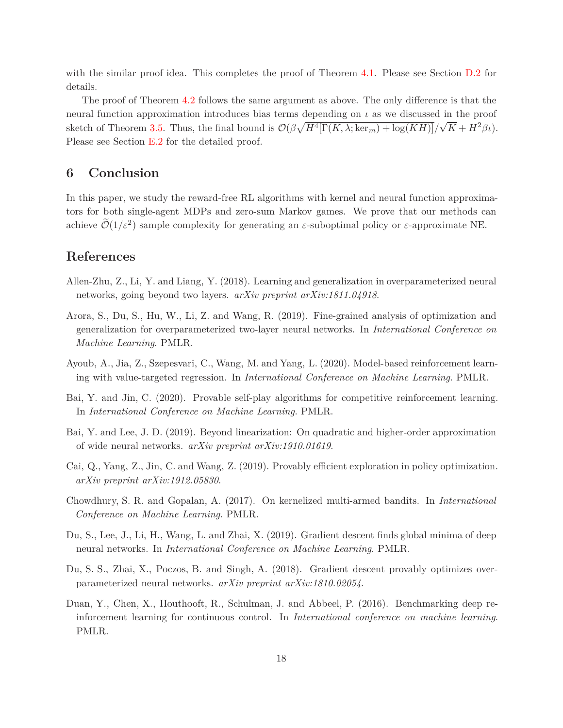with the similar proof idea. This completes the proof of Theorem [4.1.](#page-14-1) Please see Section [D.2](#page-60-0) for details.

The proof of Theorem [4.2](#page-14-2) follows the same argument as above. The only difference is that the neural function approximation introduces bias terms depending on *ι* as we discussed in the proof sketch of Theorem [3.5.](#page-11-0) Thus, the final bound is  $\mathcal{O}(\beta \sqrt{H^4[\Gamma(K, \lambda; \ker_m) + \log(KH)]}/\sqrt{K} + H^2 \beta \iota$ . Please see Section [E.2](#page-66-0) for the detailed proof.

# **6 Conclusion**

In this paper, we study the reward-free RL algorithms with kernel and neural function approximators for both single-agent MDPs and zero-sum Markov games. We prove that our methods can achieve  $\mathcal{O}(1/\varepsilon^2)$  sample complexity for generating an  $\varepsilon$ -suboptimal policy or  $\varepsilon$ -approximate NE.

# **References**

- <span id="page-17-5"></span>Allen-Zhu, Z., Li, Y. and Liang, Y. (2018). Learning and generalization in overparameterized neural networks, going beyond two layers. *arXiv preprint arXiv:1811.04918*.
- <span id="page-17-6"></span>Arora, S., Du, S., Hu, W., Li, Z. and Wang, R. (2019). Fine-grained analysis of optimization and generalization for overparameterized two-layer neural networks. In *International Conference on Machine Learning*. PMLR.
- <span id="page-17-3"></span>Ayoub, A., Jia, Z., Szepesvari, C., Wang, M. and Yang, L. (2020). Model-based reinforcement learning with value-targeted regression. In *International Conference on Machine Learning*. PMLR.
- <span id="page-17-1"></span>Bai, Y. and Jin, C. (2020). Provable self-play algorithms for competitive reinforcement learning. In *International Conference on Machine Learning*. PMLR.
- <span id="page-17-7"></span>Bai, Y. and Lee, J. D. (2019). Beyond linearization: On quadratic and higher-order approximation of wide neural networks. *arXiv preprint arXiv:1910.01619*.
- <span id="page-17-2"></span>Cai, Q., Yang, Z., Jin, C. and Wang, Z. (2019). Provably efficient exploration in policy optimization. *arXiv preprint arXiv:1912.05830*.
- <span id="page-17-4"></span>Chowdhury, S. R. and Gopalan, A. (2017). On kernelized multi-armed bandits. In *International Conference on Machine Learning*. PMLR.
- <span id="page-17-8"></span>Du, S., Lee, J., Li, H., Wang, L. and Zhai, X. (2019). Gradient descent finds global minima of deep neural networks. In *International Conference on Machine Learning*. PMLR.
- <span id="page-17-9"></span>Du, S. S., Zhai, X., Poczos, B. and Singh, A. (2018). Gradient descent provably optimizes overparameterized neural networks. *arXiv preprint arXiv:1810.02054*.
- <span id="page-17-0"></span>Duan, Y., Chen, X., Houthooft, R., Schulman, J. and Abbeel, P. (2016). Benchmarking deep reinforcement learning for continuous control. In *International conference on machine learning*. PMLR.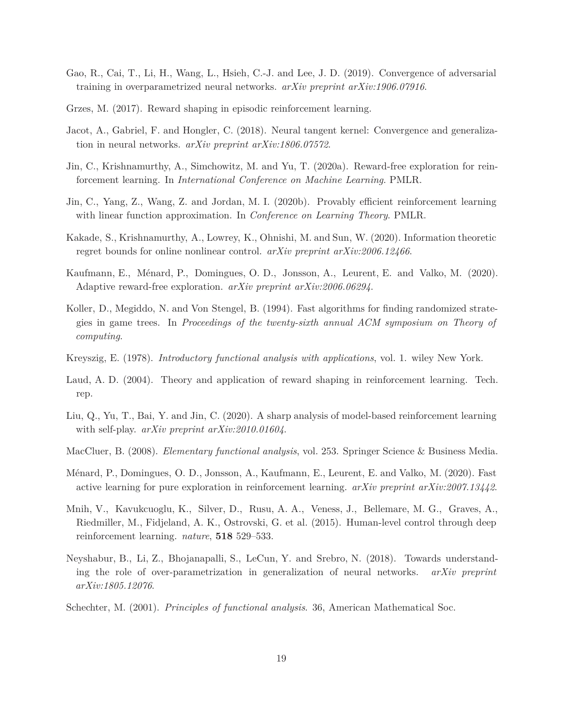- <span id="page-18-10"></span>Gao, R., Cai, T., Li, H., Wang, L., Hsieh, C.-J. and Lee, J. D. (2019). Convergence of adversarial training in overparametrized neural networks. *arXiv preprint arXiv:1906.07916*.
- <span id="page-18-2"></span>Grzes, M. (2017). Reward shaping in episodic reinforcement learning.
- <span id="page-18-11"></span>Jacot, A., Gabriel, F. and Hongler, C. (2018). Neural tangent kernel: Convergence and generalization in neural networks. *arXiv preprint arXiv:1806.07572*.
- <span id="page-18-3"></span>Jin, C., Krishnamurthy, A., Simchowitz, M. and Yu, T. (2020a). Reward-free exploration for reinforcement learning. In *International Conference on Machine Learning*. PMLR.
- <span id="page-18-7"></span>Jin, C., Yang, Z., Wang, Z. and Jordan, M. I. (2020b). Provably efficient reinforcement learning with linear function approximation. In *Conference on Learning Theory*. PMLR.
- <span id="page-18-8"></span>Kakade, S., Krishnamurthy, A., Lowrey, K., Ohnishi, M. and Sun, W. (2020). Information theoretic regret bounds for online nonlinear control. *arXiv preprint arXiv:2006.12466*.
- <span id="page-18-4"></span>Kaufmann, E., Ménard, P., Domingues, O. D., Jonsson, A., Leurent, E. and Valko, M. (2020). Adaptive reward-free exploration. *arXiv preprint arXiv:2006.06294*.
- <span id="page-18-12"></span>Koller, D., Megiddo, N. and Von Stengel, B. (1994). Fast algorithms for finding randomized strategies in game trees. In *Proceedings of the twenty-sixth annual ACM symposium on Theory of computing*.
- <span id="page-18-13"></span>Kreyszig, E. (1978). *Introductory functional analysis with applications*, vol. 1. wiley New York.
- <span id="page-18-1"></span>Laud, A. D. (2004). Theory and application of reward shaping in reinforcement learning. Tech. rep.
- <span id="page-18-6"></span>Liu, Q., Yu, T., Bai, Y. and Jin, C. (2020). A sharp analysis of model-based reinforcement learning with self-play. *arXiv preprint arXiv:2010.01604*.
- <span id="page-18-15"></span>MacCluer, B. (2008). *Elementary functional analysis*, vol. 253. Springer Science & Business Media.
- <span id="page-18-5"></span>Ménard, P., Domingues, O. D., Jonsson, A., Kaufmann, E., Leurent, E. and Valko, M. (2020). Fast active learning for pure exploration in reinforcement learning. *arXiv preprint arXiv:2007.13442*.
- <span id="page-18-0"></span>Mnih, V., Kavukcuoglu, K., Silver, D., Rusu, A. A., Veness, J., Bellemare, M. G., Graves, A., Riedmiller, M., Fidjeland, A. K., Ostrovski, G. et al. (2015). Human-level control through deep reinforcement learning. *nature*, **518** 529–533.
- <span id="page-18-9"></span>Neyshabur, B., Li, Z., Bhojanapalli, S., LeCun, Y. and Srebro, N. (2018). Towards understanding the role of over-parametrization in generalization of neural networks. *arXiv preprint arXiv:1805.12076*.
- <span id="page-18-14"></span>Schechter, M. (2001). *Principles of functional analysis*. 36, American Mathematical Soc.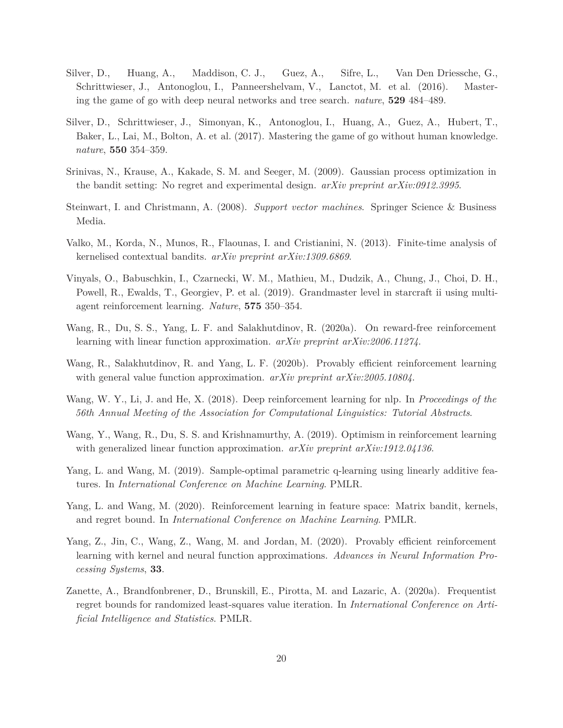- <span id="page-19-0"></span>Silver, D., Huang, A., Maddison, C. J., Guez, A., Sifre, L., Van Den Driessche, G., Schrittwieser, J., Antonoglou, I., Panneershelvam, V., Lanctot, M. et al. (2016). Mastering the game of go with deep neural networks and tree search. *nature*, **529** 484–489.
- <span id="page-19-1"></span>Silver, D., Schrittwieser, J., Simonyan, K., Antonoglou, I., Huang, A., Guez, A., Hubert, T., Baker, L., Lai, M., Bolton, A. et al. (2017). Mastering the game of go without human knowledge. *nature*, **550** 354–359.
- <span id="page-19-10"></span>Srinivas, N., Krause, A., Kakade, S. M. and Seeger, M. (2009). Gaussian process optimization in the bandit setting: No regret and experimental design. *arXiv preprint arXiv:0912.3995*.
- <span id="page-19-13"></span>Steinwart, I. and Christmann, A. (2008). *Support vector machines*. Springer Science & Business Media.
- <span id="page-19-11"></span>Valko, M., Korda, N., Munos, R., Flaounas, I. and Cristianini, N. (2013). Finite-time analysis of kernelised contextual bandits. *arXiv preprint arXiv:1309.6869*.
- <span id="page-19-2"></span>Vinyals, O., Babuschkin, I., Czarnecki, W. M., Mathieu, M., Dudzik, A., Chung, J., Choi, D. H., Powell, R., Ewalds, T., Georgiev, P. et al. (2019). Grandmaster level in starcraft ii using multiagent reinforcement learning. *Nature*, **575** 350–354.
- <span id="page-19-3"></span>Wang, R., Du, S. S., Yang, L. F. and Salakhutdinov, R. (2020a). On reward-free reinforcement learning with linear function approximation. *arXiv preprint arXiv:2006.11274*.
- <span id="page-19-9"></span>Wang, R., Salakhutdinov, R. and Yang, L. F. (2020b). Provably efficient reinforcement learning with general value function approximation. *arXiv preprint arXiv:2005.10804*.
- <span id="page-19-4"></span>Wang, W. Y., Li, J. and He, X. (2018). Deep reinforcement learning for nlp. In *Proceedings of the 56th Annual Meeting of the Association for Computational Linguistics: Tutorial Abstracts*.
- <span id="page-19-8"></span>Wang, Y., Wang, R., Du, S. S. and Krishnamurthy, A. (2019). Optimism in reinforcement learning with generalized linear function approximation. *arXiv preprint arXiv:1912.04136*.
- <span id="page-19-5"></span>Yang, L. and Wang, M. (2019). Sample-optimal parametric q-learning using linearly additive features. In *International Conference on Machine Learning*. PMLR.
- <span id="page-19-6"></span>Yang, L. and Wang, M. (2020). Reinforcement learning in feature space: Matrix bandit, kernels, and regret bound. In *International Conference on Machine Learning*. PMLR.
- <span id="page-19-12"></span>Yang, Z., Jin, C., Wang, Z., Wang, M. and Jordan, M. (2020). Provably efficient reinforcement learning with kernel and neural function approximations. *Advances in Neural Information Processing Systems*, **33**.
- <span id="page-19-7"></span>Zanette, A., Brandfonbrener, D., Brunskill, E., Pirotta, M. and Lazaric, A. (2020a). Frequentist regret bounds for randomized least-squares value iteration. In *International Conference on Artificial Intelligence and Statistics*. PMLR.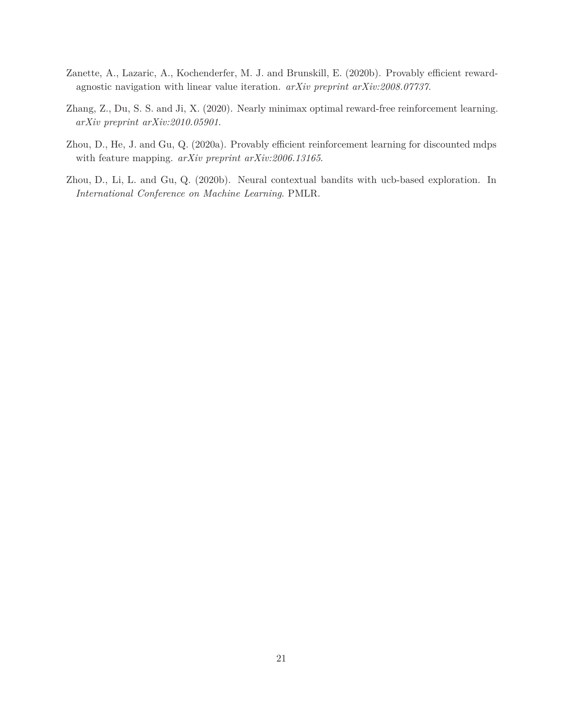- <span id="page-20-1"></span>Zanette, A., Lazaric, A., Kochenderfer, M. J. and Brunskill, E. (2020b). Provably efficient rewardagnostic navigation with linear value iteration. *arXiv preprint arXiv:2008.07737*.
- <span id="page-20-0"></span>Zhang, Z., Du, S. S. and Ji, X. (2020). Nearly minimax optimal reward-free reinforcement learning. *arXiv preprint arXiv:2010.05901*.
- <span id="page-20-2"></span>Zhou, D., He, J. and Gu, Q. (2020a). Provably efficient reinforcement learning for discounted mdps with feature mapping. *arXiv preprint arXiv:2006.13165*.
- <span id="page-20-3"></span>Zhou, D., Li, L. and Gu, Q. (2020b). Neural contextual bandits with ucb-based exploration. In *International Conference on Machine Learning*. PMLR.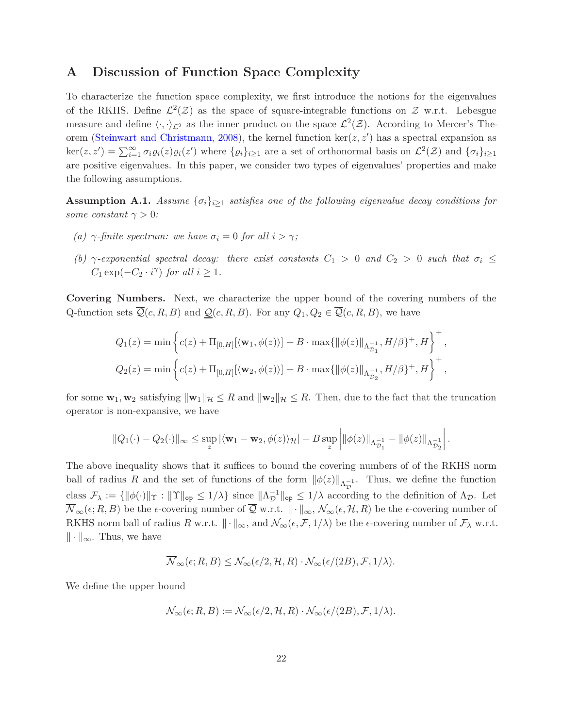# <span id="page-21-0"></span>**A Discussion of Function Space Complexity**

To characterize the function space complexity, we first introduce the notions for the eigenvalues of the RKHS. Define  $\mathcal{L}^2(\mathcal{Z})$  as the space of square-integrable functions on  $\mathcal{Z}$  w.r.t. Lebesgue measure and define  $\langle \cdot, \cdot \rangle_{\mathcal{L}^2}$  as the inner product on the space  $\mathcal{L}^2(\mathcal{Z})$ . According to Mercer's Theorem [\(Steinwart and Christmann,](#page-19-13) [2008](#page-19-13)), the kernel function ker(*z, z*′ ) has a spectral expansion as  $\ker(z, z') = \sum_{i=1}^{\infty} \sigma_i \varrho_i(z) \varrho_i(z')$  where  $\{\varrho_i\}_{i\geq 1}$  are a set of orthonormal basis on  $\mathcal{L}^2(\mathcal{Z})$  and  $\{\sigma_i\}_{i\geq 1}$ are positive eigenvalues. In this paper, we consider two types of eigenvalues' properties and make the following assumptions.

**Assumption A.1.** *Assume*  $\{\sigma_i\}_{i\geq 1}$  *satisfies one of the following eigenvalue decay conditions for some constant*  $\gamma > 0$ *:* 

- *(a)*  $\gamma$ -finite spectrum: we have  $\sigma_i = 0$  for all  $i > \gamma$ ;
- *(b)*  $\gamma$ -exponential spectral decay: there exist constants  $C_1 > 0$  and  $C_2 > 0$  such that  $\sigma_i \leq$  $C_1 \exp(-C_2 \cdot i^{\gamma})$  *for all*  $i \geq 1$ *.*

**Covering Numbers.** Next, we characterize the upper bound of the covering numbers of the Q-function sets  $\overline{Q}(c, R, B)$  and  $\underline{Q}(c, R, B)$ . For any  $Q_1, Q_2 \in \overline{Q}(c, R, B)$ , we have

$$
Q_1(z) = \min \left\{ c(z) + \Pi_{[0,H]}[\langle \mathbf{w}_1, \phi(z) \rangle] + B \cdot \max \{ ||\phi(z)||_{\Lambda_{\mathcal{D}_1}^{-1}}, H/\beta \}^+, H \right\}^+,
$$
  

$$
Q_2(z) = \min \left\{ c(z) + \Pi_{[0,H]}[\langle \mathbf{w}_2, \phi(z) \rangle] + B \cdot \max \{ ||\phi(z)||_{\Lambda_{\mathcal{D}_2}^{-1}}, H/\beta \}^+, H \right\}^+,
$$

for some  $\mathbf{w}_1, \mathbf{w}_2$  satisfying  $\|\mathbf{w}_1\|_{\mathcal{H}} \leq R$  and  $\|\mathbf{w}_2\|_{\mathcal{H}} \leq R$ . Then, due to the fact that the truncation operator is non-expansive, we have

$$
||Q_1(\cdot) - Q_2(\cdot)||_{\infty} \leq \sup_{z} |\langle \mathbf{w}_1 - \mathbf{w}_2, \phi(z) \rangle_{\mathcal{H}}| + B \sup_{z} \left| ||\phi(z)||_{\Lambda_{\mathcal{D}_1}^{-1}} - ||\phi(z)||_{\Lambda_{\mathcal{D}_2}^{-1}} \right|.
$$

The above inequality shows that it suffices to bound the covering numbers of of the RKHS norm ball of radius *R* and the set of functions of the form  $\|\phi(z)\|_{\Lambda_{\mathcal{D}}^{-1}}$ . Thus, we define the function class  $\mathcal{F}_{\lambda} := \{ ||\phi(\cdot)||_{\Upsilon} : ||\Upsilon||_{op} \leq 1/\lambda \}$  since  $||\Lambda_{\mathcal{D}}^{-1}||_{op} \leq 1/\lambda$  according to the definition of  $\Lambda_{\mathcal{D}}$ . Let  $\overline{\mathcal{N}}_{\infty}(\epsilon; R, B)$  be the  $\epsilon$ -covering number of  $\overline{\mathcal{Q}}$  w.r.t.  $\|\cdot\|_{\infty}, \mathcal{N}_{\infty}(\epsilon, \mathcal{H}, R)$  be the  $\epsilon$ -covering number of RKHS norm ball of radius *R* w.r.t.  $\|\cdot\|_{\infty}$ , and  $\mathcal{N}_{\infty}(\epsilon, \mathcal{F}, 1/\lambda)$  be the  $\epsilon$ -covering number of  $\mathcal{F}_{\lambda}$  w.r.t.  $\|\cdot\|_{\infty}$ . Thus, we have

$$
\overline{\mathcal{N}}_{\infty}(\epsilon; R, B) \le \mathcal{N}_{\infty}(\epsilon/2, \mathcal{H}, R) \cdot \mathcal{N}_{\infty}(\epsilon/(2B), \mathcal{F}, 1/\lambda).
$$

We define the upper bound

$$
\mathcal{N}_{\infty}(\epsilon; R, B) := \mathcal{N}_{\infty}(\epsilon/2, \mathcal{H}, R) \cdot \mathcal{N}_{\infty}(\epsilon/(2B), \mathcal{F}, 1/\lambda).
$$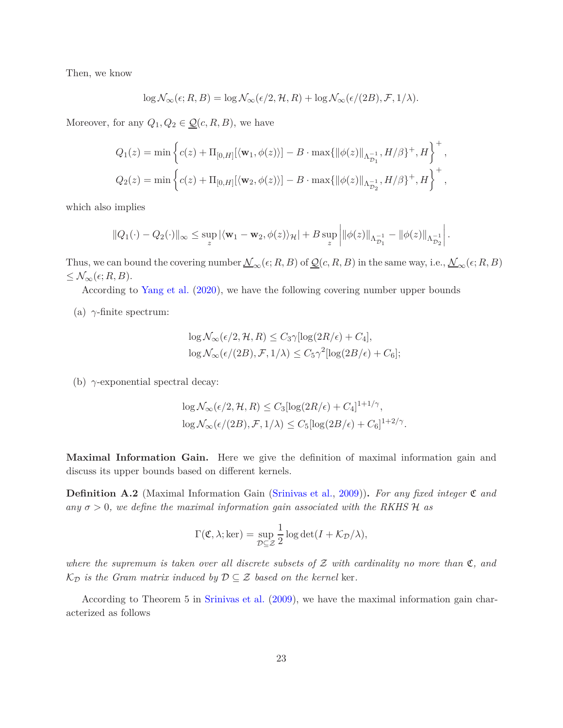Then, we know

$$
\log \mathcal{N}_{\infty}(\epsilon; R, B) = \log \mathcal{N}_{\infty}(\epsilon/2, \mathcal{H}, R) + \log \mathcal{N}_{\infty}(\epsilon/(2B), \mathcal{F}, 1/\lambda).
$$

Moreover, for any  $Q_1, Q_2 \in \underline{\mathcal{Q}}(c, R, B)$ , we have

$$
Q_1(z) = \min \left\{ c(z) + \Pi_{[0,H]}[\langle \mathbf{w}_1, \phi(z) \rangle] - B \cdot \max \{ ||\phi(z)||_{\Lambda_{\mathcal{D}_1}^{-1}}, H/\beta \}^+, H \right\}^+,
$$
  

$$
Q_2(z) = \min \left\{ c(z) + \Pi_{[0,H]}[\langle \mathbf{w}_2, \phi(z) \rangle] - B \cdot \max \{ ||\phi(z)||_{\Lambda_{\mathcal{D}_2}^{-1}}, H/\beta \}^+, H \right\}^+,
$$

which also implies

$$
\|Q_1(\cdot)-Q_2(\cdot)\|_{\infty}\leq \sup_z |\langle \mathbf{w}_1-\mathbf{w}_2, \phi(z)\rangle_{\mathcal{H}}|+B\sup_z \left|\|\phi(z)\|_{\Lambda_{\mathcal{D}_1}^{-1}}-\|\phi(z)\|_{\Lambda_{\mathcal{D}_2}^{-1}}\right|.
$$

Thus, we can bound the covering number  $\mathcal{N}_{\infty}(\epsilon; R, B)$  of  $\mathcal{Q}(c, R, B)$  in the same way, i.e.,  $\mathcal{N}_{\infty}(\epsilon; R, B)$  $\leq \mathcal{N}_{\infty}(\epsilon; R, B).$ 

According to [Yang et al.](#page-19-12) [\(2020](#page-19-12)), we have the following covering number upper bounds

(a)  $\gamma$ -finite spectrum:

$$
\log \mathcal{N}_{\infty}(\epsilon/2, \mathcal{H}, R) \le C_3 \gamma [\log(2R/\epsilon) + C_4],
$$
  

$$
\log \mathcal{N}_{\infty}(\epsilon/(2B), \mathcal{F}, 1/\lambda) \le C_5 \gamma^2 [\log(2B/\epsilon) + C_6];
$$

(b) *γ*-exponential spectral decay:

$$
\log \mathcal{N}_{\infty}(\epsilon/2, \mathcal{H}, R) \le C_3 [\log(2R/\epsilon) + C_4]^{1+1/\gamma},
$$
  

$$
\log \mathcal{N}_{\infty}(\epsilon/(2B), \mathcal{F}, 1/\lambda) \le C_5 [\log(2B/\epsilon) + C_6]^{1+2/\gamma}.
$$

**Maximal Information Gain.** Here we give the definition of maximal information gain and discuss its upper bounds based on different kernels.

<span id="page-22-0"></span>**Definition A.2** (Maximal Information Gain [\(Srinivas et al.,](#page-19-10) [2009](#page-19-10)))**.** *For any fixed integer* C *and any*  $\sigma > 0$ , we define the maximal information gain associated with the RKHS H as

$$
\Gamma(\mathfrak{C}, \lambda; \ker) = \sup_{\mathcal{D} \subseteq \mathcal{Z}} \frac{1}{2} \log \det(I + \mathcal{K}_{\mathcal{D}}/\lambda),
$$

*where the supremum is taken over all discrete subsets of* <sup>Z</sup> *with cardinality no more than* <sup>C</sup>*, and*  $\mathcal{K}_{\mathcal{D}}$  *is the Gram matrix induced by*  $\mathcal{D} \subseteq \mathcal{Z}$  *based on the kernel ker.* 

According to Theorem 5 in [Srinivas et al.](#page-19-10) [\(2009](#page-19-10)), we have the maximal information gain characterized as follows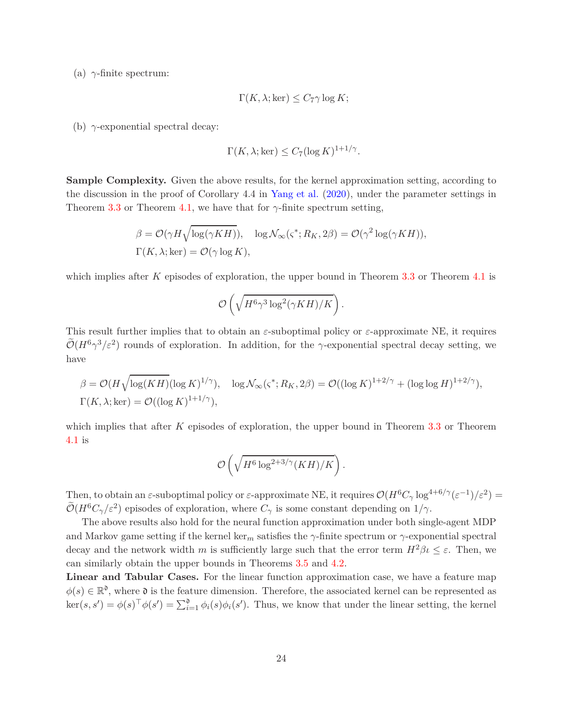(a)  $\gamma$ -finite spectrum:

$$
\Gamma(K, \lambda; \ker) \leq C_7 \gamma \log K;
$$

(b) *γ*-exponential spectral decay:

$$
\Gamma(K, \lambda; \ker) \le C_7 (\log K)^{1+1/\gamma}.
$$

**Sample Complexity.** Given the above results, for the kernel approximation setting, according to the discussion in the proof of Corollary 4.4 in [Yang et al.](#page-19-12) [\(2020\)](#page-19-12), under the parameter settings in Theorem [3.3](#page-10-0) or Theorem [4.1,](#page-14-1) we have that for  $\gamma$ -finite spectrum setting,

$$
\beta = \mathcal{O}(\gamma H \sqrt{\log(\gamma KH)}), \quad \log \mathcal{N}_{\infty}(\varsigma^*; R_K, 2\beta) = \mathcal{O}(\gamma^2 \log(\gamma KH)),
$$
  

$$
\Gamma(K, \lambda; \ker) = \mathcal{O}(\gamma \log K),
$$

which implies after *K* episodes of exploration, the upper bound in Theorem [3.3](#page-10-0) or Theorem [4.1](#page-14-1) is

$$
\mathcal{O}\left(\sqrt{H^6\gamma^3\log^2(\gamma KH)/K}\right).
$$

This result further implies that to obtain an *ε*-suboptimal policy or *ε*-approximate NE, it requires  $\tilde{\mathcal{O}}(H^6\gamma^3/\varepsilon^2)$  rounds of exploration. In addition, for the *γ*-exponential spectral decay setting, we have

$$
\beta = \mathcal{O}(H\sqrt{\log(KH)}(\log K)^{1/\gamma}), \quad \log \mathcal{N}_{\infty}(\varsigma^*; R_K, 2\beta) = \mathcal{O}((\log K)^{1+2/\gamma} + (\log \log H)^{1+2/\gamma}),
$$
  

$$
\Gamma(K, \lambda; \ker) = \mathcal{O}((\log K)^{1+1/\gamma}),
$$

which implies that after *K* episodes of exploration, the upper bound in Theorem [3.3](#page-10-0) or Theorem [4.1](#page-14-1) is

$$
\mathcal{O}\left(\sqrt{H^6\log^{2+3/\gamma}(KH)/K}\right).
$$

Then, to obtain an *ε*-suboptimal policy or *ε*-approximate NE, it requires  $\mathcal{O}(H^6C_\gamma \log^{4+6/\gamma}(\varepsilon^{-1})/\varepsilon^2)$  =  $\widetilde{\mathcal{O}}(H^6C_\gamma/\varepsilon^2)$  episodes of exploration, where  $C_\gamma$  is some constant depending on  $1/\gamma$ .

The above results also hold for the neural function approximation under both single-agent MDP and Markov game setting if the kernel ker<sub>m</sub> satisfies the  $\gamma$ -finite spectrum or  $\gamma$ -exponential spectral decay and the network width *m* is sufficiently large such that the error term  $H^2 \beta \iota \leq \varepsilon$ . Then, we can similarly obtain the upper bounds in Theorems [3.5](#page-11-0) and [4.2.](#page-14-2)

Linear and Tabular Cases. For the linear function approximation case, we have a feature map  $\phi(s) \in \mathbb{R}^{\mathfrak{d}}$ , where  $\mathfrak d$  is the feature dimension. Therefore, the associated kernel can be represented as  $\ker(s, s') = \phi(s)^\top \phi(s') = \sum_{i=1}^{\infty} \phi_i(s) \phi_i(s')$ . Thus, we know that under the linear setting, the kernel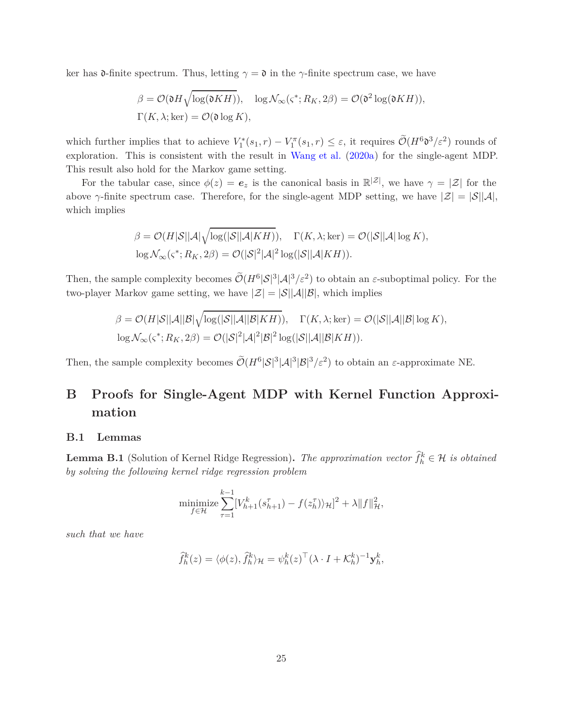ker has  $\mathfrak{d}\text{-finite spectrum}$ . Thus, letting  $\gamma = \mathfrak{d}$  in the  $\gamma\text{-finite spectrum case}$ , we have

$$
\beta = \mathcal{O}(\mathfrak{d}H \sqrt{\log(\mathfrak{d}KH)}), \quad \log \mathcal{N}_{\infty}(\varsigma^*; R_K, 2\beta) = \mathcal{O}(\mathfrak{d}^2 \log(\mathfrak{d}KH)),
$$
  

$$
\Gamma(K, \lambda; \ker) = \mathcal{O}(\mathfrak{d} \log K),
$$

which further implies that to achieve  $V_1^*(s_1, r) - V_1^{\pi}(s_1, r) \leq \varepsilon$ , it requires  $\widetilde{\mathcal{O}}(H^6 \mathfrak{d}^3 / \varepsilon^2)$  rounds of exploration. This is consistent with the result in [Wang et al.](#page-19-3) [\(2020a](#page-19-3)) for the single-agent MDP. This result also hold for the Markov game setting.

For the tabular case, since  $\phi(z) = e_z$  is the canonical basis in  $\mathbb{R}^{|z|}$ , we have  $\gamma = |z|$  for the above  $\gamma$ -finite spectrum case. Therefore, for the single-agent MDP setting, we have  $|\mathcal{Z}| = |\mathcal{S}||\mathcal{A}|$ , which implies

$$
\beta = \mathcal{O}(H|\mathcal{S}||\mathcal{A}|\sqrt{\log(|\mathcal{S}||\mathcal{A}|KH)}, \quad \Gamma(K, \lambda; \ker) = \mathcal{O}(|\mathcal{S}||\mathcal{A}|\log K),
$$
  

$$
\log \mathcal{N}_{\infty}(\varsigma^*; R_K, 2\beta) = \mathcal{O}(|\mathcal{S}|^2|\mathcal{A}|^2 \log(|\mathcal{S}||\mathcal{A}|KH)).
$$

Then, the sample complexity becomes  $\tilde{\mathcal{O}}(H^6|\mathcal{S}|^3|\mathcal{A}|^3/\varepsilon^2)$  to obtain an  $\varepsilon$ -suboptimal policy. For the two-player Markov game setting, we have  $|\mathcal{Z}| = |\mathcal{S}||\mathcal{A}||\mathcal{B}|$ , which implies

$$
\beta = \mathcal{O}(H|\mathcal{S}||\mathcal{A}||\mathcal{B}|\sqrt{\log(|\mathcal{S}||\mathcal{A}||\mathcal{B}|KH)}, \quad \Gamma(K,\lambda;\ker) = \mathcal{O}(|\mathcal{S}||\mathcal{A}||\mathcal{B}|\log K),
$$
  

$$
\log \mathcal{N}_{\infty}(\varsigma^*; R_K, 2\beta) = \mathcal{O}(|\mathcal{S}|^2|\mathcal{A}|^2|\mathcal{B}|^2\log(|\mathcal{S}||\mathcal{A}||\mathcal{B}|KH)).
$$

Then, the sample complexity becomes  $\widetilde{\mathcal{O}}(H^6|\mathcal{S}|^3|\mathcal{A}|^3|\mathcal{B}|^3/\varepsilon^2)$  to obtain an  $\varepsilon$ -approximate NE.

# **B Proofs for Single-Agent MDP with Kernel Function Approximation**

### **B.1 Lemmas**

<span id="page-24-0"></span>**Lemma B.1** (Solution of Kernel Ridge Regression). *The approximation vector*  $\hat{f}_h^k \in \mathcal{H}$  *is obtained by solving the following kernel ridge regression problem*

$$
\underset{f \in \mathcal{H}}{\text{minimize}} \sum_{\tau=1}^{k-1} [V_{h+1}^k(s_{h+1}^{\tau}) - f(z_h^{\tau})\rangle_{\mathcal{H}}]^2 + \lambda \|f\|_{\mathcal{H}}^2,
$$

*such that we have*

$$
\widehat{f}_h^k(z) = \langle \phi(z), \widehat{f}_h^k \rangle_{\mathcal{H}} = \psi_h^k(z)^\top (\lambda \cdot I + \mathcal{K}_h^k)^{-1} \mathbf{y}_h^k,
$$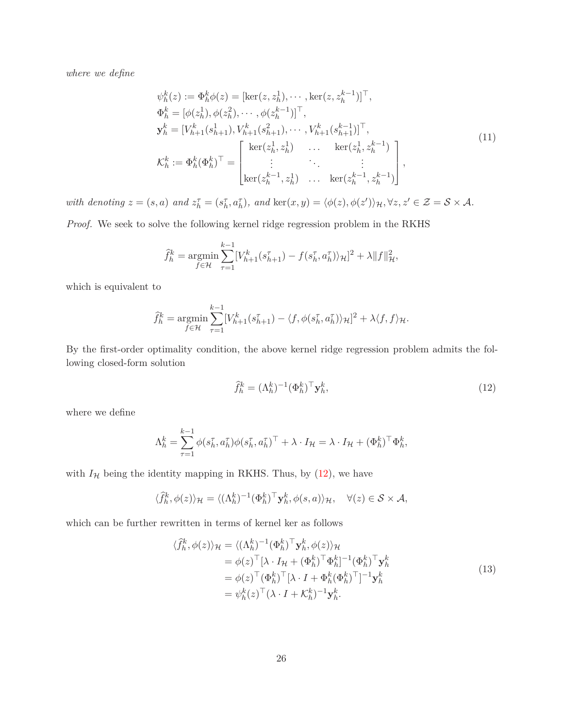*where we define*

<span id="page-25-2"></span>
$$
\psi_h^k(z) := \Phi_h^k \phi(z) = [\ker(z, z_h^1), \cdots, \ker(z, z_h^{k-1})]^\top, \n\Phi_h^k = [\phi(z_h^1), \phi(z_h^2), \cdots, \phi(z_h^{k-1})]^\top, \n\mathbf{y}_h^k = [V_{h+1}^k(s_{h+1}^1), V_{h+1}^k(s_{h+1}^2), \cdots, V_{h+1}^k(s_{h+1}^{k-1})]^\top, \n\mathcal{K}_h^k := \Phi_h^k(\Phi_h^k)^\top = \begin{bmatrix} \ker(z_h^1, z_h^1) & \cdots & \ker(z_h^1, z_h^{k-1}) \\ \vdots & \ddots & \vdots \\ \ker(z_h^{k-1}, z_h^1) & \cdots & \ker(z_h^{k-1}, z_h^{k-1}) \end{bmatrix},
$$
\n(11)

with denoting  $z = (s, a)$  and  $z_h^{\tau} = (s_h^{\tau}, a_h^{\tau})$ , and  $\ker(x, y) = \langle \phi(z), \phi(z') \rangle_{\mathcal{H}}, \forall z, z' \in \mathcal{Z} = \mathcal{S} \times \mathcal{A}$ .

*Proof.* We seek to solve the following kernel ridge regression problem in the RKHS

$$
\hat{f}_{h}^{k} = \underset{f \in \mathcal{H}}{\text{argmin}} \sum_{\tau=1}^{k-1} [V_{h+1}^{k}(s_{h+1}^{\tau}) - f(s_{h}^{\tau}, a_{h}^{\tau})\rangle_{\mathcal{H}}]^{2} + \lambda \|f\|_{\mathcal{H}}^{2},
$$

which is equivalent to

$$
\widehat{f}_h^k = \underset{f \in \mathcal{H}}{\operatorname{argmin}} \sum_{\tau=1}^{k-1} [V_{h+1}^k(s_{h+1}^{\tau}) - \langle f, \phi(s_h^{\tau}, a_h^{\tau}) \rangle_{\mathcal{H}}]^2 + \lambda \langle f, f \rangle_{\mathcal{H}}.
$$

By the first-order optimality condition, the above kernel ridge regression problem admits the following closed-form solution

<span id="page-25-1"></span><span id="page-25-0"></span>
$$
\widehat{f}_h^k = (\Lambda_h^k)^{-1} (\Phi_h^k)^\top \mathbf{y}_h^k,\tag{12}
$$

where we define

$$
\Lambda_h^k = \sum_{\tau=1}^{k-1} \phi(s_h^{\tau}, a_h^{\tau}) \phi(s_h^{\tau}, a_h^{\tau})^{\top} + \lambda \cdot I_{\mathcal{H}} = \lambda \cdot I_{\mathcal{H}} + (\Phi_h^k)^{\top} \Phi_h^k,
$$

with  $I$ <sub>H</sub> being the identity mapping in RKHS. Thus, by  $(12)$ , we have

$$
\langle \hat{f}_h^k, \phi(z) \rangle_{\mathcal{H}} = \langle (\Lambda_h^k)^{-1} (\Phi_h^k)^\top \mathbf{y}_h^k, \phi(s, a) \rangle_{\mathcal{H}}, \quad \forall (z) \in \mathcal{S} \times \mathcal{A},
$$

which can be further rewritten in terms of kernel ker as follows

$$
\langle \hat{f}_h^k, \phi(z) \rangle_{\mathcal{H}} = \langle (\Lambda_h^k)^{-1} (\Phi_h^k)^{\top} \mathbf{y}_h^k, \phi(z) \rangle_{\mathcal{H}}
$$
  
\n
$$
= \phi(z)^{\top} [\lambda \cdot I_{\mathcal{H}} + (\Phi_h^k)^{\top} \Phi_h^k ]^{-1} (\Phi_h^k)^{\top} \mathbf{y}_h^k
$$
  
\n
$$
= \phi(z)^{\top} (\Phi_h^k)^{\top} [\lambda \cdot I + \Phi_h^k (\Phi_h^k)^{\top}]^{-1} \mathbf{y}_h^k
$$
  
\n
$$
= \psi_h^k(z)^{\top} (\lambda \cdot I + \mathcal{K}_h^k)^{-1} \mathbf{y}_h^k.
$$
\n(13)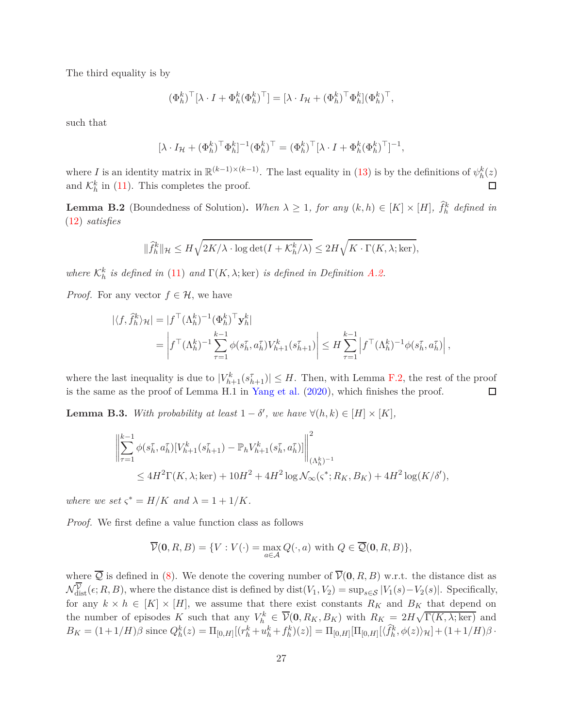The third equality is by

$$
(\Phi^k_h)^\top [\lambda \cdot I + \Phi^k_h (\Phi^k_h)^\top] = [\lambda \cdot I_\mathcal{H} + (\Phi^k_h)^\top \Phi^k_h] (\Phi^k_h)^\top,
$$

such that

$$
[\lambda \cdot I_{\mathcal{H}} + (\Phi_h^k)^\top \Phi_h^k]^{-1} (\Phi_h^k)^\top = (\Phi_h^k)^\top [\lambda \cdot I + \Phi_h^k (\Phi_h^k)^\top]^{-1},
$$

where *I* is an identity matrix in  $\mathbb{R}^{(k-1)\times(k-1)}$ . The last equality in [\(13\)](#page-25-1) is by the definitions of  $\psi_h^k(z)$ and  $\mathcal{K}_h^k$  in [\(11\)](#page-25-2). This completes the proof.  $\Box$ 

<span id="page-26-1"></span>**Lemma B.2** (Boundedness of Solution). *When*  $\lambda \geq 1$ , for any  $(k, h) \in [K] \times [H]$ ,  $\hat{f}_h^k$  defined in [\(12\)](#page-25-0) *satisfies*

$$
\|\widehat{f}_h^k\|_{\mathcal{H}} \leq H\sqrt{2K/\lambda\cdot\log\det(I+\mathcal{K}_h^k/\lambda)} \leq 2H\sqrt{K\cdot\Gamma(K,\lambda;\ker)},
$$

*where*  $\mathcal{K}_h^k$  *is defined in* [\(11\)](#page-25-2) *and*  $\Gamma(K, \lambda; \text{ker})$  *is defined in Definition [A.2.](#page-22-0)* 

*Proof.* For any vector  $f \in \mathcal{H}$ , we have

$$
\begin{split} |\langle f, \hat{f}_h^k \rangle_{\mathcal{H}}| &= |f^{\top}(\Lambda_h^k)^{-1}(\Phi_h^k)^{\top} \mathbf{y}_h^k| \\ &= \left| f^{\top}(\Lambda_h^k)^{-1} \sum_{\tau=1}^{k-1} \phi(s_h^{\tau}, a_h^{\tau}) V_{h+1}^k(s_{h+1}^{\tau}) \right| \leq H \sum_{\tau=1}^{k-1} \left| f^{\top}(\Lambda_h^k)^{-1} \phi(s_h^{\tau}, a_h^{\tau}) \right|, \end{split}
$$

where the last inequality is due to  $|V^k_{h+1}(s_{h+1}^{\tau})| \leq H$ . Then, with Lemma [F.2,](#page-68-0) the rest of the proof is the same as the proof of Lemma H.1 in [Yang et al.](#page-19-12) [\(2020](#page-19-12)), which finishes the proof.  $\Box$ 

<span id="page-26-0"></span>**Lemma B.3.** *With probability at least*  $1 - \delta'$ , we have  $\forall (h, k) \in [H] \times [K]$ ,

$$
\left\| \sum_{\tau=1}^{k-1} \phi(s_h^{\tau}, a_h^{\tau}) [V_{h+1}^k(s_{h+1}^{\tau}) - \mathbb{P}_h V_{h+1}^k(s_h^{\tau}, a_h^{\tau})] \right\|_{(\Lambda_h^k)^{-1}}^2
$$
  
 
$$
\leq 4H^2 \Gamma(K, \lambda; \ker) + 10H^2 + 4H^2 \log \mathcal{N}_{\infty}(\varsigma^*; R_K, B_K) + 4H^2 \log(K/\delta'),
$$

*where we set*  $\varsigma^* = H/K$  *and*  $\lambda = 1 + 1/K$ *.* 

*Proof.* We first define a value function class as follows

$$
\overline{\mathcal{V}}(\mathbf{0},R,B) = \{ V : V(\cdot) = \max_{a \in \mathcal{A}} Q(\cdot, a) \text{ with } Q \in \overline{\mathcal{Q}}(\mathbf{0},R,B) \},
$$

where  $\overline{Q}$  is defined in [\(8\)](#page-10-1). We denote the covering number of  $\overline{\mathcal{V}}(0, R, B)$  w.r.t. the distance dist as  $\mathcal{N}_{\text{dist}}^{\mathcal{V}}(\epsilon; R, B)$ , where the distance dist is defined by dist $(V_1, V_2) = \sup_{s \in \mathcal{S}} |V_1(s) - V_2(s)|$ . Specifically, for any  $k \times h \in [K] \times [H]$ , we assume that there exist constants  $R_K$  and  $B_K$  that depend on the number of episodes *K* such that any  $V_h^k \in \overline{\mathcal{V}}(0, R_K, B_K)$  with  $R_K = 2H\sqrt{\Gamma(K, \lambda; \ker)}$  and  $B_K = (1+1/H)\beta$  since  $Q_h^k(z) = \Pi_{[0,H]}[(r_h^k + u_h^k + f_h^k)(z)] = \Pi_{[0,H]}[\Pi_{[0,H]}(\langle \hat{f}_h^k, \phi(z) \rangle_{\mathcal{H}}] + (1+1/H)\beta$ .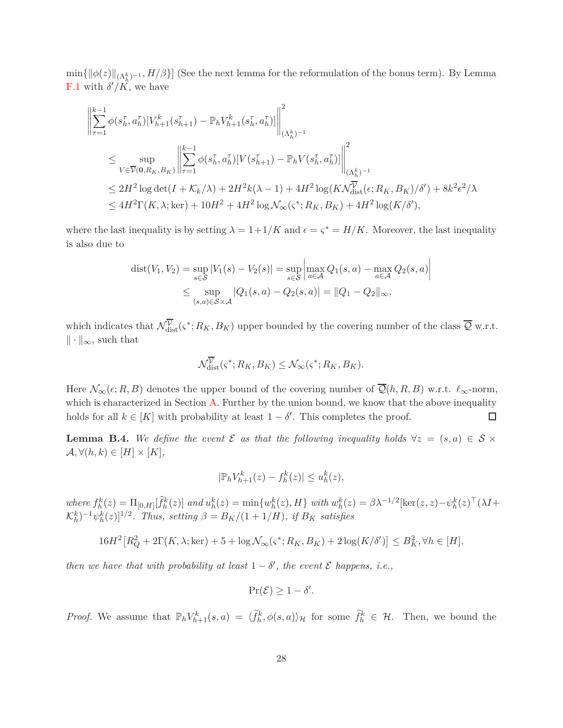$\min\{\|\phi(z)\|_{(\Lambda_h^k)^{-1}},H/\beta\}\}$  (See the next lemma for the reformulation of the bonus term). By Lemma [F.1](#page-68-1) with  $\delta'/K$ , we have

$$
\begin{split} & \left\| \sum_{\tau=1}^{k-1} \phi(s_{h}^{\tau}, a_{h}^{\tau}) [V_{h+1}^{k}(s_{h+1}^{\tau}) - \mathbb{P}_{h} V_{h+1}^{k}(s_{h}^{\tau}, a_{h}^{\tau})] \right\|_{(\Lambda_{h}^{k})^{-1}}^{2} \\ & \leq \sup_{V \in \overline{\mathcal{V}}(\mathbf{0}, R_{K}, B_{K})} \left\| \sum_{\tau=1}^{k-1} \phi(s_{h}^{\tau}, a_{h}^{\tau}) [V(s_{h+1}^{\tau}) - \mathbb{P}_{h} V(s_{h}^{\tau}, a_{h}^{\tau})] \right\|_{(\Lambda_{h}^{k})^{-1}}^{2} \\ & \leq 2H^{2} \log \det(I + \mathcal{K}_{k}/\lambda) + 2H^{2} k(\lambda - 1) + 4H^{2} \log(K\mathcal{N}_{\text{dist}}^{\overline{\mathcal{V}}}(\epsilon; R_{K}, B_{K})/\delta') + 8k^{2} \epsilon^{2}/\lambda \\ & \leq 4H^{2} \Gamma(K, \lambda; \ker) + 10H^{2} + 4H^{2} \log \mathcal{N}_{\infty}(\varsigma^{*}; R_{K}, B_{K}) + 4H^{2} \log(K/\delta'), \end{split}
$$

where the last inequality is by setting  $\lambda = 1+1/K$  and  $\epsilon = \zeta^* = H/K$ . Moreover, the last inequality is also due to

$$
dist(V_1, V_2) = \sup_{s \in S} |V_1(s) - V_2(s)| = \sup_{s \in S} \left| \max_{a \in A} Q_1(s, a) - \max_{a \in A} Q_2(s, a) \right|
$$
  

$$
\leq \sup_{(s, a) \in S \times A} |Q_1(s, a) - Q_2(s, a)| = ||Q_1 - Q_2||_{\infty},
$$

which indicates that  $\mathcal{N}_{dist}^{\nu}(\varsigma^*; R_K, B_K)$  upper bounded by the covering number of the class  $\mathcal{Q}$  w.r.t.  $\|\cdot\|_{\infty}$ , such that

$$
\mathcal{N}_{\text{dist}}^{\overline{\mathcal{V}}}(\varsigma^*; R_K, B_K) \le \mathcal{N}_{\infty}(\varsigma^*; R_K, B_K).
$$

Here  $\mathcal{N}_{\infty}(\epsilon; R, B)$  denotes the upper bound of the covering number of  $\overline{\mathcal{Q}}(h, R, B)$  w.r.t.  $\ell_{\infty}$ -norm, which is characterized in Section  $A$ . Further by the union bound, we know that the above inequality holds for all  $k \in [K]$  with probability at least  $1 - \delta'$ . This completes the proof. □

<span id="page-27-0"></span>**Lemma B.4.** We define the event  $\mathcal{E}$  as that the following inequality holds  $\forall z = (s, a) \in \mathcal{S} \times \mathcal{E}$  $\mathcal{A}, \forall (h, k) \in [H] \times [K],$ 

$$
|\mathbb{P}_h V_{h+1}^k(z) - f_h^k(z)| \le u_h^k(z),
$$

where  $f_h^k(z) = \Pi_{[0,H]}[\hat{f}_h^k(z)]$  and  $u_h^k(z) = \min\{w_h^k(z), H\}$  with  $w_h^k(z) = \beta \lambda^{-1/2}[\ker(z, z) - \psi_h^k(z)^\top (\lambda I +$  $(\mathcal{K}_h^k)^{-1} \psi_h^k(z)]^{1/2}$ . Thus, setting  $\beta = B_K/(1 + 1/H)$ , if  $B_K$  satisfies

$$
16H2[RQ2 + 2\Gamma(K, \lambda; \text{ker}) + 5 + \log \mathcal{N}_{\infty}(\varsigma^*; R_K, B_K) + 2\log(K/\delta')] \le B_K^2, \forall h \in [H],
$$

*then we have that with probability at least*  $1 - \delta'$ , the event  $\mathcal E$  happens, i.e.,

$$
\Pr(\mathcal{E}) \geq 1 - \delta'.
$$

*Proof.* We assume that  $\mathbb{P}_h V_{h+1}^k(s, a) = \langle \tilde{f}_h^k, \phi(s, a) \rangle_{\mathcal{H}}$  for some  $\tilde{f}_h^k \in \mathcal{H}$ . Then, we bound the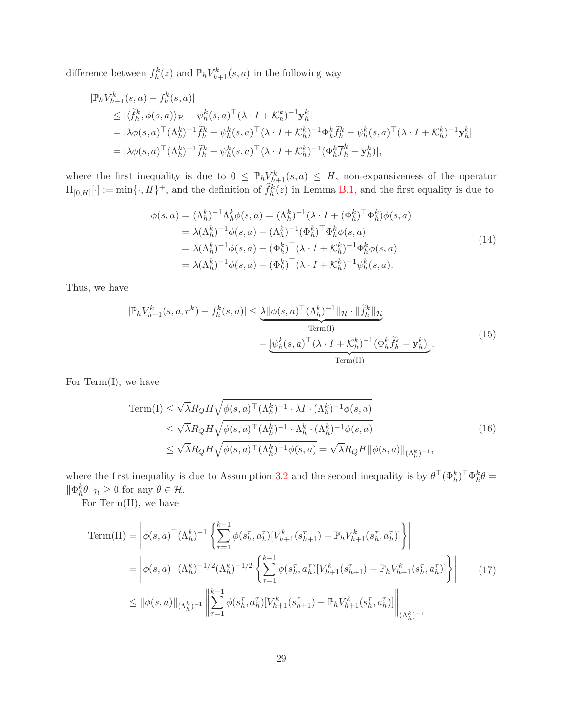difference between  $f_h^k(z)$  and  $\mathbb{P}_h V_{h+1}^k(s, a)$  in the following way

$$
\begin{split} |\mathbb{P}_{h}V_{h+1}^{k}(s,a) - f_{h}^{k}(s,a)| \\ &\leq |\langle \tilde{f}_{h}^{k}, \phi(s,a) \rangle_{\mathcal{H}} - \psi_{h}^{k}(s,a)^{\top} (\lambda \cdot I + \mathcal{K}_{h}^{k})^{-1} \mathbf{y}_{h}^{k}| \\ &= |\lambda \phi(s,a)^{\top} (\Lambda_{h}^{k})^{-1} \tilde{f}_{h}^{k} + \psi_{h}^{k}(s,a)^{\top} (\lambda \cdot I + \mathcal{K}_{h}^{k})^{-1} \Phi_{h}^{k} \tilde{f}_{h}^{k} - \psi_{h}^{k}(s,a)^{\top} (\lambda \cdot I + \mathcal{K}_{h}^{k})^{-1} \mathbf{y}_{h}^{k}| \\ &= |\lambda \phi(s,a)^{\top} (\Lambda_{h}^{k})^{-1} \tilde{f}_{h}^{k} + \psi_{h}^{k}(s,a)^{\top} (\lambda \cdot I + \mathcal{K}_{h}^{k})^{-1} (\Phi_{h}^{k} \overline{f}_{h}^{k} - \mathbf{y}_{h}^{k})|, \end{split}
$$

where the first inequality is due to  $0 \leq \mathbb{P}_h V_{h+1}^k(s,a) \leq H$ , non-expansiveness of the operator  $\Pi_{[0,H]}[\cdot] := \min\{\cdot, H\}^+$ , and the definition of  $\hat{f}_h^k(z)$  in Lemma [B.1,](#page-24-0) and the first equality is due to

<span id="page-28-1"></span><span id="page-28-0"></span>
$$
\phi(s, a) = (\Lambda_h^k)^{-1} \Lambda_h^k \phi(s, a) = (\Lambda_h^k)^{-1} (\lambda \cdot I + (\Phi_h^k)^{\top} \Phi_h^k) \phi(s, a) \n= \lambda (\Lambda_h^k)^{-1} \phi(s, a) + (\Lambda_h^k)^{-1} (\Phi_h^k)^{\top} \Phi_h^k \phi(s, a) \n= \lambda (\Lambda_h^k)^{-1} \phi(s, a) + (\Phi_h^k)^{\top} (\lambda \cdot I + \mathcal{K}_h^k)^{-1} \Phi_h^k \phi(s, a) \n= \lambda (\Lambda_h^k)^{-1} \phi(s, a) + (\Phi_h^k)^{\top} (\lambda \cdot I + \mathcal{K}_h^k)^{-1} \psi_h^k(s, a).
$$
\n(14)

Thus, we have

$$
|\mathbb{P}_h V_{h+1}^k(s, a, r^k) - f_h^k(s, a)| \leq \underbrace{\lambda ||\phi(s, a)^\top (\Lambda_h^k)^{-1}||_{\mathcal{H}} \cdot ||\tilde{f}_h^k||_{\mathcal{H}}}_{\text{Term(I)}} + \underbrace{|\psi_h^k(s, a)^\top (\lambda \cdot I + \mathcal{K}_h^k)^{-1} (\Phi_h^k \tilde{f}_h^k - \mathbf{y}_h^k)|}_{\text{Term(II)}}.
$$
\n(15)

For Term $(I)$ , we have

<span id="page-28-3"></span><span id="page-28-2"></span>Term(I) 
$$
\leq \sqrt{\lambda} R_Q H \sqrt{\phi(s, a)^\top (\Lambda_h^k)^{-1} \cdot \lambda I \cdot (\Lambda_h^k)^{-1} \phi(s, a)}
$$
  
\n $\leq \sqrt{\lambda} R_Q H \sqrt{\phi(s, a)^\top (\Lambda_h^k)^{-1} \cdot \Lambda_h^k \cdot (\Lambda_h^k)^{-1} \phi(s, a)}$   
\n $\leq \sqrt{\lambda} R_Q H \sqrt{\phi(s, a)^\top (\Lambda_h^k)^{-1} \phi(s, a)} = \sqrt{\lambda} R_Q H ||\phi(s, a)||_{(\Lambda_h^k)^{-1}},$ \n(16)

where the first inequality is due to Assumption [3.2](#page-9-2) and the second inequality is by  $\theta^{\top}(\Phi_h^k)^{\top}\Phi_h^k\theta =$  $\|\Phi_h^k\theta\|_{\mathcal{H}} \geq 0$  for any  $\theta \in \mathcal{H}$ .

For Term(II), we have

Term(II) = 
$$
\begin{aligned}\n\phi(s, a)^{\top} (\Lambda_h^k)^{-1} \left\{ \sum_{\tau=1}^{k-1} \phi(s_h^{\tau}, a_h^{\tau}) [V_{h+1}^k(s_{h+1}^{\tau}) - \mathbb{P}_h V_{h+1}^k(s_h^{\tau}, a_h^{\tau})] \right\} \\
&= \left| \phi(s, a)^{\top} (\Lambda_h^k)^{-1/2} (\Lambda_h^k)^{-1/2} \left\{ \sum_{\tau=1}^{k-1} \phi(s_h^{\tau}, a_h^{\tau}) [V_{h+1}^k(s_{h+1}^{\tau}) - \mathbb{P}_h V_{h+1}^k(s_h^{\tau}, a_h^{\tau})] \right\} \right|\n\leq ||\phi(s, a)||_{(\Lambda_h^k)^{-1}} \left\| \sum_{\tau=1}^{k-1} \phi(s_h^{\tau}, a_h^{\tau}) [V_{h+1}^k(s_{h+1}^{\tau}) - \mathbb{P}_h V_{h+1}^k(s_h^{\tau}, a_h^{\tau})] \right\|_{(\Lambda_h^k)^{-1}}\n\end{aligned}
$$
\n(17)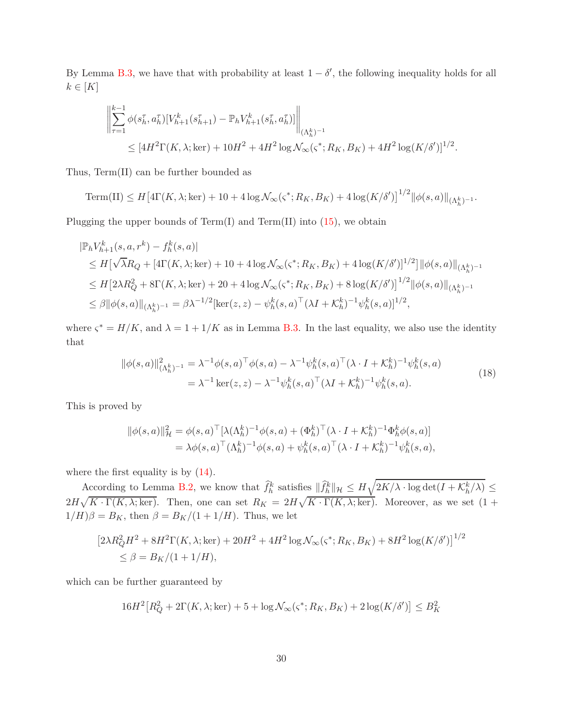By Lemma [B.3,](#page-26-0) we have that with probability at least  $1 - \delta'$ , the following inequality holds for all  $k \in [K]$ 

$$
\left\| \sum_{\tau=1}^{k-1} \phi(s_h^{\tau}, a_h^{\tau}) [V_{h+1}^k(s_{h+1}^{\tau}) - \mathbb{P}_h V_{h+1}^k(s_h^{\tau}, a_h^{\tau})] \right\|_{(\Lambda_h^k)^{-1}} \n\leq [4H^2 \Gamma(K, \lambda; \ker) + 10H^2 + 4H^2 \log \mathcal{N}_{\infty}(\varsigma^*; R_K, B_K) + 4H^2 \log (K/\delta')]^{1/2}.
$$

Thus, Term(II) can be further bounded as

 $\text{Term(II)} \leq H \big[ 4\Gamma(K, \lambda; \ker) + 10 + 4\log \mathcal{N}_{\infty}(\varsigma^*; R_K, B_K) + 4\log (K/\delta') \big]^{1/2} ||\phi(s, a)||_{(\Lambda_h^k)^{-1}}.$ 

Plugging the upper bounds of  $Term(I)$  and  $Term(II)$  into  $(15)$ , we obtain

$$
|\mathbb{P}_h V_{h+1}^k(s, a, r^k) - f_h^k(s, a)|
$$
  
\n
$$
\leq H[\sqrt{\lambda}R_Q + [4\Gamma(K, \lambda; \ker) + 10 + 4\log \mathcal{N}_{\infty}(\varsigma^*; R_K, B_K) + 4\log (K/\delta')]^{1/2}] ||\phi(s, a)||_{(\Lambda_h^k)^{-1}}
$$
  
\n
$$
\leq H[2\lambda R_Q^2 + 8\Gamma(K, \lambda; \ker) + 20 + 4\log \mathcal{N}_{\infty}(\varsigma^*; R_K, B_K) + 8\log (K/\delta')]^{1/2} ||\phi(s, a)||_{(\Lambda_h^k)^{-1}}
$$
  
\n
$$
\leq \beta ||\phi(s, a)||_{(\Lambda_h^k)^{-1}} = \beta \lambda^{-1/2} [\ker(z, z) - \psi_h^k(s, a)^\top (\lambda I + K_h^k)^{-1} \psi_h^k(s, a)]^{1/2},
$$

where  $\varsigma^* = H/K$ , and  $\lambda = 1 + 1/K$  as in Lemma [B.3.](#page-26-0) In the last equality, we also use the identity that

$$
\|\phi(s,a)\|_{(\Lambda_h^k)^{-1}}^2 = \lambda^{-1}\phi(s,a)^\top \phi(s,a) - \lambda^{-1}\psi_h^k(s,a)^\top (\lambda \cdot I + \mathcal{K}_h^k)^{-1} \psi_h^k(s,a)
$$
  
=  $\lambda^{-1} \ker(z,z) - \lambda^{-1} \psi_h^k(s,a)^\top (\lambda I + \mathcal{K}_h^k)^{-1} \psi_h^k(s,a).$  (18)

This is proved by

<span id="page-29-0"></span>
$$
\begin{split} \|\phi(s,a)\|_{\mathcal{H}}^{2} &= \phi(s,a)^{\top}[\lambda(\Lambda_{h}^{k})^{-1}\phi(s,a) + (\Phi_{h}^{k})^{\top}(\lambda \cdot I + \mathcal{K}_{h}^{k})^{-1}\Phi_{h}^{k}\phi(s,a)] \\ &= \lambda\phi(s,a)^{\top}(\Lambda_{h}^{k})^{-1}\phi(s,a) + \psi_{h}^{k}(s,a)^{\top}(\lambda \cdot I + \mathcal{K}_{h}^{k})^{-1}\psi_{h}^{k}(s,a), \end{split}
$$

where the first equality is by  $(14)$ .

According to Lemma [B.2,](#page-26-1) we know that  $\hat{f}_h^k$  satisfies  $\|\hat{f}_h^k\|_{\mathcal{H}} \leq H\sqrt{2K/\lambda \cdot \log \det(I + \mathcal{K}_h^k/\lambda)} \leq$  $2H\sqrt{K\cdot\Gamma(K,\lambda;\ker)}$ . Then, one can set  $R_K = 2H\sqrt{K\cdot\Gamma(K,\lambda;\ker)}$ . Moreover, as we set  $(1 +$  $1/H$ ) $\beta = B_K$ , then  $\beta = B_K/(1 + 1/H)$ . Thus, we let

$$
[2\lambda R_Q^2 H^2 + 8H^2 \Gamma(K, \lambda; \text{ker}) + 20H^2 + 4H^2 \log \mathcal{N}_{\infty}(\varsigma^*; R_K, B_K) + 8H^2 \log(K/\delta')]^{1/2}
$$
  
\$\leq \beta = B\_K/(1 + 1/H),\$

which can be further guaranteed by

$$
16H2[RQ2 + 2\Gamma(K, \lambda; \text{ker}) + 5 + \log \mathcal{N}_{\infty}(\varsigma^*; R_K, B_K) + 2\log(K/\delta')] \leq B_K^2
$$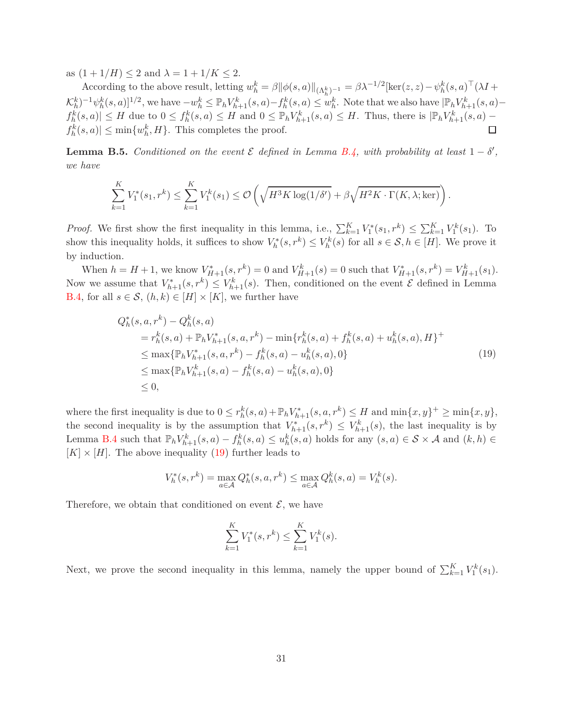as  $(1 + 1/H) \le 2$  and  $\lambda = 1 + 1/K \le 2$ .

According to the above result, letting  $w_h^k = \beta ||\phi(s, a)||_{(\Lambda_h^k)^{-1}} = \beta \lambda^{-1/2} [\ker(z, z) - \psi_h^k(s, a)^\top (\lambda I +$  $\mathcal{K}_h^k$  $^{-1}\psi_h^k(s,a)$ ]<sup>1/2</sup>, we have  $-w_h^k \leq \mathbb{P}_h V_{h+1}^k(s,a) - f_h^k(s,a) \leq w_h^k$ . Note that we also have  $|\mathbb{P}_h V_{h+1}^k(s,a)$  $f_h^k(s,a) \leq H$  due to  $0 \leq f_h^k(s,a) \leq H$  and  $0 \leq \mathbb{P}_h V_{h+1}^k(s,a) \leq H$ . Thus, there is  $|\mathbb{P}_h V_{h+1}^k(s,a)$  $f_h^k(s, a)| \le \min\{w_h^k, H\}$ . This completes the proof. П

<span id="page-30-0"></span>**Lemma B.5.** *Conditioned on the event*  $\mathcal{E}$  *defined in Lemma [B.4,](#page-27-0)* with probability at least  $1 - \delta'$ , *we have*

$$
\sum_{k=1}^{K} V_1^*(s_1, r^k) \le \sum_{k=1}^{K} V_1^k(s_1) \le \mathcal{O}\left(\sqrt{H^3 K \log(1/\delta')} + \beta \sqrt{H^2 K \cdot \Gamma(K, \lambda; \ker)}\right)
$$

<span id="page-30-1"></span>*.*

*Proof.* We first show the first inequality in this lemma, i.e.,  $\sum_{k=1}^{K} V_1^*(s_1, r^k) \leq \sum_{k=1}^{K} V_1^k(s_1)$ . To show this inequality holds, it suffices to show  $V_h^*(s, r^k) \leq V_h^k(s)$  for all  $s \in \mathcal{S}, h \in [H]$ . We prove it by induction.

When  $h = H + 1$ , we know  $V_{H+1}^*(s, r^k) = 0$  and  $V_{H+1}^k(s) = 0$  such that  $V_{H+1}^*(s, r^k) = V_{H+1}^k(s_1)$ . Now we assume that  $V_{h+1}^*(s, r^k) \leq V_{h+1}^k(s)$ . Then, conditioned on the event  $\mathcal E$  defined in Lemma [B.4,](#page-27-0) for all  $s \in \mathcal{S}$ ,  $(h, k) \in [H] \times [K]$ , we further have

$$
Q_h^*(s, a, r^k) - Q_h^k(s, a)
$$
  
=  $r_h^k(s, a) + \mathbb{P}_h V_{h+1}^*(s, a, r^k) - \min\{r_h^k(s, a) + f_h^k(s, a) + u_h^k(s, a), H\}^+$   

$$
\leq \max\{\mathbb{P}_h V_{h+1}^*(s, a, r^k) - f_h^k(s, a) - u_h^k(s, a), 0\}
$$
  

$$
\leq \max\{\mathbb{P}_h V_{h+1}^k(s, a) - f_h^k(s, a) - u_h^k(s, a), 0\}
$$
  

$$
\leq 0,
$$
 (19)  
(19)

where the first inequality is due to  $0 \leq r_h^k(s, a) + \mathbb{P}_h V_{h+1}^*(s, a, r^k) \leq H$  and  $\min\{x, y\}^+ \geq \min\{x, y\}$ , the second inequality is by the assumption that  $V_{h+1}^*(s, r^k) \leq V_{h+1}^k(s)$ , the last inequality is by Lemma [B.4](#page-27-0) such that  $\mathbb{P}_h V_{h+1}^k(s, a) - f_h^k(s, a) \le u_h^k(s, a)$  holds for any  $(s, a) \in S \times A$  and  $(k, h) \in$  $[K] \times [H]$ . The above inequality [\(19\)](#page-30-1) further leads to

$$
V_h^*(s, r^k) = \max_{a \in \mathcal{A}} Q_h^*(s, a, r^k) \le \max_{a \in \mathcal{A}} Q_h^k(s, a) = V_h^k(s).
$$

Therefore, we obtain that conditioned on event  $\mathcal{E}$ , we have

$$
\sum_{k=1}^{K} V_1^*(s, r^k) \le \sum_{k=1}^{K} V_1^k(s).
$$

Next, we prove the second inequality in this lemma, namely the upper bound of  $\sum_{k=1}^{K} V_1^k(s_1)$ .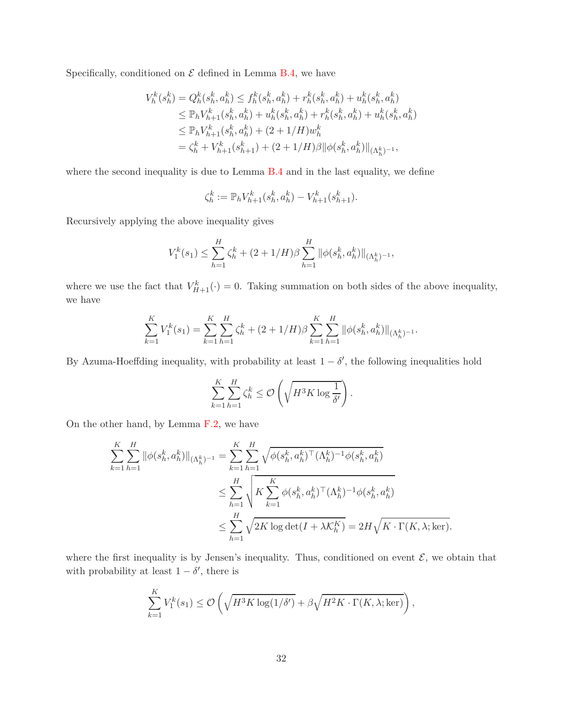Specifically, conditioned on  $\mathcal E$  defined in Lemma [B.4,](#page-27-0) we have

$$
V_h^k(s_h^k) = Q_h^k(s_h^k, a_h^k) \le f_h^k(s_h^k, a_h^k) + r_h^k(s_h^k, a_h^k) + u_h^k(s_h^k, a_h^k)
$$
  
\n
$$
\le \mathbb{P}_h V_{h+1}^k(s_h^k, a_h^k) + u_h^k(s_h^k, a_h^k) + r_h^k(s_h^k, a_h^k) + u_h^k(s_h^k, a_h^k)
$$
  
\n
$$
\le \mathbb{P}_h V_{h+1}^k(s_h^k, a_h^k) + (2 + 1/H)w_h^k
$$
  
\n
$$
= \zeta_h^k + V_{h+1}^k(s_{h+1}^k) + (2 + 1/H)\beta \|\phi(s_h^k, a_h^k)\|_{(\Lambda_h^k)^{-1}},
$$

where the second inequality is due to Lemma [B.4](#page-27-0) and in the last equality, we define

$$
\zeta_h^k := \mathbb{P}_h V_{h+1}^k(s_h^k, a_h^k) - V_{h+1}^k(s_{h+1}^k).
$$

Recursively applying the above inequality gives

$$
V_1^k(s_1) \le \sum_{h=1}^H \zeta_h^k + (2+1/H)\beta \sum_{h=1}^H \|\phi(s_h^k, a_h^k)\|_{(\Lambda_h^k)^{-1}},
$$

where we use the fact that  $V_{H+1}^k(\cdot) = 0$ . Taking summation on both sides of the above inequality, we have

$$
\sum_{k=1}^{K} V_1^k(s_1) = \sum_{k=1}^{K} \sum_{h=1}^{H} \zeta_h^k + (2 + 1/H)\beta \sum_{k=1}^{K} \sum_{h=1}^{H} \|\phi(s_h^k, a_h^k)\|_{(\Lambda_h^k)^{-1}}.
$$

By Azuma-Hoeffding inequality, with probability at least  $1 - \delta'$ , the following inequalities hold

$$
\sum_{k=1}^K \sum_{h=1}^H \zeta_h^k \le \mathcal{O}\left(\sqrt{H^3 K \log \frac{1}{\delta'}}\right).
$$

On the other hand, by Lemma [F.2,](#page-68-0) we have

$$
\sum_{k=1}^{K} \sum_{h=1}^{H} \|\phi(s_h^k, a_h^k)\|_{(\Lambda_h^k)^{-1}} = \sum_{k=1}^{K} \sum_{h=1}^{H} \sqrt{\phi(s_h^k, a_h^k)^\top (\Lambda_h^k)^{-1} \phi(s_h^k, a_h^k)}
$$
  

$$
\leq \sum_{h=1}^{H} \sqrt{K \sum_{k=1}^{K} \phi(s_h^k, a_h^k)^\top (\Lambda_h^k)^{-1} \phi(s_h^k, a_h^k)}
$$
  

$$
\leq \sum_{h=1}^{H} \sqrt{2K \log \det(I + \lambda K_h^K)} = 2H \sqrt{K \cdot \Gamma(K, \lambda; \ker)}.
$$

where the first inequality is by Jensen's inequality. Thus, conditioned on event  $\mathcal{E}$ , we obtain that with probability at least  $1 - \delta'$ , there is

$$
\sum_{k=1}^K V_1^k(s_1) \le \mathcal{O}\left(\sqrt{H^3 K \log(1/\delta')} + \beta \sqrt{H^2 K \cdot \Gamma(K, \lambda; \ker)}\right),
$$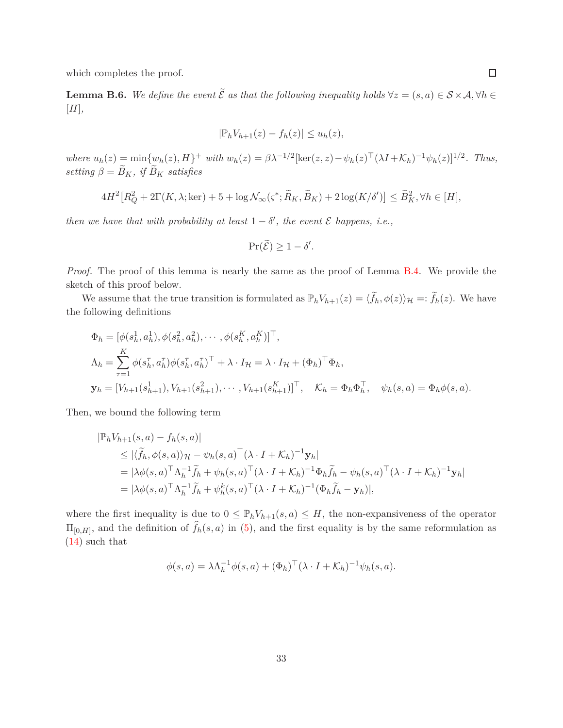which completes the proof.

<span id="page-32-0"></span>**Lemma B.6.** We define the event  $\widetilde{\mathcal{E}}$  as that the following inequality holds  $\forall z = (s, a) \in \mathcal{S} \times \mathcal{A}, \forall h \in \mathcal{E}$ [*H*]*,*

$$
|\mathbb{P}_h V_{h+1}(z) - f_h(z)| \le u_h(z),
$$

where  $u_h(z) = \min\{w_h(z), H\}^+$  with  $w_h(z) = \beta \lambda^{-1/2} [\ker(z, z) - \psi_h(z)^\top (\lambda I + \mathcal{K}_h)^{-1} \psi_h(z)]^{1/2}$ . Thus, *setting*  $\beta = \widetilde{B}_K$ *, if*  $\widetilde{B}_K$  *satisfies* 

$$
4H^2\big[R_Q^2 + 2\Gamma(K,\lambda;\ker) + 5 + \log \mathcal{N}_{\infty}(\varsigma^*;\widetilde{R}_K,\widetilde{B}_K) + 2\log(K/\delta')\big] \le \widetilde{B}_K^2, \forall h \in [H],
$$

*then we have that with probability at least*  $1 - \delta'$ , the event  $\mathcal E$  happens, i.e.,

$$
\Pr(\widetilde{\mathcal{E}}) \ge 1 - \delta'.
$$

*Proof.* The proof of this lemma is nearly the same as the proof of Lemma [B.4.](#page-27-0) We provide the sketch of this proof below.

We assume that the true transition is formulated as  $\mathbb{P}_h V_{h+1}(z) = \langle \tilde{f}_h, \phi(z) \rangle_{\mathcal{H}} =: \tilde{f}_h(z)$ . We have the following definitions

$$
\Phi_h = [\phi(s_h^1, a_h^1), \phi(s_h^2, a_h^2), \cdots, \phi(s_h^K, a_h^K)]^\top,
$$
  
\n
$$
\Lambda_h = \sum_{\tau=1}^K \phi(s_h^\tau, a_h^\tau) \phi(s_h^\tau, a_h^\tau)^\top + \lambda \cdot I_\mathcal{H} = \lambda \cdot I_\mathcal{H} + (\Phi_h)^\top \Phi_h,
$$
  
\n
$$
\mathbf{y}_h = [V_{h+1}(s_{h+1}^1), V_{h+1}(s_{h+1}^2), \cdots, V_{h+1}(s_{h+1}^K)]^\top, \quad \mathcal{K}_h = \Phi_h \Phi_h^\top, \quad \psi_h(s, a) = \Phi_h \phi(s, a).
$$

Then, we bound the following term

$$
|\mathbb{P}_h V_{h+1}(s, a) - f_h(s, a)|
$$
  
\n
$$
\leq |\langle \widetilde{f}_h, \phi(s, a) \rangle_{\mathcal{H}} - \psi_h(s, a)^\top (\lambda \cdot I + \mathcal{K}_h)^{-1} \mathbf{y}_h|
$$
  
\n
$$
= |\lambda \phi(s, a)^\top \Lambda_h^{-1} \widetilde{f}_h + \psi_h(s, a)^\top (\lambda \cdot I + \mathcal{K}_h)^{-1} \Phi_h \widetilde{f}_h - \psi_h(s, a)^\top (\lambda \cdot I + \mathcal{K}_h)^{-1} \mathbf{y}_h|
$$
  
\n
$$
= |\lambda \phi(s, a)^\top \Lambda_h^{-1} \widetilde{f}_h + \psi_h^k(s, a)^\top (\lambda \cdot I + \mathcal{K}_h)^{-1} (\Phi_h \widetilde{f}_h - \mathbf{y}_h)|,
$$

where the first inequality is due to  $0 \leq \mathbb{P}_h V_{h+1}(s, a) \leq H$ , the non-expansiveness of the operator  $\Pi_{[0,H]}$ , and the definition of  $f_h(s, a)$  in [\(5\)](#page-7-3), and the first equality is by the same reformulation as [\(14\)](#page-28-1) such that

$$
\phi(s,a) = \lambda \Lambda_h^{-1} \phi(s,a) + (\Phi_h)^\top (\lambda \cdot I + \mathcal{K}_h)^{-1} \psi_h(s,a).
$$

33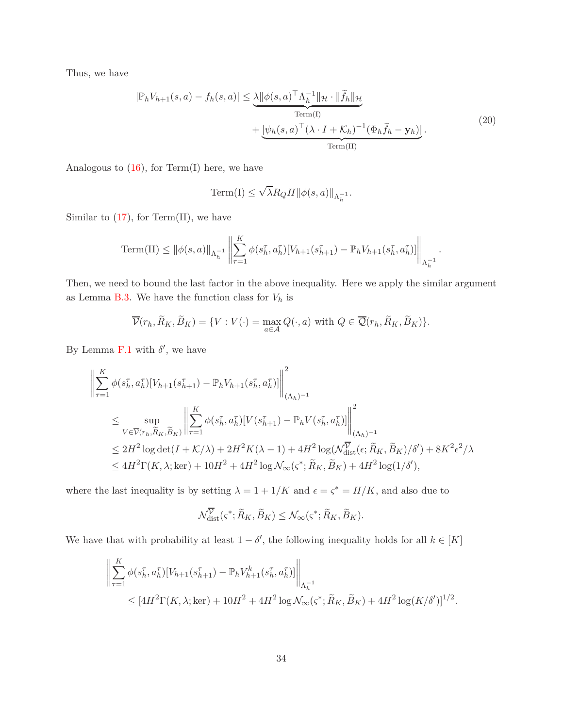Thus, we have

$$
|\mathbb{P}_h V_{h+1}(s, a) - f_h(s, a)| \leq \underbrace{\lambda ||\phi(s, a)^\top \Lambda_h^{-1}||_{\mathcal{H}} \cdot ||\tilde{f}_h||_{\mathcal{H}}}_{\text{Term(I)}} + \underbrace{|\psi_h(s, a)^\top (\lambda \cdot I + \mathcal{K}_h)^{-1} (\Phi_h \tilde{f}_h - \mathbf{y}_h)|}_{\text{Term(II)}}.
$$
\n(20)

Analogous to  $(16)$ , for Term(I) here, we have

<span id="page-33-0"></span>
$$
\mathrm{Term}(\mathrm{I}) \leq \sqrt{\lambda} R_Q H \|\phi(s,a)\|_{\Lambda_h^{-1}}.
$$

Similar to  $(17)$ , for Term $(II)$ , we have

Term(II) 
$$
\leq ||\phi(s, a)||_{\Lambda_h^{-1}} \left\| \sum_{\tau=1}^K \phi(s_h^{\tau}, a_h^{\tau}) [V_{h+1}(s_{h+1}^{\tau}) - \mathbb{P}_h V_{h+1}(s_h^{\tau}, a_h^{\tau})] \right\|_{\Lambda_h^{-1}}.
$$

Then, we need to bound the last factor in the above inequality. Here we apply the similar argument as Lemma [B.3.](#page-26-0) We have the function class for  $V_h$  is

$$
\overline{\mathcal{V}}(r_h, \widetilde{R}_K, \widetilde{B}_K) = \{ V : V(\cdot) = \max_{a \in \mathcal{A}} Q(\cdot, a) \text{ with } Q \in \overline{\mathcal{Q}}(r_h, \widetilde{R}_K, \widetilde{B}_K) \}.
$$

By Lemma  $F.1$  with  $\delta'$ , we have

$$
\left\| \sum_{\tau=1}^{K} \phi(s_h^{\tau}, a_h^{\tau}) [V_{h+1}(s_{h+1}^{\tau}) - \mathbb{P}_h V_{h+1}(s_h^{\tau}, a_h^{\tau})] \right\|_{(\Lambda_h)^{-1}}^2
$$
  
\n
$$
\leq \sup_{V \in \overline{\mathcal{V}}(r_h, \widetilde{R}_K, \widetilde{B}_K)} \left\| \sum_{\tau=1}^{K} \phi(s_h^{\tau}, a_h^{\tau}) [V(s_{h+1}^{\tau}) - \mathbb{P}_h V(s_h^{\tau}, a_h^{\tau})] \right\|_{(\Lambda_h)^{-1}}^2
$$
  
\n
$$
\leq 2H^2 \log \det(I + \mathcal{K}/\lambda) + 2H^2 K(\lambda - 1) + 4H^2 \log(\mathcal{N}_{\text{dist}}^{\overline{\mathcal{V}}}(\epsilon; \widetilde{R}_K, \widetilde{B}_K)/\delta') + 8K^2 \epsilon^2/\lambda
$$
  
\n
$$
\leq 4H^2 \Gamma(K, \lambda; \text{ker}) + 10H^2 + 4H^2 \log \mathcal{N}_{\infty}(\varsigma^*; \widetilde{R}_K, \widetilde{B}_K) + 4H^2 \log(1/\delta'),
$$

where the last inequality is by setting  $\lambda = 1 + 1/K$  and  $\epsilon = \zeta^* = H/K$ , and also due to

$$
\mathcal{N}_{\text{dist}}^{\overline{\mathcal{V}}}(\varsigma^*; \widetilde{R}_K, \widetilde{B}_K) \leq \mathcal{N}_{\infty}(\varsigma^*; \widetilde{R}_K, \widetilde{B}_K).
$$

We have that with probability at least  $1 - \delta'$ , the following inequality holds for all  $k \in [K]$ 

$$
\left\| \sum_{\tau=1}^{K} \phi(s_{h}^{\tau}, a_{h}^{\tau}) [V_{h+1}(s_{h+1}^{\tau}) - \mathbb{P}_{h} V_{h+1}^{k}(s_{h}^{\tau}, a_{h}^{\tau})] \right\|_{\Lambda_{h}^{-1}} \leq [4H^{2} \Gamma(K, \lambda; \text{ker}) + 10H^{2} + 4H^{2} \log \mathcal{N}_{\infty}(\varsigma^{*}; \widetilde{R}_{K}, \widetilde{B}_{K}) + 4H^{2} \log(K/\delta')]^{1/2}.
$$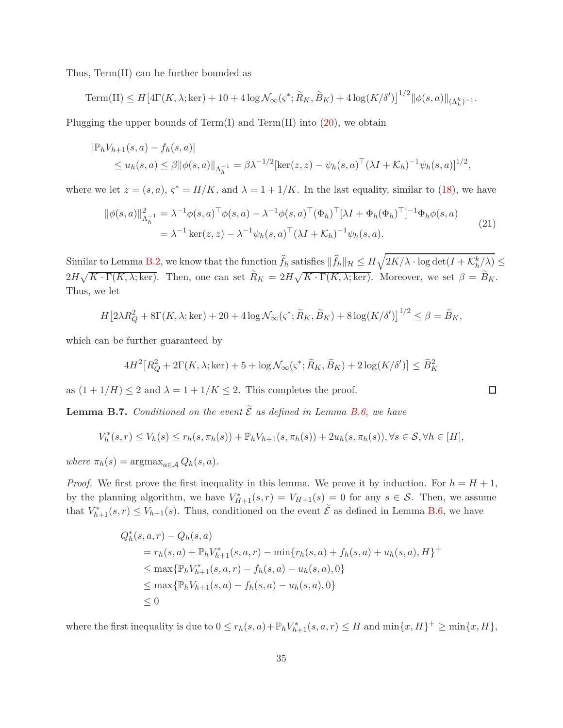Thus, Term(II) can be further bounded as

 $\text{Term(II)} \leq H \big[ 4\Gamma(K, \lambda; \ker) + 10 + 4\log \mathcal{N}_{\infty}(\varsigma^*; \widetilde{R}_K, \widetilde{B}_K) + 4\log(K/\delta') \big]^{1/2} ||\phi(s, a)||_{(\Lambda_h^k)^{-1}}.$ 

Plugging the upper bounds of  $Term(I)$  and  $Term(II)$  into  $(20)$ , we obtain

$$
|\mathbb{P}_h V_{h+1}(s, a) - f_h(s, a)|
$$
  
\n $\leq u_h(s, a) \leq \beta ||\phi(s, a)||_{\Lambda_h^{-1}} = \beta \lambda^{-1/2} [\ker(z, z) - \psi_h(s, a)^\top (\lambda I + \mathcal{K}_h)^{-1} \psi_h(s, a)]^{1/2},$ 

where we let  $z = (s, a)$ ,  $\varsigma^* = H/K$ , and  $\lambda = 1 + 1/K$ . In the last equality, similar to [\(18\)](#page-29-0), we have

$$
\|\phi(s,a)\|_{\Lambda_h^{-1}}^2 = \lambda^{-1}\phi(s,a)^\top \phi(s,a) - \lambda^{-1}\phi(s,a)^\top (\Phi_h)^\top [\lambda I + \Phi_h(\Phi_h)^\top]^{-1} \Phi_h \phi(s,a)
$$
  
=  $\lambda^{-1} \ker(z,z) - \lambda^{-1} \psi_h(s,a)^\top (\lambda I + \mathcal{K}_h)^{-1} \psi_h(s,a).$  (21)

 $\text{Similar to Lemma B.2, we know that the function } \hat{f}_h \text{ satisfies } \|\hat{f}_h\|_{\mathcal{H}} \leq H\sqrt{2K/\lambda\cdot\log\det(I+\mathcal{K}_h^k/\lambda)} \leq$  $\text{Similar to Lemma B.2, we know that the function } \hat{f}_h \text{ satisfies } \|\hat{f}_h\|_{\mathcal{H}} \leq H\sqrt{2K/\lambda\cdot\log\det(I+\mathcal{K}_h^k/\lambda)} \leq$  $\text{Similar to Lemma B.2, we know that the function } \hat{f}_h \text{ satisfies } \|\hat{f}_h\|_{\mathcal{H}} \leq H\sqrt{2K/\lambda\cdot\log\det(I+\mathcal{K}_h^k/\lambda)} \leq$  $2H\sqrt{K\cdot\Gamma(K,\lambda;\ker)}$ . Then, one can set  $\widetilde{R}_K = 2H\sqrt{K\cdot\Gamma(K,\lambda;\ker)}$ . Moreover, we set  $\beta = \widetilde{B}_K$ . Thus, we let

$$
H\left[2\lambda R_Q^2 + 8\Gamma(K,\lambda;\text{ker}) + 20 + 4\log\mathcal{N}_{\infty}(\varsigma^*;\widetilde{R}_K,\widetilde{B}_K) + 8\log(K/\delta')\right]^{1/2} \leq \beta = \widetilde{B}_K,
$$

which can be further guaranteed by

$$
4H^2\big[R_Q^2 + 2\Gamma(K,\lambda;\ker) + 5 + \log \mathcal{N}_{\infty}(\varsigma^*;\widetilde{R}_K,\widetilde{B}_K) + 2\log(K/\delta')\big] \leq \widetilde{B}_K^2
$$

<span id="page-34-1"></span> $\Box$ 

as  $(1 + 1/H) \leq 2$  and  $\lambda = 1 + 1/K \leq 2$ . This completes the proof.

<span id="page-34-0"></span>**Lemma B.7.** *Conditioned on the event*  $\widetilde{\mathcal{E}}$  *as defined in Lemma [B.6,](#page-32-0) we have* 

$$
V_h^*(s,r) \le V_h(s) \le r_h(s,\pi_h(s)) + \mathbb{P}_h V_{h+1}(s,\pi_h(s)) + 2u_h(s,\pi_h(s)), \forall s \in S, \forall h \in [H],
$$

 $where \pi_h(s) = \arg\max_{a \in A} Q_h(s, a).$ 

*Proof.* We first prove the first inequality in this lemma. We prove it by induction. For  $h = H + 1$ , by the planning algorithm, we have  $V_{H+1}^*(s,r) = V_{H+1}(s) = 0$  for any  $s \in \mathcal{S}$ . Then, we assume that  $V_{h+1}^*(s,r) \leq V_{h+1}(s)$ . Thus, conditioned on the event  $\mathcal E$  as defined in Lemma [B.6,](#page-32-0) we have

$$
Q_h^*(s, a, r) - Q_h(s, a)
$$
  
=  $r_h(s, a) + \mathbb{P}_h V_{h+1}^*(s, a, r) - \min\{r_h(s, a) + f_h(s, a) + u_h(s, a), H\}^+$   

$$
\leq \max\{\mathbb{P}_h V_{h+1}^*(s, a, r) - f_h(s, a) - u_h(s, a), 0\}
$$
  

$$
\leq \max\{\mathbb{P}_h V_{h+1}(s, a) - f_h(s, a) - u_h(s, a), 0\}
$$
  

$$
\leq 0
$$

where the first inequality is due to  $0 \le r_h(s, a) + \mathbb{P}_h V_{h+1}^*(s, a, r) \le H$  and  $\min\{x, H\}^+ \ge \min\{x, H\}$ ,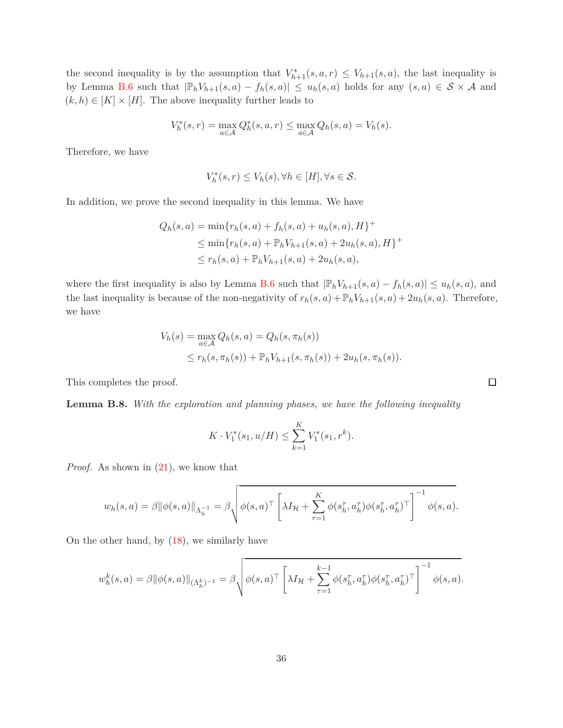the second inequality is by the assumption that  $V^*_{h+1}(s, a, r) \leq V_{h+1}(s, a)$ , the last inequality is by Lemma [B.6](#page-32-0) such that  $|\mathbb{P}_h V_{h+1}(s, a) - f_h(s, a)| \leq u_h(s, a)$  holds for any  $(s, a) \in S \times A$  and  $(k, h) \in [K] \times [H]$ . The above inequality further leads to

$$
V_h^*(s,r) = \max_{a \in \mathcal{A}} Q_h^*(s,a,r) \le \max_{a \in \mathcal{A}} Q_h(s,a) = V_h(s).
$$

Therefore, we have

$$
V_h^*(s,r) \le V_h(s), \forall h \in [H], \forall s \in \mathcal{S}.
$$

In addition, we prove the second inequality in this lemma. We have

$$
Q_h(s, a) = \min\{r_h(s, a) + f_h(s, a) + u_h(s, a), H\}^+\
$$
  
\n
$$
\leq \min\{r_h(s, a) + \mathbb{P}_h V_{h+1}(s, a) + 2u_h(s, a), H\}^+\
$$
  
\n
$$
\leq r_h(s, a) + \mathbb{P}_h V_{h+1}(s, a) + 2u_h(s, a),
$$

where the first inequality is also by Lemma [B.6](#page-32-0) such that  $|\mathbb{P}_h V_{h+1}(s, a) - f_h(s, a)| \leq u_h(s, a)$ , and the last inequality is because of the non-negativity of  $r_h(s, a) + \mathbb{P}_h V_{h+1}(s, a) + 2u_h(s, a)$ . Therefore, we have

$$
V_h(s) = \max_{a \in \mathcal{A}} Q_h(s, a) = Q_h(s, \pi_h(s))
$$
  
 
$$
\leq r_h(s, \pi_h(s)) + \mathbb{P}_h V_{h+1}(s, \pi_h(s)) + 2u_h(s, \pi_h(s)).
$$

This completes the proof.

<span id="page-35-0"></span>**Lemma B.8.** *With the exploration and planning phases, we have the following inequality*

$$
K \cdot V_1^*(s_1, u/H) \le \sum_{k=1}^K V_1^*(s_1, r^k).
$$

*Proof.* As shown in  $(21)$ , we know that

$$
w_h(s,a) = \beta ||\phi(s,a)||_{\Lambda_h^{-1}} = \beta \sqrt{\phi(s,a)^\top \left[ \lambda I_\mathcal{H} + \sum_{\tau=1}^K \phi(s_h^\tau,a_h^\tau) \phi(s_h^\tau,a_h^\tau)^\top \right]^{-1} \phi(s,a)}.
$$

On the other hand, by [\(18\)](#page-29-0), we similarly have

$$
w_h^k(s, a) = \beta ||\phi(s, a)||_{(\Lambda_h^k)^{-1}} = \beta \sqrt{\phi(s, a)^\top \left[ \lambda I_\mathcal{H} + \sum_{\tau=1}^{k-1} \phi(s_h^\tau, a_h^\tau) \phi(s_h^\tau, a_h^\tau)^\top \right]^{-1} \phi(s, a)}.
$$

 $\Box$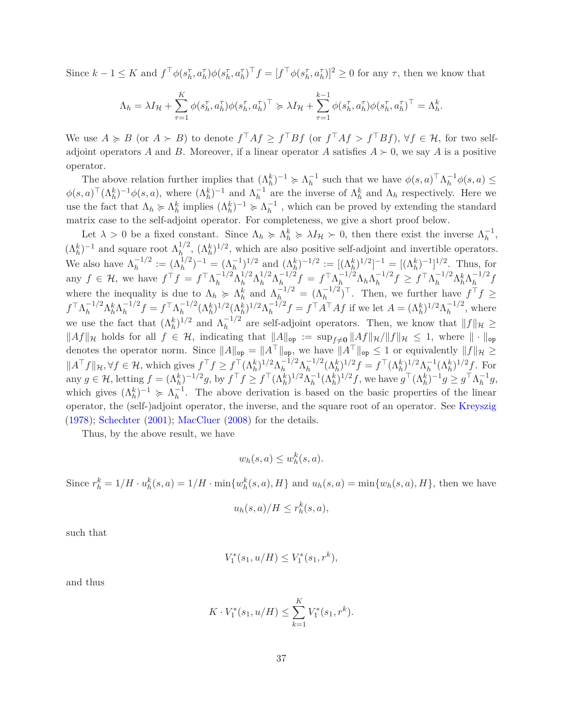Since  $k-1 \leq K$  and  $f^{\top}\phi(s_{h}^{\tau}, a_{h}^{\tau})\phi(s_{h}^{\tau}, a_{h}^{\tau})^{\top}f = [f^{\top}\phi(s_{h}^{\tau}, a_{h}^{\tau})]^{2} \geq 0$  for any  $\tau$ , then we know that

$$
\Lambda_h = \lambda I_H + \sum_{\tau=1}^K \phi(s_h^{\tau}, a_h^{\tau}) \phi(s_h^{\tau}, a_h^{\tau})^{\top} \succcurlyeq \lambda I_H + \sum_{\tau=1}^{k-1} \phi(s_h^{\tau}, a_h^{\tau}) \phi(s_h^{\tau}, a_h^{\tau})^{\top} = \Lambda_h^k.
$$

We use  $A \ge B$  (or  $A \ge B$ ) to denote  $f \upharpoonright Af \ge f \upharpoonright Bf$  (or  $f \upharpoonright Af > f \upharpoonright Bf$ ),  $\forall f \in \mathcal{H}$ , for two selfadjoint operators *A* and *B*. Moreover, if a linear operator *A* satisfies  $A \succ 0$ , we say *A* is a positive operator.

The above relation further implies that  $(\Lambda_h^k)^{-1} \geq \Lambda_h^{-1}$  such that we have  $\phi(s, a) \uparrow \Lambda_h^{-1} \phi(s, a) \leq$  $\phi(s,a)^\top (\Lambda_h^k)^{-1} \phi(s,a)$ , where  $(\Lambda_h^k)^{-1}$  and  $\Lambda_h^{-1}$  are the inverse of  $\Lambda_h^k$  and  $\Lambda_h$  respectively. Here we use the fact that  $\Lambda_h \ge \Lambda_h^k$  implies  $(\Lambda_h^k)^{-1} \ge \Lambda_h^{-1}$ , which can be proved by extending the standard matrix case to the self-adjoint operator. For completeness, we give a short proof below.

Let  $\lambda > 0$  be a fixed constant. Since  $\Lambda_h \ge \Lambda_h^k \ge \lambda I_H > 0$ , then there exist the inverse  $\Lambda_h^{-1}$ ,  $(\Lambda_h^k)^{-1}$  and square root  $\Lambda_h^{1/2}$ ,  $(\Lambda_h^k)^{1/2}$ , which are also positive self-adjoint and invertible operators. We also have  $\Lambda_h^{-1/2} := (\Lambda_h^{1/2})^{-1} = (\Lambda_h^{-1})^{1/2}$  and  $(\Lambda_h^k)^{-1/2} := [(\Lambda_h^k)^{1/2}]^{-1} = [(\Lambda_h^k)^{-1}]^{1/2}$ . Thus, for any  $f \in \mathcal{H}$ , we have  $f^{\top}f = f^{\top} \Lambda_h^{-1/2} \Lambda_h^{1/2} \Lambda_h^{1/2} \Lambda_{h_{\perp,0}}^{-1/2} f = f^{\top} \Lambda_h^{-1/2} \Lambda_h \Lambda_h^{-1/2} f \geq f^{\top} \Lambda_h^{-1/2} \Lambda_h^{k} \Lambda_h^{-1/2} f$ where the inequality is due to  $\Lambda_h \geq \Lambda_h^k$  and  $\Lambda_{h_0}^{-1/2} = (\Lambda_h^{-1/2})^{\top}$ . Then, we further have  $f^{\top} f \geq$  $f^{\top} \Lambda_h^{-1/2} \Lambda_h^k \Lambda_h^{-1/2} f = f^{\top} \Lambda_h^{-1/2} (\Lambda_h^k)^{1/2} (\Lambda_h^k)^{1/2} \Lambda_h^{-1/2} f = f^{\top} A^{\top} A f$  if we let  $A = (\Lambda_h^k)^{1/2} \Lambda_h^{-1/2}$ , where we use the fact that  $(\Lambda_h^k)^{1/2}$  and  $\Lambda_h^{-1/2}$  are self-adjoint operators. Then, we know that  $||f||_{\mathcal{H}} \ge$  $||Af||_{\mathcal{H}}$  holds for all  $f \in \mathcal{H}$ , indicating that  $||A||_{op} := \sup_{f \neq 0} ||Af||_{\mathcal{H}}/||f||_{\mathcal{H}} \leq 1$ , where  $|| \cdot ||_{op}$ denotes the operator norm. Since  $||A||_{op} = ||A^{\top}||_{op}$ , we have  $||A^{\top}||_{op} \leq 1$  or equivalently  $||f||_{\mathcal{H}} \geq$  $||A^{\top} f||_{\mathcal{H}}, \forall f \in \mathcal{H}$ , which gives  $f^{\top} f \geq f^{\top} (\Lambda_h^k)^{1/2} \Lambda_h^{-1/2} (\Lambda_h^k)^{1/2} f = f^{\top} (\Lambda_h^k)^{1/2} \Lambda_h^{-1} (\Lambda_h^k)^{1/2} f$ . For any  $g \in \mathcal{H}$ , letting  $f = (\Lambda_h^k)^{-1/2} g$ , by  $f^\top f \geq f^\top (\Lambda_h^k)^{1/2} \Lambda_h^{-1} (\Lambda_h^k)^{1/2} f$ , we have  $g^\top (\Lambda_h^k)^{-1} g \geq g^\top \Lambda_h^{-1} g$ , which gives  $(\Lambda_h^k)^{-1} \geq \Lambda_h^{-1}$ . The above derivation is based on the basic properties of the linear operator, the (self-)adjoint operator, the inverse, and the square root of an operator. See [Kreyszig](#page-18-13) [\(1978](#page-18-13)); [Schechter](#page-18-14) [\(2001](#page-18-14)); [MacCluer](#page-18-15) [\(2008](#page-18-15)) for the details.

Thus, by the above result, we have

$$
w_h(s,a) \le w_h^k(s,a).
$$

Since  $r_h^k = 1/H \cdot u_h^k(s, a) = 1/H \cdot \min\{w_h^k(s, a), H\}$  and  $u_h(s, a) = \min\{w_h(s, a), H\}$ , then we have

$$
u_h(s,a)/H \le r_h^k(s,a),
$$

such that

$$
V_1^*(s_1, u/H) \le V_1^*(s_1, r^k),
$$

and thus

$$
K \cdot V_1^*(s_1, u/H) \le \sum_{k=1}^K V_1^*(s_1, r^k).
$$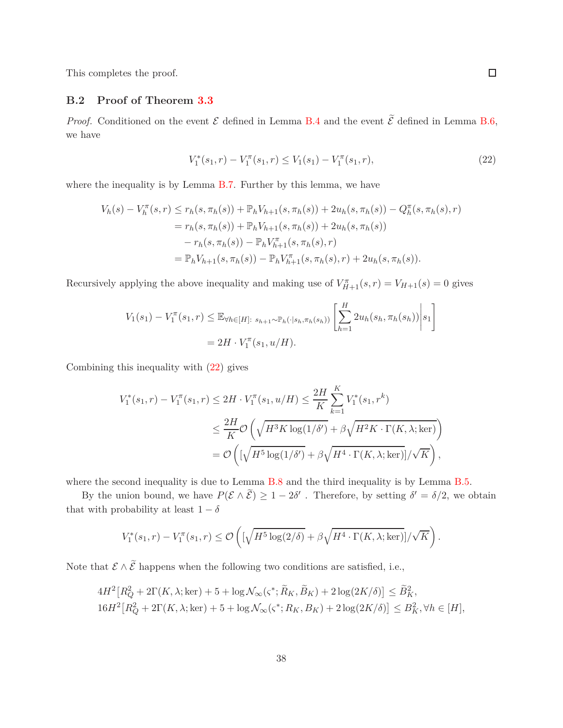<span id="page-37-0"></span>This completes the proof.

## **B.2 Proof of Theorem [3.3](#page-10-0)**

*Proof.* Conditioned on the event  $\mathcal E$  defined in Lemma [B.4](#page-27-0) and the event  $\tilde{\mathcal E}$  defined in Lemma [B.6,](#page-32-0) we have

<span id="page-37-1"></span>
$$
V_1^*(s_1, r) - V_1^{\pi}(s_1, r) \le V_1(s_1) - V_1^{\pi}(s_1, r), \tag{22}
$$

where the inequality is by Lemma [B.7.](#page-34-0) Further by this lemma, we have

$$
V_h(s) - V_h^{\pi}(s, r) \le r_h(s, \pi_h(s)) + \mathbb{P}_h V_{h+1}(s, \pi_h(s)) + 2u_h(s, \pi_h(s)) - Q_h^{\pi}(s, \pi_h(s), r)
$$
  
=  $r_h(s, \pi_h(s)) + \mathbb{P}_h V_{h+1}(s, \pi_h(s)) + 2u_h(s, \pi_h(s))$   
 $- r_h(s, \pi_h(s)) - \mathbb{P}_h V_{h+1}^{\pi}(s, \pi_h(s), r)$   
=  $\mathbb{P}_h V_{h+1}(s, \pi_h(s)) - \mathbb{P}_h V_{h+1}^{\pi}(s, \pi_h(s), r) + 2u_h(s, \pi_h(s)).$ 

Recursively applying the above inequality and making use of  $V_{H+1}^{\pi}(s,r) = V_{H+1}(s) = 0$  gives

$$
V_1(s_1) - V_1^{\pi}(s_1, r) \leq \mathbb{E}_{\forall h \in [H]: s_{h+1} \sim \mathbb{P}_h(\cdot | s_h, \pi_h(s_h))} \left[ \sum_{h=1}^H 2u_h(s_h, \pi_h(s_h)) \middle| s_1 \right]
$$
  
=  $2H \cdot V_1^{\pi}(s_1, u/H).$ 

Combining this inequality with [\(22\)](#page-37-1) gives

$$
V_1^*(s_1, r) - V_1^{\pi}(s_1, r) \le 2H \cdot V_1^{\pi}(s_1, u/H) \le \frac{2H}{K} \sum_{k=1}^K V_1^*(s_1, r^k)
$$
  

$$
\le \frac{2H}{K} \mathcal{O}\left(\sqrt{H^3 K \log(1/\delta')} + \beta \sqrt{H^2 K \cdot \Gamma(K, \lambda; \ker)}\right)
$$
  

$$
= \mathcal{O}\left(\left[\sqrt{H^5 \log(1/\delta')} + \beta \sqrt{H^4 \cdot \Gamma(K, \lambda; \ker)}\right] / \sqrt{K}\right),
$$

where the second inequality is due to Lemma [B.8](#page-35-0) and the third inequality is by Lemma [B.5.](#page-30-0)

By the union bound, we have  $P(\mathcal{E} \wedge \mathcal{E}) \geq 1 - 2\delta'$ . Therefore, by setting  $\delta' = \delta/2$ , we obtain that with probability at least  $1 - \delta$ 

$$
V_1^*(s_1,r) - V_1^{\pi}(s_1,r) \leq \mathcal{O}\left( \left[ \sqrt{H^5 \log(2/\delta)} + \beta \sqrt{H^4 \cdot \Gamma(K,\lambda; \ker)} \right] / \sqrt{K} \right).
$$

Note that  $\mathcal{E} \wedge \widetilde{\mathcal{E}}$  happens when the following two conditions are satisfied, i.e.,

$$
4H^2\big[R_Q^2 + 2\Gamma(K,\lambda;\text{ker}) + 5 + \log \mathcal{N}_{\infty}(\varsigma^*;\widetilde{R}_K,\widetilde{B}_K) + 2\log(2K/\delta)\big] \le \widetilde{B}_K^2,
$$
  

$$
16H^2\big[R_Q^2 + 2\Gamma(K,\lambda;\text{ker}) + 5 + \log \mathcal{N}_{\infty}(\varsigma^*;R_K,B_K) + 2\log(2K/\delta)\big] \le B_K^2, \forall h \in [H],
$$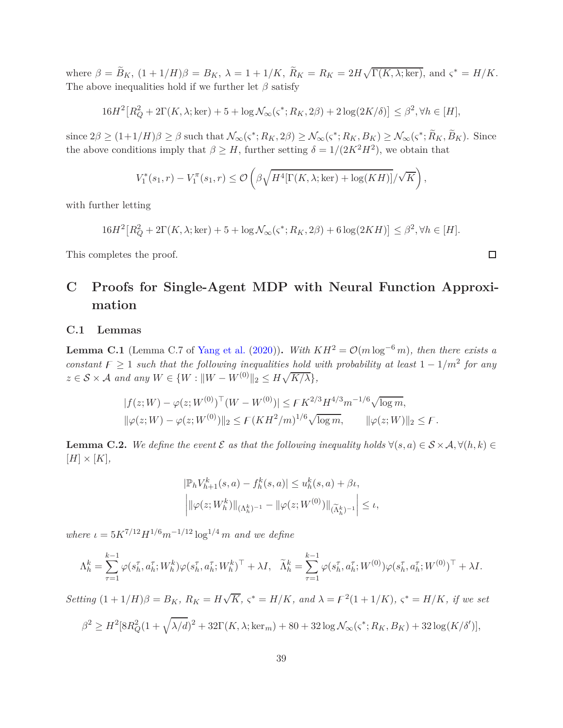where  $\beta = \widetilde{B}_K$ ,  $(1 + 1/H)\beta = B_K$ ,  $\lambda = 1 + 1/K$ ,  $\widetilde{R}_K = R_K = 2H\sqrt{\Gamma(K, \lambda; \ker)}$ , and  $\varsigma^* = H/K$ . The above inequalities hold if we further let  $\beta$  satisfy

$$
16H2[RQ2 + 2\Gamma(K, \lambda; \text{ker}) + 5 + \log \mathcal{N}_{\infty}(\varsigma^*; R_K, 2\beta) + 2\log(2K/\delta)] \le \beta^2, \forall h \in [H],
$$

since  $2\beta \ge (1+1/H)\beta \ge \beta$  such that  $\mathcal{N}_{\infty}(\varsigma^*; R_K, 2\beta) \ge \mathcal{N}_{\infty}(\varsigma^*; R_K, B_K) \ge \mathcal{N}_{\infty}(\varsigma^*; R_K, B_K)$ . Since the above conditions imply that  $\beta \geq H$ , further setting  $\delta = 1/(2K^2H^2)$ , we obtain that

$$
V_1^*(s_1,r) - V_1^{\pi}(s_1,r) \leq \mathcal{O}\left(\beta\sqrt{H^4[\Gamma(K,\lambda;\ker) + \log(KH)]}/\sqrt{K}\right),\,
$$

with further letting

$$
16H2[RQ2 + 2\Gamma(K, \lambda; \ker) + 5 + \log \mathcal{N}_{\infty}(\varsigma^*; R_K, 2\beta) + 6\log(2KH)] \le \beta^2, \forall h \in [H].
$$

This completes the proof.

# **C Proofs for Single-Agent MDP with Neural Function Approximation**

### **C.1 Lemmas**

<span id="page-38-1"></span>**Lemma C.1** (Lemma C.7 of [Yang et al.](#page-19-12) [\(2020\)](#page-19-12)). *With*  $KH^2 = \mathcal{O}(m \log^{-6} m)$ , then there exists a *constant*  $F \geq 1$  *such that the following inequalities hold with probability at least*  $1 - 1/m^2$  *for any*  $z \in S \times A$  *and any*  $W \in \{W : ||W - W^{(0)}||_2 \leq H\sqrt{K/\lambda}\},\$ 

$$
|f(z;W) - \varphi(z;W^{(0)})^{\top}(W - W^{(0)})| \leq FK^{2/3}H^{4/3}m^{-1/6}\sqrt{\log m},
$$
  

$$
\|\varphi(z;W) - \varphi(z;W^{(0)})\|_2 \leq F(KH^2/m)^{1/6}\sqrt{\log m}, \qquad \|\varphi(z;W)\|_2 \leq F.
$$

<span id="page-38-0"></span>**Lemma C.2.** We define the event  $\mathcal E$  as that the following inequality holds  $\forall (s, a) \in \mathcal S \times \mathcal A, \forall (h, k) \in$  $[H] \times [K],$ 

$$
\left| \mathbb{P}_h V_{h+1}^k(s, a) - f_h^k(s, a) \right| \le u_h^k(s, a) + \beta \iota,
$$
  

$$
\left| \|\varphi(z; W_h^k)\|_{(\Lambda_h^k)^{-1}} - \|\varphi(z; W^{(0)})\|_{(\widetilde{\Lambda}_h^k)^{-1}} \right| \le \iota,
$$

*where*  $\iota = 5K^{7/12}H^{1/6}m^{-1/12}\log^{1/4}m$  *and we define* 

$$
\Lambda_h^k = \sum_{\tau=1}^{k-1} \varphi(s_h^\tau, a_h^\tau; W_h^k) \varphi(s_h^\tau, a_h^\tau; W_h^k)^\top + \lambda I, \quad \widetilde{\Lambda}_h^k = \sum_{\tau=1}^{k-1} \varphi(s_h^\tau, a_h^\tau; W^{(0)}) \varphi(s_h^\tau, a_h^\tau; W^{(0)})^\top + \lambda I.
$$

Setting  $(1+1/H)\beta = B_K$ ,  $R_K = H\sqrt{K}$ ,  $\varsigma^* = H/K$ , and  $\lambda = \mathcal{F}^2(1+1/K)$ ,  $\varsigma^* = H/K$ , if we set

$$
\beta^{2} \geq H^{2}[8R_{Q}^{2}(1+\sqrt{\lambda/d})^{2}+32\Gamma(K,\lambda;\ker_{m})+80+32\log \mathcal{N}_{\infty}(\varsigma^{*};R_{K},B_{K})+32\log(K/\delta')],
$$

 $\Box$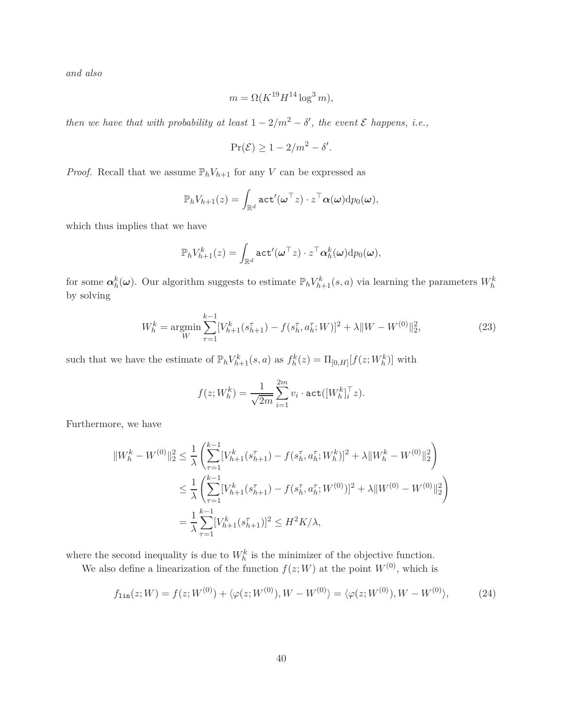*and also*

$$
m = \Omega(K^{19}H^{14}\log^3 m),
$$

*then we have that with probability at least*  $1 - 2/m^2 - \delta'$ , the event  $\mathcal E$  *happens, i.e.*,

$$
\Pr(\mathcal{E}) \ge 1 - 2/m^2 - \delta'.
$$

*Proof.* Recall that we assume  $\mathbb{P}_h V_{h+1}$  for any *V* can be expressed as

$$
\mathbb{P}_h V_{h+1}(z) = \int_{\mathbb{R}^d} {\tt act}'(\boldsymbol{\omega}^\top z) \cdot z^\top \boldsymbol{\alpha}(\boldsymbol{\omega}) {\rm d}p_0(\boldsymbol{\omega}),
$$

which thus implies that we have

$$
\mathbb{P}_h V_{h+1}^k(z) = \int_{\mathbb{R}^d} {\tt act}'(\boldsymbol{\omega}^\top z) \cdot z^\top \boldsymbol{\alpha}_h^k(\boldsymbol{\omega}) {\rm d}p_0(\boldsymbol{\omega}),
$$

for some  $\alpha_h^k(\omega)$ . Our algorithm suggests to estimate  $\mathbb{P}_h V_{h+1}^k(s, a)$  via learning the parameters  $W_h^k$ by solving

$$
W_h^k = \underset{W}{\text{argmin}} \sum_{\tau=1}^{k-1} [V_{h+1}^k(s_{h+1}^{\tau}) - f(s_h^{\tau}, a_h^{\tau}; W)]^2 + \lambda \|W - W^{(0)}\|_2^2, \tag{23}
$$

such that we have the estimate of  $\mathbb{P}_h V_{h+1}^k(s, a)$  as  $f_h^k(z) = \Pi_{[0,H]}[f(z; W_h^k)]$  with

<span id="page-39-1"></span><span id="page-39-0"></span>
$$
f(z;W_h^k) = \frac{1}{\sqrt{2m}} \sum_{i=1}^{2m} v_i \cdot \text{act}([W_h^k]_i^{\top} z).
$$

Furthermore, we have

$$
||W_h^k - W^{(0)}||_2^2 \le \frac{1}{\lambda} \left( \sum_{\tau=1}^{k-1} [V_{h+1}^k(s_{h+1}^\tau) - f(s_h^\tau, a_h^\tau; W_h^k)]^2 + \lambda ||W_h^k - W^{(0)}||_2^2 \right)
$$
  

$$
\le \frac{1}{\lambda} \left( \sum_{\tau=1}^{k-1} [V_{h+1}^k(s_{h+1}^\tau) - f(s_h^\tau, a_h^\tau; W^{(0)})]^2 + \lambda ||W^{(0)} - W^{(0)}||_2^2 \right)
$$
  

$$
= \frac{1}{\lambda} \sum_{\tau=1}^{k-1} [V_{h+1}^k(s_{h+1}^\tau)]^2 \le H^2 K/\lambda,
$$

where the second inequality is due to  $W_h^k$  is the minimizer of the objective function.

We also define a linearization of the function  $f(z;W)$  at the point  $W^{(0)}$ , which is

$$
f_{\text{lin}}(z;W) = f(z;W^{(0)}) + \langle \varphi(z;W^{(0)}), W - W^{(0)} \rangle = \langle \varphi(z;W^{(0)}), W - W^{(0)} \rangle, \tag{24}
$$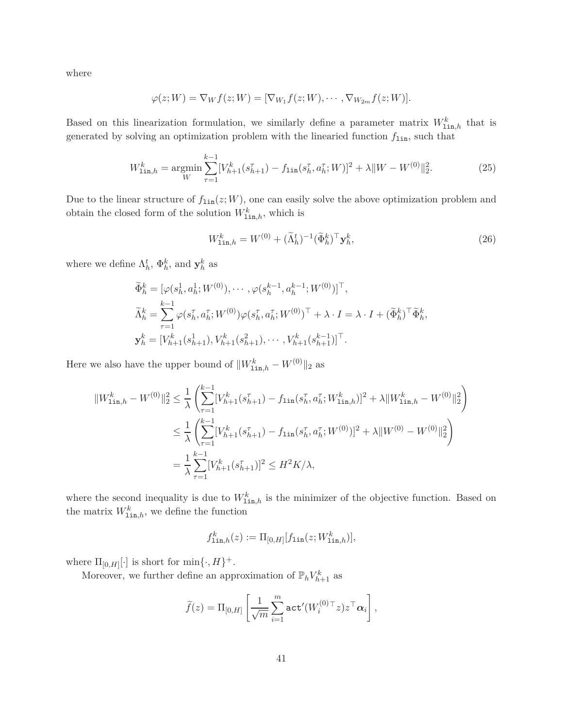where

$$
\varphi(z;W) = \nabla_W f(z;W) = [\nabla_{W_1} f(z;W), \cdots, \nabla_{W_{2m}} f(z;W)].
$$

Based on this linearization formulation, we similarly define a parameter matrix  $W^k_{\text{lin},h}$  that is generated by solving an optimization problem with the linearied function  $f_{\text{lin}}$ , such that

$$
W_{\text{lin},h}^{k} = \underset{W}{\operatorname{argmin}} \sum_{\tau=1}^{k-1} [V_{h+1}^{k}(s_{h+1}^{\tau}) - f_{\text{lin}}(s_{h}^{\tau}, a_{h}^{\tau}; W)]^{2} + \lambda \|W - W^{(0)}\|_{2}^{2}.
$$
 (25)

Due to the linear structure of  $f_{\text{lin}}(z;W)$ , one can easily solve the above optimization problem and obtain the closed form of the solution  $W^k_{1in,h}$ , which is

<span id="page-40-1"></span><span id="page-40-0"></span>
$$
W_{\text{lin},h}^k = W^{(0)} + (\widetilde{\Lambda}_h^t)^{-1} (\widetilde{\Phi}_h^k)^\top \mathbf{y}_h^k, \tag{26}
$$

where we define  $\Lambda_h^t$ ,  $\Phi_h^k$ , and  $\mathbf{y}_h^k$  as

$$
\begin{aligned}\n\widetilde{\Phi}_h^k &= [\varphi(s_h^1, a_h^1; W^{(0)}), \cdots, \varphi(s_h^{k-1}, a_h^{k-1}; W^{(0)})]^\top, \\
\widetilde{\Lambda}_h^k &= \sum_{\tau=1}^{k-1} \varphi(s_h^{\tau}, a_h^{\tau}; W^{(0)}) \varphi(s_h^{\tau}, a_h^{\tau}; W^{(0)})^\top + \lambda \cdot I = \lambda \cdot I + (\widetilde{\Phi}_h^k)^\top \widetilde{\Phi}_h^k, \\
\mathbf{y}_h^k &= [V_{h+1}^k(s_{h+1}^1), V_{h+1}^k(s_{h+1}^2), \cdots, V_{h+1}^k(s_{h+1}^{k-1})]^\top.\n\end{aligned}
$$

Here we also have the upper bound of  $||W^k_{\text{lin},h} - W^{(0)}||_2$  as

$$
||W_{\text{lin},h}^{k} - W^{(0)}||_{2}^{2} \leq \frac{1}{\lambda} \left( \sum_{\tau=1}^{k-1} [V_{h+1}^{k}(s_{h+1}^{\tau}) - f_{\text{lin}}(s_{h}^{\tau}, a_{h}^{\tau}; W_{\text{lin},h}^{k})]^{2} + \lambda ||W_{\text{lin},h}^{k} - W^{(0)}||_{2}^{2} \right)
$$
  

$$
\leq \frac{1}{\lambda} \left( \sum_{\tau=1}^{k-1} [V_{h+1}^{k}(s_{h+1}^{\tau}) - f_{\text{lin}}(s_{h}^{\tau}, a_{h}^{\tau}; W^{(0)})]^{2} + \lambda ||W^{(0)} - W^{(0)}||_{2}^{2} \right)
$$
  

$$
= \frac{1}{\lambda} \sum_{\tau=1}^{k-1} [V_{h+1}^{k}(s_{h+1}^{\tau})]^{2} \leq H^{2} K/\lambda,
$$

where the second inequality is due to  $W_{\text{lin},h}^k$  is the minimizer of the objective function. Based on the matrix  $W_{\text{lin},h}^k$ , we define the function

$$
f_{\text{lin},h}^{k}(z) := \Pi_{[0,H]}[f_{\text{lin}}(z;W_{\text{lin},h}^{k})],
$$

where  $\Pi_{[0,H]}[\cdot]$  is short for  $\min\{\cdot, H\}^+$ .

Moreover, we further define an approximation of  $\mathbb{P}_h V_{h+1}^k$  as

$$
\widetilde{f}(z) = \Pi_{[0,H]} \left[ \frac{1}{\sqrt{m}} \sum_{i=1}^{m} \mathtt{act}'(W_i^{(0)\top} z) z^{\top} \alpha_i \right],
$$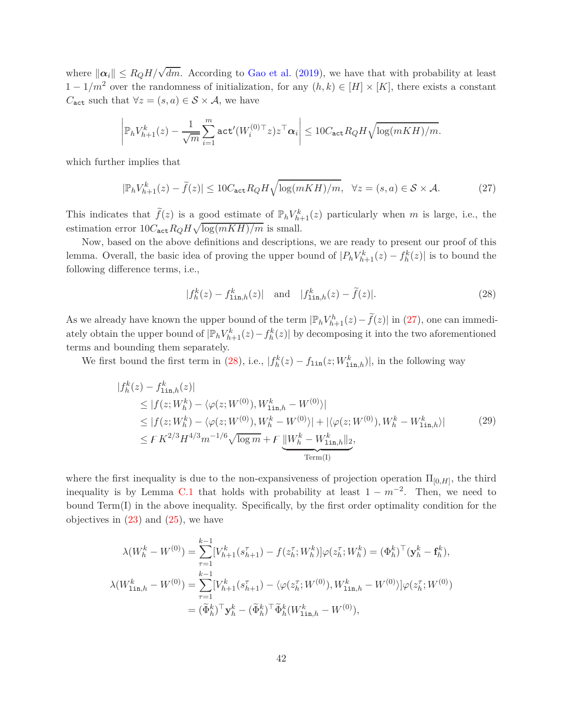where  $\|\alpha_i\| \leq R_Q H/\sqrt{dm}$ . According to [Gao et al.](#page-18-10) [\(2019](#page-18-10)), we have that with probability at least  $1 - 1/m^2$  over the randomness of initialization, for any  $(h, k) \in [H] \times [K]$ , there exists a constant *C*<sub>act</sub> such that  $\forall z = (s, a) \in S \times A$ , we have

$$
\left|\mathbb{P}_h V_{h+1}^k(z) - \frac{1}{\sqrt{m}} \sum_{i=1}^m \mathtt{act}'(W_i^{(0)\top} z) z^\top \alpha_i\right| \leq 10 C_{\mathtt{act}} R_Q H \sqrt{\log(mKH)/m}.
$$

which further implies that

$$
|\mathbb{P}_h V_{h+1}^k(z) - \tilde{f}(z)| \le 10 C_{\text{act}} R_Q H \sqrt{\log(mKH)/m}, \quad \forall z = (s, a) \in \mathcal{S} \times \mathcal{A}.
$$
 (27)

This indicates that  $\tilde{f}(z)$  is a good estimate of  $\mathbb{P}_h V_{h+1}^k(z)$  particularly when *m* is large, i.e., the estimation error  $10C_{\text{act}}R_QH\sqrt{\log(mKH)/m}$  is small.

Now, based on the above definitions and descriptions, we are ready to present our proof of this lemma. Overall, the basic idea of proving the upper bound of  $|P_h V^k_{h+1}(z) - f^k_h(z)|$  is to bound the following difference terms, i.e.,

<span id="page-41-2"></span><span id="page-41-1"></span><span id="page-41-0"></span>
$$
|f_h^k(z) - f_{\text{lin},h}^k(z)|
$$
 and  $|f_{\text{lin},h}^k(z) - \tilde{f}(z)|$ . (28)

As we already have known the upper bound of the term  $|\mathbb{P}_h V_{h+1}^h(z) - \tilde{f}(z)|$  in [\(27\)](#page-41-0), one can immediately obtain the upper bound of  $|\mathbb{P}_h V_{h+1}^k(z) - f_h^k(z)|$  by decomposing it into the two aforementioned terms and bounding them separately.

We first bound the first term in [\(28\)](#page-41-1), i.e.,  $|f_h^k(z) - f_{\text{lin}}(z; W_{\text{lin},h}^k)|$ , in the following way

$$
|f_h^k(z) - f_{\text{lin},h}^k(z)|
$$
  
\n
$$
\leq |f(z; W_h^k) - \langle \varphi(z; W^{(0)}), W_{\text{lin},h}^k - W^{(0)} \rangle|
$$
  
\n
$$
\leq |f(z; W_h^k) - \langle \varphi(z; W^{(0)}), W_h^k - W^{(0)} \rangle| + |\langle \varphi(z; W^{(0)}), W_h^k - W_{\text{lin},h}^k \rangle|
$$
  
\n
$$
\leq F K^{2/3} H^{4/3} m^{-1/6} \sqrt{\log m} + F \underbrace{\|W_h^k - W_{\text{lin},h}^k\|_2}_{\text{Term(I)}},
$$
\n(29)

where the first inequality is due to the non-expansiveness of projection operation  $\Pi_{[0,H]}$ , the third inequality is by Lemma [C.1](#page-38-1) that holds with probability at least  $1 - m^{-2}$ . Then, we need to bound Term(I) in the above inequality. Specifically, by the first order optimality condition for the objectives in  $(23)$  and  $(25)$ , we have

$$
\lambda(W_h^k - W^{(0)}) = \sum_{\tau=1}^{k-1} [V_{h+1}^k(s_{h+1}^{\tau}) - f(z_h^{\tau}; W_h^k)] \varphi(z_h^{\tau}; W_h^k) = (\Phi_h^k)^{\top} (\mathbf{y}_h^k - \mathbf{f}_h^k),
$$
  

$$
\lambda(W_{\text{lin},h}^k - W^{(0)}) = \sum_{\tau=1}^{k-1} [V_{h+1}^k(s_{h+1}^{\tau}) - \langle \varphi(z_h^{\tau}; W^{(0)}), W_{\text{lin},h}^k - W^{(0)} \rangle] \varphi(z_h^{\tau}; W^{(0)})
$$
  

$$
= (\tilde{\Phi}_h^k)^{\top} \mathbf{y}_h^k - (\tilde{\Phi}_h^k)^{\top} \tilde{\Phi}_h^k(W_{\text{lin},h}^k - W^{(0)}),
$$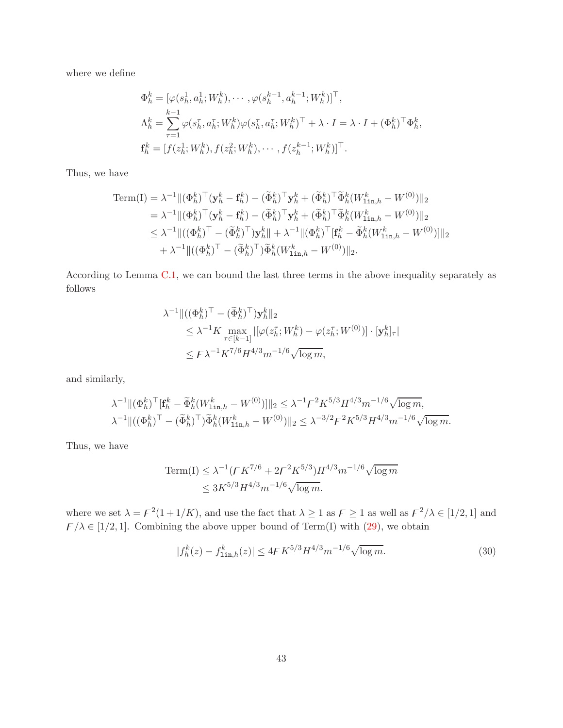where we define

$$
\Phi_h^k = [\varphi(s_h^1, a_h^1; W_h^k), \cdots, \varphi(s_h^{k-1}, a_h^{k-1}; W_h^k)]^\top,
$$
  
\n
$$
\Lambda_h^k = \sum_{\tau=1}^{k-1} \varphi(s_h^{\tau}, a_h^{\tau}; W_h^k) \varphi(s_h^{\tau}, a_h^{\tau}; W_h^k)^\top + \lambda \cdot I = \lambda \cdot I + (\Phi_h^k)^\top \Phi_h^k,
$$
  
\n
$$
\mathbf{f}_h^k = [f(z_h^1; W_h^k), f(z_h^2; W_h^k), \cdots, f(z_h^{k-1}; W_h^k)]^\top.
$$

Thus, we have

Term(I) = 
$$
\lambda^{-1} ||(\Phi_h^k)^\top (\mathbf{y}_h^k - \mathbf{f}_h^k) - (\tilde{\Phi}_h^k)^\top \mathbf{y}_h^k + (\tilde{\Phi}_h^k)^\top \tilde{\Phi}_h^k (W_{\text{lin},h}^k - W^{(0)})||_2
$$
  
\n=  $\lambda^{-1} ||(\Phi_h^k)^\top (\mathbf{y}_h^k - \mathbf{f}_h^k) - (\tilde{\Phi}_h^k)^\top \mathbf{y}_h^k + (\tilde{\Phi}_h^k)^\top \tilde{\Phi}_h^k (W_{\text{lin},h}^k - W^{(0)})||_2$   
\n $\leq \lambda^{-1} ||((\Phi_h^k)^\top - (\tilde{\Phi}_h^k)^\top) \mathbf{y}_h^k||_+ \lambda^{-1} ||(\Phi_h^k)^\top [\mathbf{f}_h^k - \tilde{\Phi}_h^k (W_{\text{lin},h}^k - W^{(0)})]||_2$   
\n+  $\lambda^{-1} ||((\Phi_h^k)^\top - (\tilde{\Phi}_h^k)^\top) \tilde{\Phi}_h^k (W_{\text{lin},h}^k - W^{(0)})||_2.$ 

According to Lemma [C.1,](#page-38-1) we can bound the last three terms in the above inequality separately as follows

$$
\lambda^{-1} \| ( (\Phi_h^k)^\top - (\widetilde{\Phi}_h^k)^\top ) \mathbf{y}_h^k \|_2
$$
  
\n
$$
\leq \lambda^{-1} K \max_{\tau \in [k-1]} | [\varphi(z_h^\tau; W_h^k) - \varphi(z_h^\tau; W^{(0)})] \cdot [\mathbf{y}_h^k]_\tau |
$$
  
\n
$$
\leq F \lambda^{-1} K^{7/6} H^{4/3} m^{-1/6} \sqrt{\log m},
$$

and similarly,

$$
\lambda^{-1} \| (\Phi_h^k)^\top [\mathbf{f}_h^k - \tilde{\Phi}_h^k (W_{\text{lin},h}^k - W^{(0)})] \|_2 \leq \lambda^{-1} \mathcal{F}^2 K^{5/3} H^{4/3} m^{-1/6} \sqrt{\log m},
$$
  

$$
\lambda^{-1} \| ((\Phi_h^k)^\top - (\tilde{\Phi}_h^k)^\top) \tilde{\Phi}_h^k (W_{\text{lin},h}^k - W^{(0)}) \|_2 \leq \lambda^{-3/2} \mathcal{F}^2 K^{5/3} H^{4/3} m^{-1/6} \sqrt{\log m}.
$$

Thus, we have

Term(I) 
$$
\leq \lambda^{-1} (FK^{7/6} + 2F^2 K^{5/3}) H^{4/3} m^{-1/6} \sqrt{\log m}
$$
  
 $\leq 3K^{5/3} H^{4/3} m^{-1/6} \sqrt{\log m}$ .

where we set  $\lambda = \mathcal{F}^2(1+1/K)$ , and use the fact that  $\lambda \geq 1$  as  $\mathcal{F} \geq 1$  as well as  $\mathcal{F}^2/\lambda \in [1/2, 1]$  and  $F/\lambda \in [1/2, 1]$ . Combining the above upper bound of Term(I) with [\(29\)](#page-41-2), we obtain

<span id="page-42-0"></span>
$$
|f_h^k(z) - f_{\text{lin},h}^k(z)| \le 4F K^{5/3} H^{4/3} m^{-1/6} \sqrt{\log m}.
$$
 (30)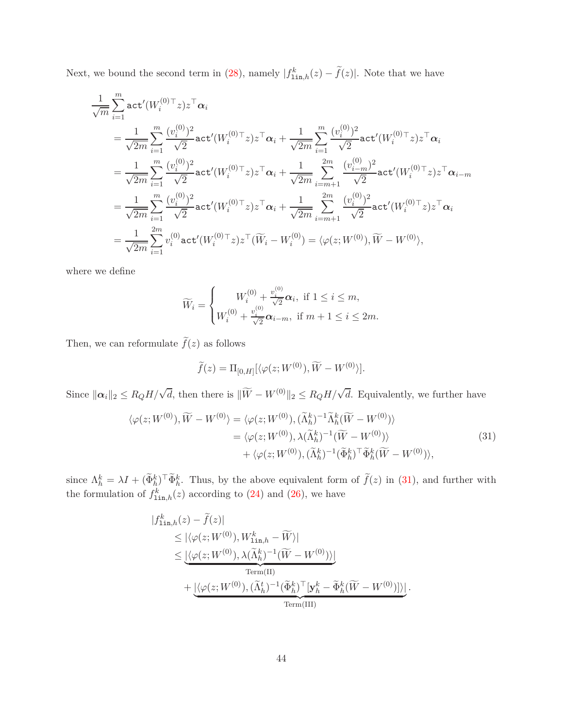Next, we bound the second term in [\(28\)](#page-41-1), namely  $|f_{\text{lin},h}^k(z) - \tilde{f}(z)|$ . Note that we have

$$
\frac{1}{\sqrt{m}} \sum_{i=1}^{m} \text{act}'(W_i^{(0)\top}z) z^{\top} \alpha_i
$$
\n
$$
= \frac{1}{\sqrt{2m}} \sum_{i=1}^{m} \frac{(v_i^{(0)})^2}{\sqrt{2}} \text{act}'(W_i^{(0)\top}z) z^{\top} \alpha_i + \frac{1}{\sqrt{2m}} \sum_{i=1}^{m} \frac{(v_i^{(0)})^2}{\sqrt{2}} \text{act}'(W_i^{(0)\top}z) z^{\top} \alpha_i
$$
\n
$$
= \frac{1}{\sqrt{2m}} \sum_{i=1}^{m} \frac{(v_i^{(0)})^2}{\sqrt{2}} \text{act}'(W_i^{(0)\top}z) z^{\top} \alpha_i + \frac{1}{\sqrt{2m}} \sum_{i=m+1}^{2m} \frac{(v_{i-m}^{(0)})^2}{\sqrt{2}} \text{act}'(W_i^{(0)\top}z) z^{\top} \alpha_{i-m}
$$
\n
$$
= \frac{1}{\sqrt{2m}} \sum_{i=1}^{m} \frac{(v_i^{(0)})^2}{\sqrt{2}} \text{act}'(W_i^{(0)\top}z) z^{\top} \alpha_i + \frac{1}{\sqrt{2m}} \sum_{i=m+1}^{2m} \frac{(v_i^{(0)})^2}{\sqrt{2}} \text{act}'(W_i^{(0)\top}z) z^{\top} \alpha_i
$$
\n
$$
= \frac{1}{\sqrt{2m}} \sum_{i=1}^{2m} v_i^{(0)} \text{act}'(W_i^{(0)\top}z) z^{\top}(\widetilde{W}_i - W_i^{(0)}) = \langle \varphi(z; W^{(0)}), \widetilde{W} - W^{(0)} \rangle,
$$

where we define

$$
\widetilde{W}_i = \begin{cases} W_i^{(0)} + \frac{v_i^{(0)}}{\sqrt{2}} \alpha_i, \text{ if } 1 \le i \le m, \\ W_i^{(0)} + \frac{v_i^{(0)}}{\sqrt{2}} \alpha_{i-m}, \text{ if } m+1 \le i \le 2m. \end{cases}
$$

Then, we can reformulate  $\tilde{f}(z)$  as follows

<span id="page-43-0"></span>
$$
\widetilde{f}(z) = \Pi_{[0,H]}[\langle \varphi(z;W^{(0)}), \widetilde{W} - W^{(0)} \rangle].
$$

Since  $\|\alpha_i\|_2 \leq R_Q H/\sqrt{d}$ , then there is  $\|\widetilde{W} - W^{(0)}\|_2 \leq R_Q H/\sqrt{d}$ . Equivalently, we further have

$$
\langle \varphi(z;W^{(0)}), \widetilde{W} - W^{(0)} \rangle = \langle \varphi(z;W^{(0)}), (\widetilde{\Lambda}_h^k)^{-1} \widetilde{\Lambda}_h^k (\widetilde{W} - W^{(0)}) \rangle = \langle \varphi(z;W^{(0)}), \lambda(\widetilde{\Lambda}_h^k)^{-1} (\widetilde{W} - W^{(0)}) \rangle + \langle \varphi(z;W^{(0)}), (\widetilde{\Lambda}_h^k)^{-1} (\widetilde{\Phi}_h^k)^{\top} \widetilde{\Phi}_h^k (\widetilde{W} - W^{(0)}) \rangle,
$$
(31)

since  $\Lambda_h^k = \lambda I + (\tilde{\Phi}_h^k)^\top \tilde{\Phi}_h^k$ . Thus, by the above equivalent form of  $\tilde{f}(z)$  in [\(31\)](#page-43-0), and further with the formulation of  $f_{\text{lin},h}^k(z)$  according to [\(24\)](#page-39-1) and [\(26\)](#page-40-1), we have

$$
\begin{split} |f_{\text{lin},h}^{k}(z) - \tilde{f}(z)| \\ &\leq |\langle \varphi(z;W^{(0)}),W_{\text{lin},h}^{k} - \widetilde{W} \rangle| \\ &\leq \underbrace{|\langle \varphi(z;W^{(0)}),\lambda(\widetilde{\Lambda}_{h}^{k})^{-1}(\widetilde{W} - W^{(0)}) \rangle|}_{\text{Term(II)}} \\ &+ \underbrace{|\langle \varphi(z;W^{(0)}),(\widetilde{\Lambda}_{h}^{t})^{-1}(\widetilde{\Phi}_{h}^{k})^{\top}[\mathbf{y}_{h}^{k} - \widetilde{\Phi}_{h}^{k}(\widetilde{W} - W^{(0)})] \rangle|}_{\text{Term(III)}}. \end{split}
$$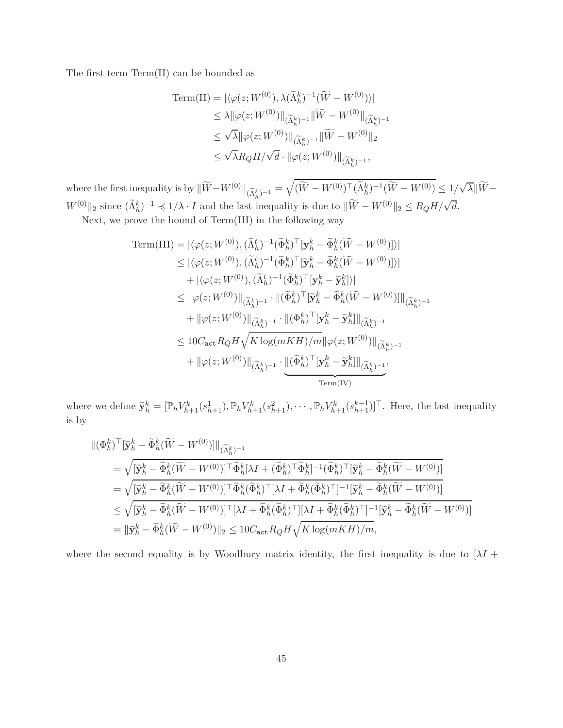The first term Term(II) can be bounded as

Term(II) = 
$$
|\langle \varphi(z; W^{(0)}), \lambda(\tilde{\Lambda}_h^k)^{-1} (\widetilde{W} - W^{(0)}) \rangle|
$$
  
\n $\leq \lambda ||\varphi(z; W^{(0)})||_{(\widetilde{\Lambda}_h^k)^{-1}} ||\widetilde{W} - W^{(0)}||_{(\widetilde{\Lambda}_h^k)^{-1}}$   
\n $\leq \sqrt{\lambda} ||\varphi(z; W^{(0)})||_{(\widetilde{\Lambda}_h^k)^{-1}} ||\widetilde{W} - W^{(0)}||_2$   
\n $\leq \sqrt{\lambda} R_Q H / \sqrt{d} \cdot ||\varphi(z; W^{(0)})||_{(\widetilde{\Lambda}_h^k)^{-1}},$ 

where the first inequality is by  $\|\widetilde{W} - W^{(0)}\|_{(\widetilde{\Lambda}_h^k)^{-1}} = \sqrt{(\widetilde{W} - W^{(0)})^{\top}(\widetilde{\Lambda}_h^k)^{-1}(\widetilde{W} - W^{(0)})} \leq 1/\sqrt{\lambda} \|\widetilde{W} - W^{(0)}\|_{\widetilde{\Lambda}_h^k}$  $W^{(0)} \|_2$  since  $(\widetilde{\Lambda}_h^k)^{-1} \preccurlyeq 1/\lambda \cdot I$  and the last inequality is due to  $\|\widetilde{W} - W^{(0)}\|_2 \le R_Q H / \sqrt{d}$ .

Next, we prove the bound of Term(III) in the following way

Term(III) = 
$$
|\langle \varphi(z;W^{(0)}), (\tilde{\Lambda}_{h}^{t})^{-1}(\tilde{\Phi}_{h}^{k})^{\top}[\mathbf{y}_{h}^{k} - \tilde{\Phi}_{h}^{k}(\widetilde{W} - W^{(0)})]\rangle|
$$
  
\n $\leq |\langle \varphi(z;W^{(0)}), (\tilde{\Lambda}_{h}^{t})^{-1}(\tilde{\Phi}_{h}^{k})^{\top}[\tilde{\mathbf{y}}_{h}^{k} - \tilde{\Phi}_{h}^{k}(\widetilde{W} - W^{(0)})]\rangle|$   
\n $+ |\langle \varphi(z;W^{(0)}), (\tilde{\Lambda}_{h}^{t})^{-1}(\tilde{\Phi}_{h}^{k})^{\top}[\mathbf{y}_{h}^{k} - \tilde{\mathbf{y}}_{h}^{k}]\rangle|$   
\n $\leq ||\varphi(z;W^{(0)})||_{(\tilde{\Lambda}_{h}^{k})^{-1}} \cdot ||(\tilde{\Phi}_{h}^{k})^{\top}[\tilde{\mathbf{y}}_{h}^{k} - \tilde{\Phi}_{h}^{k}(\widetilde{W} - W^{(0)})]||_{(\tilde{\Lambda}_{h}^{k})^{-1}}$   
\n $+ ||\varphi(z;W^{(0)})||_{(\tilde{\Lambda}_{h}^{k})^{-1}} \cdot ||(\Phi_{h}^{k})^{\top}[\mathbf{y}_{h}^{k} - \tilde{\mathbf{y}}_{h}^{k}||_{(\tilde{\Lambda}_{h}^{k})^{-1}}$   
\n $\leq 10C_{\text{act}}R_{Q}H\sqrt{K \log(mKH)/m} ||\varphi(z;W^{(0)})||_{(\tilde{\Lambda}_{h}^{k})^{-1}}$   
\n $+ ||\varphi(z;W^{(0)})||_{(\tilde{\Lambda}_{h}^{k})^{-1}} \cdot \underbrace{||(\tilde{\Phi}_{h}^{k})^{\top}[\mathbf{y}_{h}^{k} - \tilde{\mathbf{y}}_{h}^{k}||_{(\tilde{\Lambda}_{h}^{k})^{-1}}]}_{\text{Term}(IV)}$ 

where we define  $\tilde{\mathbf{y}}_h^k = [\mathbb{P}_h V_{h+1}^k(s_{h+1}^1), \mathbb{P}_h V_{h+1}^k(s_{h+1}^2), \cdots, \mathbb{P}_h V_{h+1}^k(s_{h+1}^{k-1})]^\top$ . Here, the last inequality is by

$$
\begin{split}\n\|(\Phi_h^k)^\top [\tilde{\mathbf{y}}_h^k - \tilde{\Phi}_h^k (\widetilde{W} - W^{(0)})] \|_{(\widetilde{\Lambda}_h^k)^{-1}} \\
&= \sqrt{[\tilde{\mathbf{y}}_h^k - \tilde{\Phi}_h^k (\widetilde{W} - W^{(0)})]^\top \tilde{\Phi}_h^k [\lambda I + (\tilde{\Phi}_h^k)^\top \tilde{\Phi}_h^k]^{-1} (\tilde{\Phi}_h^k)^\top [\tilde{\mathbf{y}}_h^k - \tilde{\Phi}_h^k (\widetilde{W} - W^{(0)})]} \\
&= \sqrt{[\tilde{\mathbf{y}}_h^k - \tilde{\Phi}_h^k (\widetilde{W} - W^{(0)})]^\top \tilde{\Phi}_h^k (\tilde{\Phi}_h^k)^\top [\lambda I + \tilde{\Phi}_h^k (\tilde{\Phi}_h^k)^\top]^{-1} [\tilde{\mathbf{y}}_h^k - \tilde{\Phi}_h^k (\widetilde{W} - W^{(0)})]} \\
&\leq \sqrt{[\tilde{\mathbf{y}}_h^k - \tilde{\Phi}_h^k (\widetilde{W} - W^{(0)})]^\top [\lambda I + \tilde{\Phi}_h^k (\tilde{\Phi}_h^k)^\top] [\lambda I + \tilde{\Phi}_h^k (\tilde{\Phi}_h^k)^\top]^{-1} [\tilde{\mathbf{y}}_h^k - \tilde{\Phi}_h^k (\widetilde{W} - W^{(0)})]} \\
&= \|\tilde{\mathbf{y}}_h^k - \tilde{\Phi}_h^k (\widetilde{W} - W^{(0)})\|_2 \leq 10 C_{\text{act}} R_Q H \sqrt{K \log(mKH)/m},\n\end{split}
$$

where the second equality is by Woodbury matrix identity, the first inequality is due to  $[\lambda I +$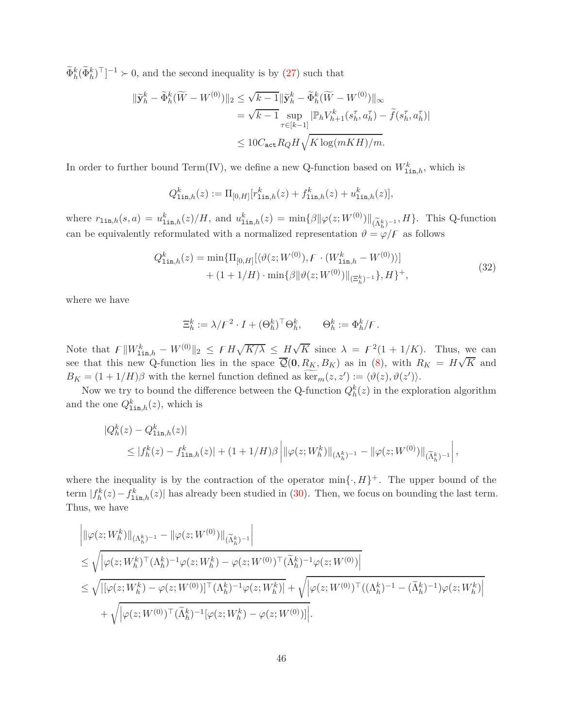$\tilde{\Phi}_h^k(\tilde{\Phi}_h^k)^\top]^{-1} \succ 0$ , and the second inequality is by [\(27\)](#page-41-0) such that

$$
\begin{aligned} \|\widetilde{\mathbf{y}}_h^k - \widetilde{\Phi}_h^k (\widetilde{W} - W^{(0)})\|_2 &\leq \sqrt{k-1} \|\widetilde{\mathbf{y}}_h^k - \widetilde{\Phi}_h^k (\widetilde{W} - W^{(0)})\|_{\infty} \\ &= \sqrt{k-1} \sup_{\tau \in [k-1]} |\mathbb{P}_h V_{h+1}^k(s_h^\tau, a_h^\tau) - \widetilde{f}(s_h^\tau, a_h^\tau)| \\ &\leq 10 C_{\text{act}} R_Q H \sqrt{K \log(mKH)/m}. \end{aligned}
$$

In order to further bound Term(IV), we define a new Q-function based on  $W^k_{\text{lin},h}$ , which is

$$
Q_{\text{lin},h}^k(z) := \Pi_{[0,H]}[r_{\text{lin},h}^k(z) + f_{\text{lin},h}^k(z) + u_{\text{lin},h}^k(z)],
$$

where  $r_{\text{lin},h}(s, a) = u_{\text{lin},h}^k(z)/H$ , and  $u_{\text{lin},h}^k(z) = \min\{\beta \|\varphi(z; W^{(0)})\|_{(\widetilde{\Lambda}_h^k)^{-1}}, H\}$ . This Q-function can be equivalently reformulated with a normalized representation  $\vartheta = \varphi/F$  as follows

$$
Q_{\text{lin},h}^{k}(z) = \min\{\Pi_{[0,H]}[\langle\vartheta(z;W^{(0)}), F \cdot (W_{\text{lin},h}^{k} - W^{(0)})\rangle] + (1+1/H) \cdot \min\{\beta \|\vartheta(z;W^{(0)})\|_{(\Xi_{h}^{k})^{-1}}\}, H\}^{+},
$$
\n(32)

where we have

<span id="page-45-0"></span>
$$
\Xi_h^k := \lambda / \mathcal{F}^2 \cdot I + (\Theta_h^k)^\top \Theta_h^k, \qquad \Theta_h^k := \Phi_h^k / \mathcal{F}.
$$

Note that  $F\|W_{\text{lin},h}^k - W^{(0)}\|_2 \leq FH\sqrt{K/\lambda} \leq H\sqrt{K}$  since  $\lambda = F^2(1+1/K)$ . Thus, we can see that this new Q-function lies in the space  $\overline{\mathcal{Q}}(0, R_K, B_K)$  as in [\(8\)](#page-10-1), with  $R_K = H\sqrt{K}$  and  $B_K = (1 + 1/H)\beta$  with the kernel function defined as ker<sub>*m*</sub>(*z*, *z*<sup>'</sup>) :=  $\langle \vartheta(z), \vartheta(z') \rangle$ .

Now we try to bound the difference between the Q-function  $Q_h^k(z)$  in the exploration algorithm and the one  $Q_{\text{lin},h}^k(z)$ , which is

$$
\begin{split} |Q_h^k(z) - Q_{\text{lin},h}^k(z)| \\ &\leq |f_h^k(z) - f_{\text{lin},h}^k(z)| + (1 + 1/H)\beta \left| \|\varphi(z;W_h^k)\|_{(\Lambda_h^k)^{-1}} - \|\varphi(z;W^{(0)})\|_{(\widetilde{\Lambda}_h^k)^{-1}} \right|, \end{split}
$$

where the inequality is by the contraction of the operator  $\min\{\cdot, H\}^+$ . The upper bound of the term  $|f_h^k(z) - f_{\text{lin},h}^k(z)|$  has already been studied in [\(30\)](#page-42-0). Then, we focus on bounding the last term. Thus, we have

$$
\begin{split} &\Big|\|\varphi(z;W_{h}^{k})\|_{(\Lambda_{h}^{k})^{-1}}-\|\varphi(z;W^{(0)})\|_{(\widetilde{\Lambda}_{h}^{k})^{-1}}\Big|\\ &\leq \sqrt{\left|\varphi(z;W_{h}^{k})^{\top}(\Lambda_{h}^{k})^{-1}\varphi(z;W_{h}^{k})-\varphi(z;W^{(0)})^{\top}(\widetilde{\Lambda}_{h}^{k})^{-1}\varphi(z;W^{(0)})\right|}\\ &\leq \sqrt{\left|[\varphi(z;W_{h}^{k})-\varphi(z;W^{(0)})]^{\top}(\Lambda_{h}^{k})^{-1}\varphi(z;W_{h}^{k})\right|}+\sqrt{\left|\varphi(z;W^{(0)})^{\top}((\Lambda_{h}^{k})^{-1}-(\widetilde{\Lambda}_{h}^{k})^{-1})\varphi(z;W_{h}^{k})\right|}\\ &\quad+\sqrt{\left|\varphi(z;W^{(0)})^{\top}(\widetilde{\Lambda}_{h}^{k})^{-1}[\varphi(z;W_{h}^{k})-\varphi(z;W^{(0)})]\right|}. \end{split}
$$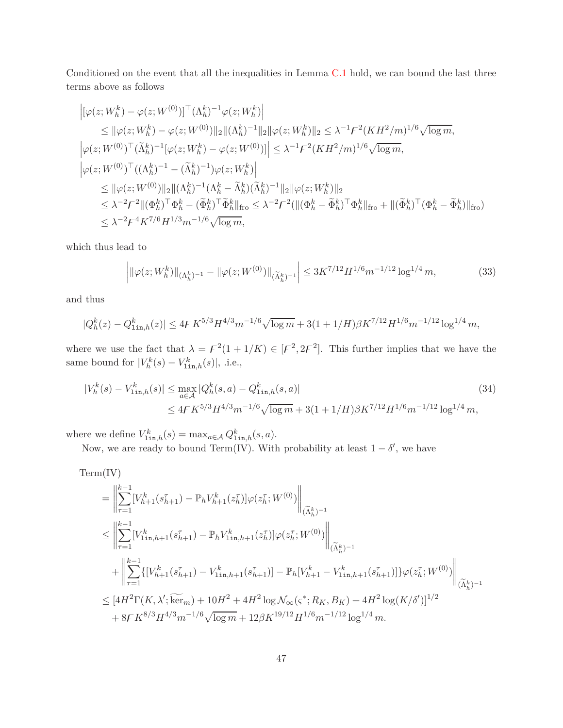Conditioned on the event that all the inequalities in Lemma [C.1](#page-38-1) hold, we can bound the last three terms above as follows

$$
\begin{split} &\left| [\varphi(z;W_{h}^{k})-\varphi(z;W^{(0)})]^\top (\Lambda_{h}^{k})^{-1}\varphi(z;W_{h}^{k}) \right| \\ &\leq \|\varphi(z;W_{h}^{k})-\varphi(z;W^{(0)})\|_{2}\|(\Lambda_{h}^{k})^{-1}\|_{2}\|\varphi(z;W_{h}^{k})\|_{2} \leq \lambda^{-1} \mathcal{F}^{2}(KH^{2}/m)^{1/6}\sqrt{\log m}, \\ &\left| \varphi(z;W^{(0)})^\top (\widetilde{\Lambda}_{h}^{k})^{-1}[\varphi(z;W_{h}^{k})-\varphi(z;W^{(0)})] \right|\leq \lambda^{-1} \mathcal{F}^{2}(KH^{2}/m)^{1/6}\sqrt{\log m}, \\ &\left| \varphi(z;W^{(0)})^\top((\Lambda_{h}^{k})^{-1}-(\widetilde{\Lambda}_{h}^{k})^{-1})\varphi(z;W_{h}^{k}) \right| \\ &\leq \|\varphi(z;W^{(0)})\|_{2}\|(\Lambda_{h}^{k})^{-1}(\Lambda_{h}^{k}-\widetilde{\Lambda}_{h}^{k})(\widetilde{\Lambda}_{h}^{k})^{-1}\|_{2}\|\varphi(z;W_{h}^{k})\|_{2} \\ &\leq \lambda^{-2} \mathcal{F}^{2}\|(\Phi_{h}^{k})^\top \Phi_{h}^{k}-(\widetilde{\Phi}_{h}^{k})^\top \widetilde{\Phi}_{h}^{k}\|_{\mathrm{fro}} \leq \lambda^{-2} \mathcal{F}^{2}(\|(\Phi_{h}^{k}-\widetilde{\Phi}_{h}^{k})^\top \Phi_{h}^{k}\|_{\mathrm{fro}}+\|(\widetilde{\Phi}_{h}^{k})^\top (\Phi_{h}^{k}-\widetilde{\Phi}_{h}^{k})\|_{\mathrm{fro}}) \\ &\leq \lambda^{-2} \mathcal{F}^{4} K^{7/6} H^{1/3} m^{-1/6}\sqrt{\log m}, \end{split}
$$

which thus lead to

<span id="page-46-1"></span><span id="page-46-0"></span>
$$
\left| \|\varphi(z; W_h^k) \|_{(\Lambda_h^k)^{-1}} - \|\varphi(z; W^{(0)}) \|_{(\widetilde{\Lambda}_h^k)^{-1}} \right| \le 3K^{7/12} H^{1/6} m^{-1/12} \log^{1/4} m,
$$
\n(33)

and thus

$$
|Q_h^k(z) - Q_{1\text{in},h}^k(z)| \le 4FK^{5/3}H^{4/3}m^{-1/6}\sqrt{\log m} + 3(1 + 1/H)\beta K^{7/12}H^{1/6}m^{-1/12}\log^{1/4}m,
$$

where we use the fact that  $\lambda = F^2(1 + 1/K) \in [F^2, 2F^2]$ . This further implies that we have the same bound for  $|V_h^k(s) - V_{\text{lin},h}^k(s)|$ , .i.e.,

$$
|V_h^k(s) - V_{\text{lin},h}^k(s)| \le \max_{a \in \mathcal{A}} |Q_h^k(s, a) - Q_{\text{lin},h}^k(s, a)|
$$
\n
$$
\le 4F K^{5/3} H^{4/3} m^{-1/6} \sqrt{\log m} + 3(1 + 1/H) \beta K^{7/12} H^{1/6} m^{-1/12} \log^{1/4} m,
$$
\n(34)

where we define  $V_{\text{lin},h}^k(s) = \max_{a \in \mathcal{A}} Q_{\text{lin},h}^k(s, a)$ .

Now, we are ready to bound Term(IV). With probability at least  $1 - \delta'$ , we have

Term(IV)  
\n
$$
\begin{split}\n&= \left\| \sum_{\tau=1}^{k-1} [V_{h+1}^{k}(s_{h+1}^{\tau}) - \mathbb{P}_{h}V_{h+1}^{k}(z_{h}^{\tau})] \varphi(z_{h}^{\tau}; W^{(0)}) \right\|_{(\widetilde{\Lambda}_{h}^{k})^{-1}} \\
&\leq \left\| \sum_{\tau=1}^{k-1} [V_{1\text{in},h+1}^{k}(s_{h+1}^{\tau}) - \mathbb{P}_{h}V_{1\text{in},h+1}^{k}(z_{h}^{\tau})] \varphi(z_{h}^{\tau}; W^{(0)}) \right\|_{(\widetilde{\Lambda}_{h}^{k})^{-1}} \\
&+ \left\| \sum_{\tau=1}^{k-1} \{ [V_{h+1}^{k}(s_{h+1}^{\tau}) - V_{1\text{in},h+1}^{k}(s_{h+1}^{\tau})] - \mathbb{P}_{h} [V_{h+1}^{k} - V_{1\text{in},h+1}^{k}(s_{h+1}^{\tau})] \} \varphi(z_{h}^{\tau}; W^{(0)}) \right\|_{(\widetilde{\Lambda}_{h}^{k})^{-1}} \\
&\leq [4H^{2}\Gamma(K, \lambda'; \widetilde{\ker}_{m}) + 10H^{2} + 4H^{2} \log \mathcal{N}_{\infty}(\varsigma^{*}; R_{K}, B_{K}) + 4H^{2} \log(K/\delta')]^{1/2} \\
&+ 8F K^{8/3} H^{4/3} m^{-1/6} \sqrt{\log m} + 12\beta K^{19/12} H^{1/6} m^{-1/12} \log^{1/4} m.\n\end{split}
$$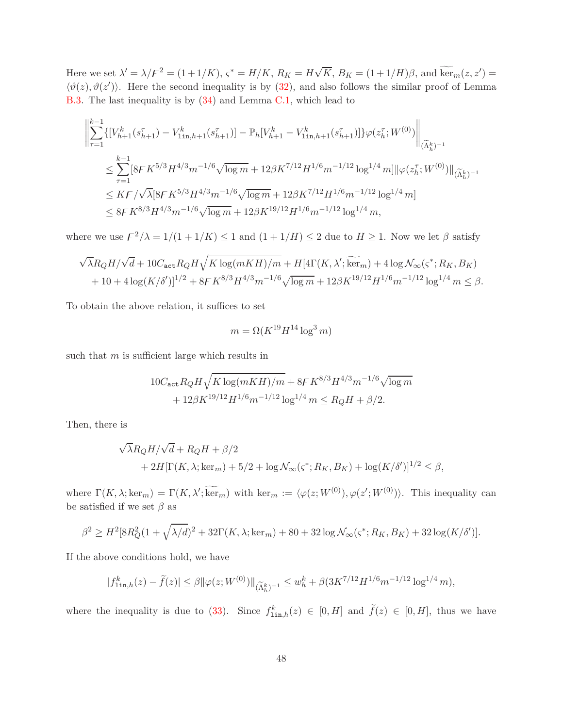Here we set  $\lambda' = \lambda/F^2 = (1+1/K)$ ,  $\varsigma^* = H/K$ ,  $R_K = H\sqrt{K}$ ,  $B_K = (1+1/H)\beta$ , and  $\widetilde{\ker}_m(z, z') =$  $\langle \vartheta(z), \vartheta(z') \rangle$ . Here the second inequality is by [\(32\)](#page-45-0), and also follows the similar proof of Lemma [B.3.](#page-26-0) The last inequality is by [\(34\)](#page-46-0) and Lemma [C.1,](#page-38-1) which lead to

$$
\begin{split} & \left\| \sum_{\tau=1}^{k-1} \{ [V_{h+1}^k(s_{h+1}^\tau) - V_{1\text{in},h+1}^k(s_{h+1}^\tau)] - \mathbb{P}_h[V_{h+1}^k - V_{1\text{in},h+1}^k(s_{h+1}^\tau)] \} \varphi(z_h^\tau;W^{(0)}) \right\|_{(\widetilde{\Lambda}_h^k)^{-1}} \\ & \leq \sum_{\tau=1}^{k-1} [8FK^{5/3}H^{4/3}m^{-1/6}\sqrt{\log m} + 12\beta K^{7/12}H^{1/6}m^{-1/12}\log^{1/4}m] \|\varphi(z_h^\tau;W^{(0)})\|_{(\widetilde{\Lambda}_h^k)^{-1}} \\ & \leq K\mathbb{F}/\sqrt{\lambda}[8FK^{5/3}H^{4/3}m^{-1/6}\sqrt{\log m} + 12\beta K^{7/12}H^{1/6}m^{-1/12}\log^{1/4}m] \\ & \leq 8FK^{8/3}H^{4/3}m^{-1/6}\sqrt{\log m} + 12\beta K^{19/12}H^{1/6}m^{-1/12}\log^{1/4}m, \end{split}
$$

where we use  $\frac{F^2}{\lambda} = \frac{1}{(1 + 1/K)} \leq 1$  and  $\frac{1 + 1/H}{S} \leq 2$  due to  $H \geq 1$ . Now we let  $\beta$  satisfy

$$
\sqrt{\lambda}R_{Q}H/\sqrt{d} + 10C_{\text{act}}R_{Q}H\sqrt{K\log(mKH)/m} + H[4\Gamma(K, \lambda'; \widetilde{\ker}_{m}) + 4\log \mathcal{N}_{\infty}(\varsigma^{*}; R_{K}, B_{K}) + 10 + 4\log(K/\delta')]^{1/2} + 8F K^{8/3}H^{4/3}m^{-1/6}\sqrt{\log m} + 12\beta K^{19/12}H^{1/6}m^{-1/12}\log^{1/4}m \leq \beta.
$$

To obtain the above relation, it suffices to set

$$
m = \Omega(K^{19}H^{14}\log^3 m)
$$

such that *m* is sufficient large which results in

$$
10C_{\text{act}}R_{Q}H\sqrt{K\log(mKH)/m} + 8FK^{8/3}H^{4/3}m^{-1/6}\sqrt{\log m} + 12\beta K^{19/12}H^{1/6}m^{-1/12}\log^{1/4}m \le R_{Q}H + \beta/2.
$$

Then, there is

$$
\sqrt{\lambda}R_{Q}H/\sqrt{d} + R_{Q}H + \beta/2
$$
  
+ 2H[\Gamma(K, \lambda; \ker\_m) + 5/2 + \log \mathcal{N}\_{\infty}(\varsigma^\*; R\_K, B\_K) + \log(K/\delta')]^{1/2} \le \beta,

where  $\Gamma(K, \lambda; \ker_m) = \Gamma(K, \lambda'; \ker_m)$  with  $\ker_m := \langle \varphi(z; W^{(0)}), \varphi(z'; W^{(0)}) \rangle$ . This inequality can be satisfied if we set  $\beta$  as

$$
\beta^2 \ge H^2[8R_Q^2(1+\sqrt{\lambda/d})^2+32\Gamma(K,\lambda;\ker_m)+80+32\log\mathcal{N}_{\infty}(\varsigma^*;R_K,B_K)+32\log(K/\delta')].
$$

If the above conditions hold, we have

$$
|f_{\text{lin},h}^{k}(z) - \tilde{f}(z)| \leq \beta \|\varphi(z;W^{(0)})\|_{(\widetilde{\Lambda}_{h}^{k})^{-1}} \leq w_{h}^{k} + \beta(3K^{7/12}H^{1/6}m^{-1/12}\log^{1/4}m),
$$

where the inequality is due to [\(33\)](#page-46-1). Since  $f_{\text{lin},h}^k(z) \in [0,H]$  and  $\tilde{f}(z) \in [0,H]$ , thus we have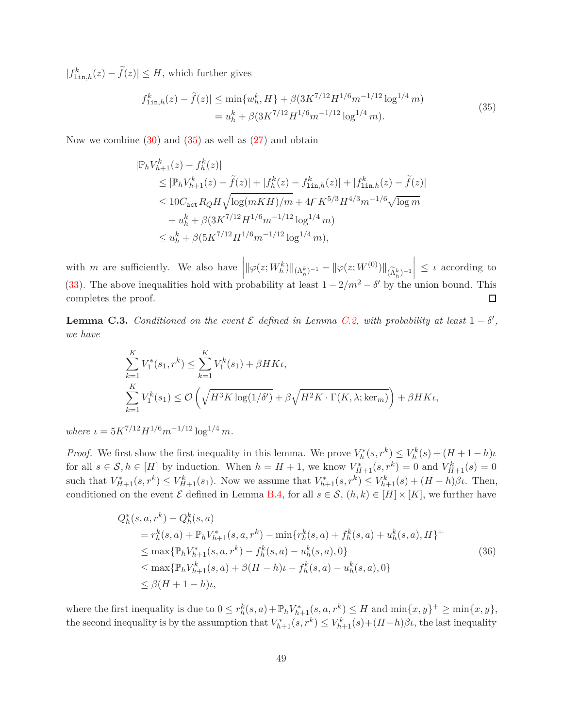$|f_{\text{lin},h}^{k}(z) - \tilde{f}(z)| \leq H$ , which further gives

<span id="page-48-1"></span>
$$
|f_{\text{lin},h}^{k}(z) - \tilde{f}(z)| \le \min\{w_{h}^{k}, H\} + \beta(3K^{7/12}H^{1/6}m^{-1/12}\log^{1/4}m)
$$
  
=  $u_{h}^{k} + \beta(3K^{7/12}H^{1/6}m^{-1/12}\log^{1/4}m).$  (35)

Now we combine  $(30)$  and  $(35)$  as well as  $(27)$  and obtain

$$
\begin{split} |\mathbb{P}_{h}V_{h+1}^{k}(z) - f_{h}^{k}(z)| \\ &\leq |\mathbb{P}_{h}V_{h+1}^{k}(z) - \tilde{f}(z)| + |f_{h}^{k}(z) - f_{\text{lin},h}^{k}(z)| + |f_{\text{lin},h}^{k}(z) - \tilde{f}(z)| \\ &\leq 10C_{\text{act}}R_{Q}H\sqrt{\log(mKH)/m} + 4FK^{5/3}H^{4/3}m^{-1/6}\sqrt{\log m} \\ &\quad + u_{h}^{k} + \beta(3K^{7/12}H^{1/6}m^{-1/12}\log^{1/4}m) \\ &\leq u_{h}^{k} + \beta(5K^{7/12}H^{1/6}m^{-1/12}\log^{1/4}m), \end{split}
$$

 $\left\| \|\varphi(z;W^k_h)\|_{(\Lambda^k_h)^{-1}} - \|\varphi(z;W^{(0)})\|_{(\widetilde\Lambda^k_h)^{-1}} \right\|$  $\vert \leq \iota$  according to with *m* are sufficiently. We also have [\(33\)](#page-46-1). The above inequalities hold with probability at least  $1 - 2/m^2 - \delta'$  by the union bound. This completes the proof.  $\Box$ 

<span id="page-48-0"></span>**Lemma C.3.** *Conditioned on the event*  $\mathcal{E}$  *defined in Lemma [C.2,](#page-38-0) with probability at least*  $1 - \delta'$ , *we have*

$$
\sum_{k=1}^{K} V_1^*(s_1, r^k) \le \sum_{k=1}^{K} V_1^k(s_1) + \beta HK_l,
$$
\n
$$
\sum_{k=1}^{K} V_1^k(s_1) \le \mathcal{O}\left(\sqrt{H^3 K \log(1/\delta')} + \beta \sqrt{H^2 K \cdot \Gamma(K, \lambda; \ker_m)}\right) + \beta HK_l,
$$

*where*  $\iota = 5K^{7/12}H^{1/6}m^{-1/12}\log^{1/4}m$ .

*Proof.* We first show the first inequality in this lemma. We prove  $V_h^*(s, r^k) \leq V_h^k(s) + (H + 1 - h)\iota$ for all  $s \in S, h \in [H]$  by induction. When  $h = H + 1$ , we know  $V_{H+1}^*(s, r^k) = 0$  and  $V_{H+1}^k(s) = 0$ such that  $V_{H+1}^*(s,r^k) \leq V_{H+1}^k(s_1)$ . Now we assume that  $V_{h+1}^*(s,r^k) \leq V_{h+1}^k(s) + (H-h)\beta\iota$ . Then, conditioned on the event  $\mathcal E$  defined in Lemma [B.4,](#page-27-0) for all  $s \in \mathcal S$ ,  $(h, k) \in [H] \times [K]$ , we further have

<span id="page-48-2"></span>
$$
Q_h^*(s, a, r^k) - Q_h^k(s, a)
$$
  
=  $r_h^k(s, a) + \mathbb{P}_h V_{h+1}^*(s, a, r^k) - \min\{r_h^k(s, a) + f_h^k(s, a) + u_h^k(s, a), H\}^+$   

$$
\leq \max\{\mathbb{P}_h V_{h+1}^*(s, a, r^k) - f_h^k(s, a) - u_h^k(s, a), 0\}
$$
  

$$
\leq \max\{\mathbb{P}_h V_{h+1}^k(s, a) + \beta(H - h)\iota - f_h^k(s, a) - u_h^k(s, a), 0\}
$$
  

$$
\leq \beta(H + 1 - h)\iota,
$$
 (36)

where the first inequality is due to  $0 \leq r_h^k(s, a) + \mathbb{P}_h V_{h+1}^*(s, a, r^k) \leq H$  and  $\min\{x, y\}^+ \geq \min\{x, y\}$ , the second inequality is by the assumption that  $V_{h+1}^*(s, r^k) \leq V_{h+1}^k(s) + (H-h)\beta\iota$ , the last inequality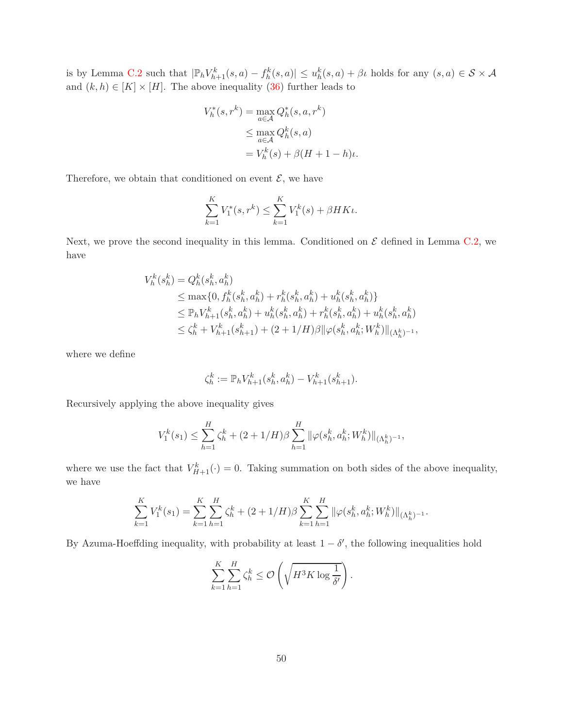is by Lemma [C.2](#page-38-0) such that  $|\mathbb{P}_h V_{h+1}^k(s, a) - f_h^k(s, a)| \le u_h^k(s, a) + \beta \iota$  holds for any  $(s, a) \in S \times A$ and  $(k, h) \in [K] \times [H]$ . The above inequality [\(36\)](#page-48-2) further leads to

$$
V_h^*(s, r^k) = \max_{a \in \mathcal{A}} Q_h^*(s, a, r^k)
$$
  
\n
$$
\leq \max_{a \in \mathcal{A}} Q_h^k(s, a)
$$
  
\n
$$
= V_h^k(s) + \beta (H + 1 - h)\iota.
$$

Therefore, we obtain that conditioned on event  $\mathcal{E},$  we have

$$
\sum_{k=1}^{K} V_1^*(s, r^k) \le \sum_{k=1}^{K} V_1^k(s) + \beta HK\iota.
$$

Next, we prove the second inequality in this lemma. Conditioned on  $\mathcal E$  defined in Lemma [C.2,](#page-38-0) we have

$$
V_h^k(s_h^k) = Q_h^k(s_h^k, a_h^k)
$$
  
\n
$$
\leq \max\{0, f_h^k(s_h^k, a_h^k) + r_h^k(s_h^k, a_h^k) + u_h^k(s_h^k, a_h^k)\}
$$
  
\n
$$
\leq \mathbb{P}_h V_{h+1}^k(s_h^k, a_h^k) + u_h^k(s_h^k, a_h^k) + r_h^k(s_h^k, a_h^k) + u_h^k(s_h^k, a_h^k)
$$
  
\n
$$
\leq \zeta_h^k + V_{h+1}^k(s_{h+1}^k) + (2 + 1/H)\beta \|\varphi(s_h^k, a_h^k; W_h^k)\|_{(\Lambda_h^k)^{-1}},
$$

where we define

$$
\zeta_h^k := \mathbb{P}_h V_{h+1}^k(s_h^k, a_h^k) - V_{h+1}^k(s_{h+1}^k).
$$

Recursively applying the above inequality gives

$$
V_1^k(s_1) \leq \sum_{h=1}^{H} \zeta_h^k + (2+1/H)\beta \sum_{h=1}^{H} ||\varphi(s_h^k, a_h^k; W_h^k)||_{(\Lambda_h^k)^{-1}},
$$

where we use the fact that  $V_{H+1}^k(\cdot) = 0$ . Taking summation on both sides of the above inequality, we have

$$
\sum_{k=1}^{K} V_1^k(s_1) = \sum_{k=1}^{K} \sum_{h=1}^{H} \zeta_h^k + (2 + 1/H)\beta \sum_{k=1}^{K} \sum_{h=1}^{H} \|\varphi(s_h^k, a_h^k; W_h^k)\|_{(\Lambda_h^k)^{-1}}.
$$

By Azuma-Hoeffding inequality, with probability at least  $1 - \delta'$ , the following inequalities hold

$$
\sum_{k=1}^K \sum_{h=1}^H \zeta_h^k \le \mathcal{O}\left(\sqrt{H^3 K \log \frac{1}{\delta'}}\right).
$$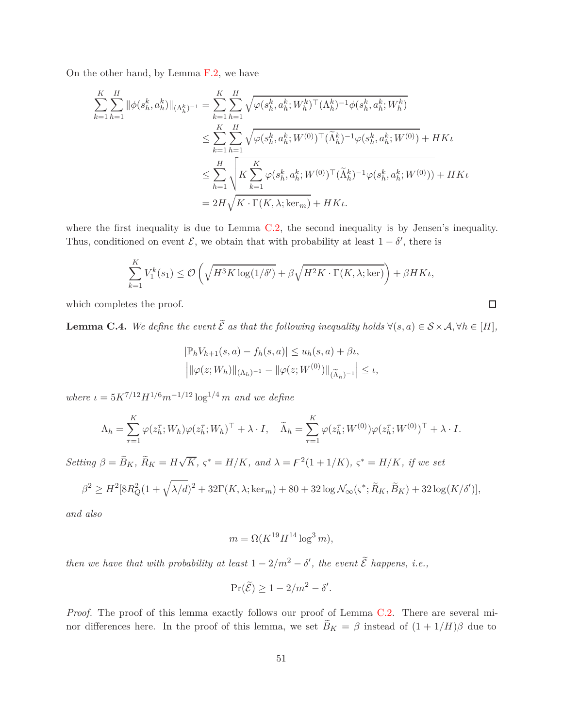On the other hand, by Lemma [F.2,](#page-68-0) we have

$$
\sum_{k=1}^{K} \sum_{h=1}^{H} \|\phi(s_h^k, a_h^k)\|_{(\Lambda_h^k)^{-1}} = \sum_{k=1}^{K} \sum_{h=1}^{H} \sqrt{\varphi(s_h^k, a_h^k; W_h^k)^\top (\Lambda_h^k)^{-1} \phi(s_h^k, a_h^k; W_h^k)}
$$
\n
$$
\leq \sum_{k=1}^{K} \sum_{h=1}^{H} \sqrt{\varphi(s_h^k, a_h^k; W^{(0)})^\top (\widetilde{\Lambda}_h^k)^{-1} \varphi(s_h^k, a_h^k; W^{(0)})} + HK\iota
$$
\n
$$
\leq \sum_{h=1}^{H} \sqrt{K \sum_{k=1}^{K} \varphi(s_h^k, a_h^k; W^{(0)})^\top (\widetilde{\Lambda}_h^k)^{-1} \varphi(s_h^k, a_h^k; W^{(0)}))} + HK\iota
$$
\n
$$
= 2H \sqrt{K \cdot \Gamma(K, \lambda; \ker_m)} + HK\iota.
$$

where the first inequality is due to Lemma [C.2,](#page-38-0) the second inequality is by Jensen's inequality. Thus, conditioned on event  $\mathcal{E}$ , we obtain that with probability at least  $1 - \delta'$ , there is

$$
\sum_{k=1}^K V_1^k(s_1) \le \mathcal{O}\left(\sqrt{H^3 K \log(1/\delta')} + \beta \sqrt{H^2 K \cdot \Gamma(K, \lambda; \ker)}\right) + \beta H K \iota,
$$

 $\Box$ 

which completes the proof.

<span id="page-50-0"></span>**Lemma C.4.** *We define the event*  $\widetilde{\mathcal{E}}$  *as that the following inequality holds*  $\forall (s, a) \in \mathcal{S} \times \mathcal{A}, \forall h \in [H],$ 

$$
|\mathbb{P}_h V_{h+1}(s, a) - f_h(s, a)| \le u_h(s, a) + \beta \iota,
$$
  
 $|||\varphi(z; W_h)||_{(\Lambda_h)^{-1}} - ||\varphi(z; W^{(0)})||_{(\widetilde{\Lambda}_h)^{-1}}| \le \iota,$ 

*where*  $\iota = 5K^{7/12}H^{1/6}m^{-1/12}\log^{1/4} m$  *and we define* 

$$
\Lambda_h = \sum_{\tau=1}^K \varphi(z_h^\tau; W_h) \varphi(z_h^\tau; W_h)^\top + \lambda \cdot I, \quad \widetilde{\Lambda}_h = \sum_{\tau=1}^K \varphi(z_h^\tau; W^{(0)}) \varphi(z_h^\tau; W^{(0)})^\top + \lambda \cdot I.
$$

 $Setting \beta = \widetilde{B}_K$ *,*  $\widetilde{R}_K = H\sqrt{K}$ *,*  $\varsigma^* = H/K$ *, and*  $\lambda = \digamma^2(1 + 1/K)$ *,*  $\varsigma^* = H/K$ *, if we set* 

$$
\beta^2 \ge H^2[8R_Q^2(1+\sqrt{\lambda/d})^2+32\Gamma(K,\lambda;\ker_m)+80+32\log\mathcal{N}_{\infty}(\varsigma^*;\widetilde{R}_K,\widetilde{B}_K)+32\log(K/\delta')],
$$

*and also*

$$
m = \Omega(K^{19}H^{14}\log^3 m),
$$

*then we have that with probability at least*  $1 - 2/m^2 - \delta'$ , the event  $\tilde{\mathcal{E}}$  happens, i.e.,

$$
\Pr(\widetilde{\mathcal{E}}) \ge 1 - 2/m^2 - \delta'.
$$

*Proof.* The proof of this lemma exactly follows our proof of Lemma [C.2.](#page-38-0) There are several minor differences here. In the proof of this lemma, we set  $\widetilde{B}_K = \beta$  instead of  $(1 + 1/H)\beta$  due to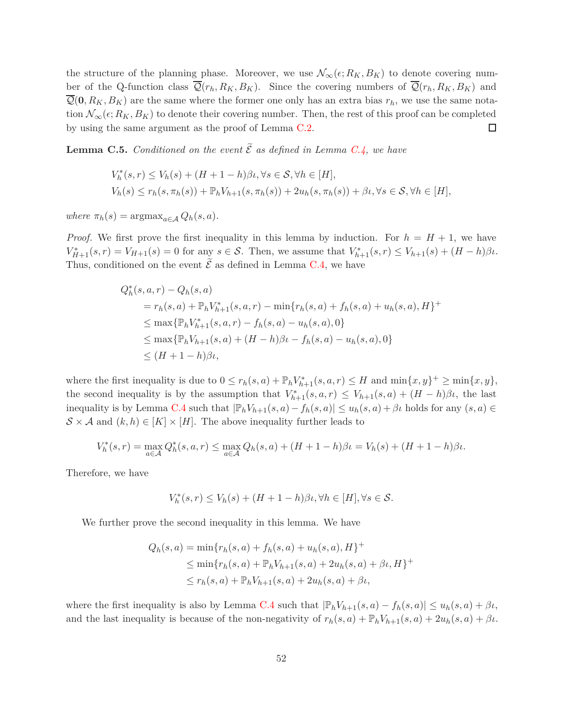the structure of the planning phase. Moreover, we use  $\mathcal{N}_{\infty}(\epsilon; R_K, B_K)$  to denote covering number of the Q-function class  $\overline{Q}(r_h, R_K, B_K)$ . Since the covering numbers of  $\overline{Q}(r_h, R_K, B_K)$  and  $\overline{\mathcal{Q}}(0, R_K, B_K)$  are the same where the former one only has an extra bias  $r_h$ , we use the same notation  $\mathcal{N}_{\infty}(\epsilon; R_K, B_K)$  to denote their covering number. Then, the rest of this proof can be completed by using the same argument as the proof of Lemma [C.2.](#page-38-0) □

<span id="page-51-0"></span>**Lemma C.5.** *Conditioned on the event*  $\widetilde{\mathcal{E}}$  *as defined in Lemma [C.4,](#page-50-0) we have* 

$$
V_h^*(s, r) \le V_h(s) + (H + 1 - h)\beta \iota, \forall s \in S, \forall h \in [H],
$$
  
\n
$$
V_h(s) \le r_h(s, \pi_h(s)) + \mathbb{P}_h V_{h+1}(s, \pi_h(s)) + 2u_h(s, \pi_h(s)) + \beta \iota, \forall s \in S, \forall h \in [H],
$$

 $where \pi_h(s) = \text{argmax}_{a \in A} Q_h(s, a).$ 

*Proof.* We first prove the first inequality in this lemma by induction. For  $h = H + 1$ , we have  $V_{H+1}^*(s,r) = V_{H+1}(s) = 0$  for any  $s \in S$ . Then, we assume that  $V_{h+1}^*(s,r) \leq V_{h+1}(s) + (H-h)\beta\iota$ . Thus, conditioned on the event  $\widetilde{\mathcal{E}}$  as defined in Lemma [C.4,](#page-50-0) we have

$$
Q_h^*(s, a, r) - Q_h(s, a)
$$
  
=  $r_h(s, a) + \mathbb{P}_h V_{h+1}^*(s, a, r) - \min\{r_h(s, a) + f_h(s, a) + u_h(s, a), H\}^+$   

$$
\leq \max\{\mathbb{P}_h V_{h+1}^*(s, a, r) - f_h(s, a) - u_h(s, a), 0\}
$$
  

$$
\leq \max\{\mathbb{P}_h V_{h+1}(s, a) + (H - h)\beta\iota - f_h(s, a) - u_h(s, a), 0\}
$$
  

$$
\leq (H + 1 - h)\beta\iota,
$$

where the first inequality is due to  $0 \le r_h(s, a) + \mathbb{P}_h V_{h+1}^*(s, a, r) \le H$  and  $\min\{x, y\}^+ \ge \min\{x, y\}$ , the second inequality is by the assumption that  $V^*_{h+1}(s, a, r) \leq V_{h+1}(s, a) + (H - h)\beta\iota$ , the last inequality is by Lemma [C.4](#page-50-0) such that  $|\mathbb{P}_h V_{h+1}(s, a) - f_h(s, a)| \leq u_h(s, a) + \beta \iota$  holds for any  $(s, a) \in$  $S \times A$  and  $(k, h) \in [K] \times [H]$ . The above inequality further leads to

$$
V_h^*(s,r) = \max_{a \in \mathcal{A}} Q_h^*(s,a,r) \le \max_{a \in \mathcal{A}} Q_h(s,a) + (H+1-h)\beta \iota = V_h(s) + (H+1-h)\beta \iota.
$$

Therefore, we have

$$
V_h^*(s,r) \le V_h(s) + (H+1-h)\beta \iota, \forall h \in [H], \forall s \in \mathcal{S}.
$$

We further prove the second inequality in this lemma. We have

$$
Q_h(s, a) = \min\{r_h(s, a) + f_h(s, a) + u_h(s, a), H\}^+\
$$
  
\n
$$
\leq \min\{r_h(s, a) + \mathbb{P}_h V_{h+1}(s, a) + 2u_h(s, a) + \beta t, H\}^+\
$$
  
\n
$$
\leq r_h(s, a) + \mathbb{P}_h V_{h+1}(s, a) + 2u_h(s, a) + \beta t,
$$

where the first inequality is also by Lemma [C.4](#page-50-0) such that  $|\mathbb{P}_h V_{h+1}(s, a) - f_h(s, a)| \leq u_h(s, a) + \beta \iota$ , and the last inequality is because of the non-negativity of  $r_h(s, a) + \mathbb{P}_h V_{h+1}(s, a) + 2u_h(s, a) + \beta \iota$ .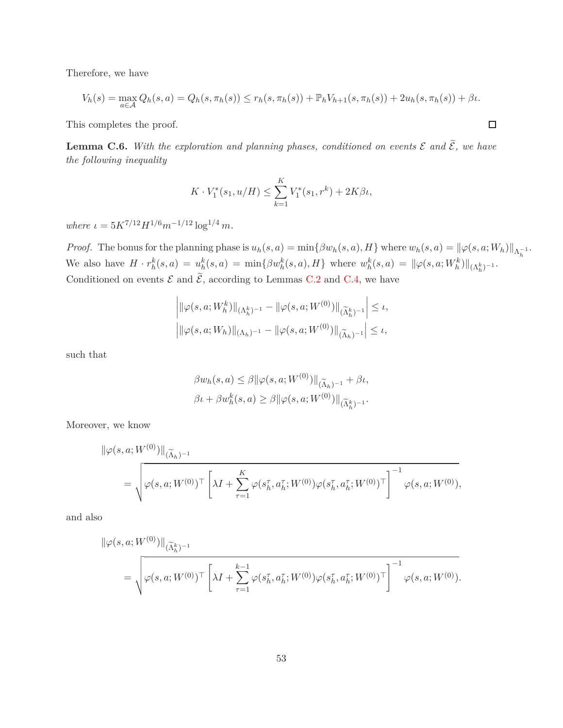Therefore, we have

$$
V_h(s) = \max_{a \in \mathcal{A}} Q_h(s, a) = Q_h(s, \pi_h(s)) \le r_h(s, \pi_h(s)) + \mathbb{P}_h V_{h+1}(s, \pi_h(s)) + 2u_h(s, \pi_h(s)) + \beta u.
$$

This completes the proof.

<span id="page-52-0"></span>**Lemma C.6.** With the exploration and planning phases, conditioned on events  $\mathcal{E}$  and  $\widetilde{\mathcal{E}}$ , we have *the following inequality*

$$
K \cdot V_1^*(s_1, u/H) \le \sum_{k=1}^K V_1^*(s_1, r^k) + 2K\beta \iota,
$$

*where*  $\iota = 5K^{7/12}H^{1/6}m^{-1/12}\log^{1/4}m$ .

*Proof.* The bonus for the planning phase is  $u_h(s, a) = \min\{\beta w_h(s, a), H\}$  where  $w_h(s, a) = ||\varphi(s, a; W_h)||_{\Lambda_h^{-1}}$ . We also have  $H \cdot r_h^k(s, a) = u_h^k(s, a) = \min\{\beta w_h^k(s, a), H\}$  where  $w_h^k(s, a) = ||\varphi(s, a; W_h^k)||_{(\Lambda_h^k)^{-1}}$ . Conditioned on events  $\mathcal E$  and  $\widetilde{\mathcal E}$ , according to Lemmas [C.2](#page-38-0) and [C.4,](#page-50-0) we have

$$
\left| \|\varphi(s, a; W_h^k)\|_{(\Lambda_h^k)^{-1}} - \|\varphi(s, a; W^{(0)})\|_{(\widetilde{\Lambda}_h^k)^{-1}} \right| \le \iota,
$$
  

$$
\left| \|\varphi(s, a; W_h)\|_{(\Lambda_h)^{-1}} - \|\varphi(s, a; W^{(0)})\|_{(\widetilde{\Lambda}_h)^{-1}} \right| \le \iota,
$$

such that

$$
\beta w_h(s, a) \leq \beta \|\varphi(s, a; W^{(0)})\|_{(\widetilde{\Lambda}_h)^{-1}} + \beta \iota,
$$
  

$$
\beta \iota + \beta w_h^k(s, a) \geq \beta \|\varphi(s, a; W^{(0)})\|_{(\widetilde{\Lambda}_h^k)^{-1}}.
$$

Moreover, we know

$$
\|\varphi(s, a; W^{(0)})\|_{(\widetilde{\Lambda}_h)^{-1}}\n= \sqrt{\varphi(s, a; W^{(0)})^{\top} \left[\lambda I + \sum_{\tau=1}^{K} \varphi(s_h^{\tau}, a_h^{\tau}; W^{(0)}) \varphi(s_h^{\tau}, a_h^{\tau}; W^{(0)})^{\top}\right]^{-1} \varphi(s, a; W^{(0)}),}
$$

and also

$$
\|\varphi(s, a; W^{(0)})\|_{(\widetilde{\Lambda}_{h}^{k})^{-1}}\n= \sqrt{\varphi(s, a; W^{(0)})^{\top} \left[\lambda I + \sum_{\tau=1}^{k-1} \varphi(s_{h}^{\tau}, a_{h}^{\tau}; W^{(0)}) \varphi(s_{h}^{\tau}, a_{h}^{\tau}; W^{(0)})^{\top}\right]^{-1} \varphi(s, a; W^{(0)})}.
$$

$$
\Box
$$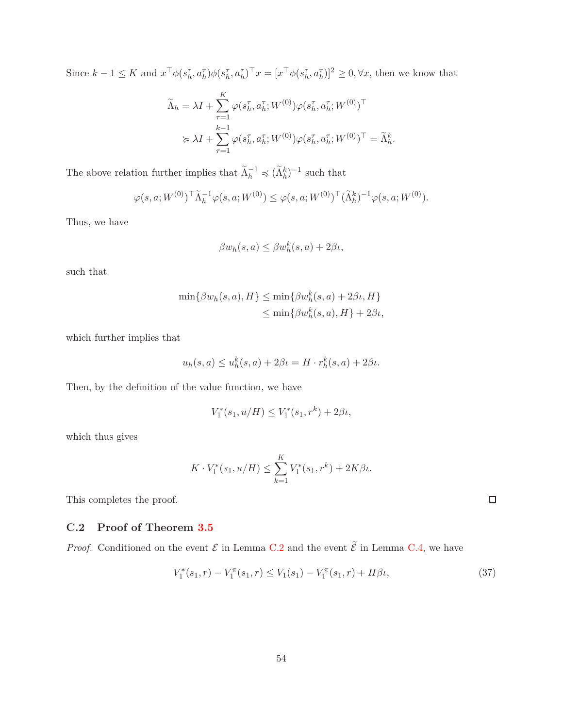Since  $k-1 \leq K$  and  $x^{\top} \phi(s_h^{\tau}, a_h^{\tau}) \phi(s_h^{\tau}, a_h^{\tau})^{\top} x = [x^{\top} \phi(s_h^{\tau}, a_h^{\tau})]^2 \geq 0, \forall x$ , then we know that

$$
\widetilde{\Lambda}_h = \lambda I + \sum_{\tau=1}^K \varphi(s_h^{\tau}, a_h^{\tau}; W^{(0)}) \varphi(s_h^{\tau}, a_h^{\tau}; W^{(0)})^{\top}
$$
\n
$$
\succcurlyeq \lambda I + \sum_{\tau=1}^{k-1} \varphi(s_h^{\tau}, a_h^{\tau}; W^{(0)}) \varphi(s_h^{\tau}, a_h^{\tau}; W^{(0)})^{\top} = \widetilde{\Lambda}_h^k
$$

*.*

The above relation further implies that  $\widetilde{\Lambda}_h^{-1} \preccurlyeq (\widetilde{\Lambda}_h^k)^{-1}$  such that

$$
\varphi(s, a; W^{(0)})^\top \widetilde{\Lambda}_h^{-1} \varphi(s, a; W^{(0)}) \leq \varphi(s, a; W^{(0)})^\top (\widetilde{\Lambda}_h^k)^{-1} \varphi(s, a; W^{(0)}).
$$

Thus, we have

$$
\beta w_h(s, a) \le \beta w_h^k(s, a) + 2\beta \iota,
$$

such that

$$
\min\{\beta w_h(s,a), H\} \le \min\{\beta w_h^k(s,a) + 2\beta \iota, H\}
$$
  

$$
\le \min\{\beta w_h^k(s,a), H\} + 2\beta \iota,
$$

which further implies that

$$
u_h(s,a) \le u_h^k(s,a) + 2\beta \iota = H \cdot r_h^k(s,a) + 2\beta \iota.
$$

Then, by the definition of the value function, we have

$$
V_1^*(s_1, u/H) \le V_1^*(s_1, r^k) + 2\beta \iota,
$$

which thus gives

$$
K \cdot V_1^*(s_1, u/H) \le \sum_{k=1}^K V_1^*(s_1, r^k) + 2K\beta\iota.
$$

<span id="page-53-0"></span>This completes the proof.

### **C.2 Proof of Theorem [3.5](#page-11-0)**

*Proof.* Conditioned on the event  $\mathcal E$  in Lemma [C.2](#page-38-0) and the event  $\widetilde{\mathcal E}$  in Lemma [C.4,](#page-50-0) we have

$$
V_1^*(s_1, r) - V_1^{\pi}(s_1, r) \le V_1(s_1) - V_1^{\pi}(s_1, r) + H\beta\iota,
$$
\n(37)

<span id="page-53-1"></span> $\Box$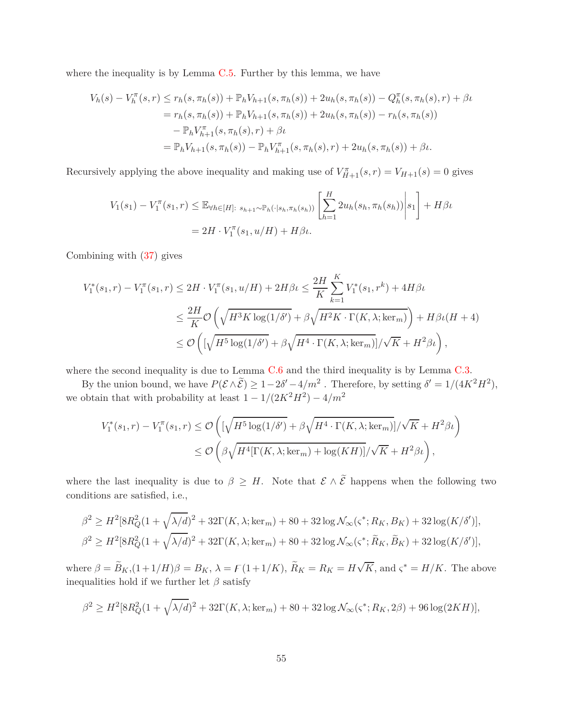where the inequality is by Lemma  $C.5$ . Further by this lemma, we have

$$
V_h(s) - V_h^{\pi}(s, r) \le r_h(s, \pi_h(s)) + \mathbb{P}_h V_{h+1}(s, \pi_h(s)) + 2u_h(s, \pi_h(s)) - Q_h^{\pi}(s, \pi_h(s), r) + \beta u
$$
  
=  $r_h(s, \pi_h(s)) + \mathbb{P}_h V_{h+1}(s, \pi_h(s)) + 2u_h(s, \pi_h(s)) - r_h(s, \pi_h(s))$   
 $- \mathbb{P}_h V_{h+1}^{\pi}(s, \pi_h(s), r) + \beta u$   
=  $\mathbb{P}_h V_{h+1}(s, \pi_h(s)) - \mathbb{P}_h V_{h+1}^{\pi}(s, \pi_h(s), r) + 2u_h(s, \pi_h(s)) + \beta u$ .

Recursively applying the above inequality and making use of  $V_{H+1}^{\pi}(s,r) = V_{H+1}(s) = 0$  gives

$$
V_1(s_1) - V_1^{\pi}(s_1, r) \le \mathbb{E}_{\forall h \in [H]: s_{h+1} \sim \mathbb{P}_h(\cdot | s_h, \pi_h(s_h))} \left[ \sum_{h=1}^H 2u_h(s_h, \pi_h(s_h)) \middle| s_1 \right] + H\beta t
$$
  
=  $2H \cdot V_1^{\pi}(s_1, u/H) + H\beta t$ .

Combining with [\(37\)](#page-53-1) gives

$$
V_1^*(s_1, r) - V_1^{\pi}(s_1, r) \le 2H \cdot V_1^{\pi}(s_1, u/H) + 2H\beta \iota \le \frac{2H}{K} \sum_{k=1}^K V_1^*(s_1, r^k) + 4H\beta \iota
$$
  

$$
\le \frac{2H}{K} \mathcal{O}\left(\sqrt{H^3 K \log(1/\delta')} + \beta \sqrt{H^2 K \cdot \Gamma(K, \lambda; \ker_m)}\right) + H\beta \iota(H+4)
$$
  

$$
\le \mathcal{O}\left(\left[\sqrt{H^5 \log(1/\delta')} + \beta \sqrt{H^4 \cdot \Gamma(K, \lambda; \ker_m)}\right] / \sqrt{K} + H^2 \beta \iota\right),
$$

where the second inequality is due to Lemma  $C.6$  and the third inequality is by Lemma  $C.3$ .

By the union bound, we have  $P(\mathcal{E} \wedge \tilde{\mathcal{E}}) \ge 1 - 2\delta' - 4/m^2$ . Therefore, by setting  $\delta' = 1/(4K^2H^2)$ , we obtain that with probability at least  $1 - 1/(2K^2H^2) - 4/m^2$ 

$$
V_1^*(s_1, r) - V_1^{\pi}(s_1, r) \le \mathcal{O}\left( \left[ \sqrt{H^5 \log(1/\delta')} + \beta \sqrt{H^4 \cdot \Gamma(K, \lambda; \ker_m)} \right] / \sqrt{K} + H^2 \beta \iota \right)
$$
  

$$
\le \mathcal{O}\left( \beta \sqrt{H^4[\Gamma(K, \lambda; \ker_m) + \log(KH)]} / \sqrt{K} + H^2 \beta \iota \right),
$$

where the last inequality is due to  $\beta \geq H$ . Note that  $\mathcal{E} \wedge \tilde{\mathcal{E}}$  happens when the following two conditions are satisfied, i.e.,

$$
\beta^2 \ge H^2[8R_Q^2(1+\sqrt{\lambda/d})^2+32\Gamma(K,\lambda;\ker_m)+80+32\log\mathcal{N}_{\infty}(\varsigma^*;R_K,B_K)+32\log(K/\delta')],
$$
  

$$
\beta^2 \ge H^2[8R_Q^2(1+\sqrt{\lambda/d})^2+32\Gamma(K,\lambda;\ker_m)+80+32\log\mathcal{N}_{\infty}(\varsigma^*;\widetilde{R}_K,\widetilde{B}_K)+32\log(K/\delta')],
$$

where  $\beta = \widetilde{B}_K$ ,  $(1+1/H)\beta = B_K$ ,  $\lambda = F(1+1/K)$ ,  $\widetilde{R}_K = R_K = H\sqrt{K}$ , and  $\varsigma^* = H/K$ . The above inequalities hold if we further let  $\beta$  satisfy

$$
\beta^2 \ge H^2[8R_Q^2(1+\sqrt{\lambda/d})^2+32\Gamma(K,\lambda;\ker_m)+80+32\log\mathcal{N}_{\infty}(\varsigma^*;R_K,2\beta)+96\log(2KH)],
$$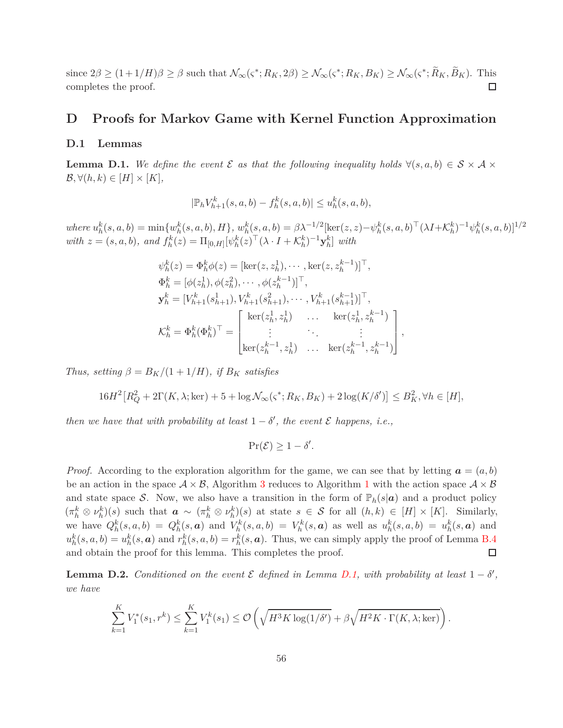since  $2\beta \ge (1+1/H)\beta \ge \beta$  such that  $\mathcal{N}_{\infty}(\varsigma^*; R_K, 2\beta) \ge \mathcal{N}_{\infty}(\varsigma^*; R_K, B_K) \ge \mathcal{N}_{\infty}(\varsigma^*; R_K, B_K)$ . This □ completes the proof.

## **D Proofs for Markov Game with Kernel Function Approximation**

### **D.1 Lemmas**

<span id="page-55-1"></span>**Lemma D.1.** We define the event  $\mathcal E$  as that the following inequality holds  $\forall (s, a, b) \in \mathcal S \times \mathcal A \times$  $\mathcal{B}, \forall (h,k) \in [H] \times [K],$ 

$$
|\mathbb{P}_h V_{h+1}^k(s, a, b) - f_h^k(s, a, b)| \leq u_h^k(s, a, b),
$$

where  $u_h^k(s, a, b) = \min\{w_h^k(s, a, b), H\}, w_h^k(s, a, b) = \beta \lambda^{-1/2}[\ker(z, z) - \psi_h^k(s, a, b)^\top (\lambda I + \mathcal{K}_h^k)^{-1} \psi_h^k(s, a, b)]^{1/2}\}$ with  $z = (s, a, b)$ , and  $f_h^k(z) = \Pi_{[0,H]} [\psi_h^k(z)^\top (\lambda \cdot I + \mathcal{K}_h^k)^{-1} \mathbf{y}_h^k]$  with

*,*

$$
\psi_h^k(z) = \Phi_h^k \phi(z) = [\ker(z, z_h^1), \cdots, \ker(z, z_h^{k-1})]^\top,
$$
  
\n
$$
\Phi_h^k = [\phi(z_h^1), \phi(z_h^2), \cdots, \phi(z_h^{k-1})]^\top,
$$
  
\n
$$
\mathbf{y}_h^k = [V_{h+1}^k(s_{h+1}^1), V_{h+1}^k(s_{h+1}^2), \cdots, V_{h+1}^k(s_{h+1}^{k-1})]^\top,
$$
  
\n
$$
\mathcal{K}_h^k = \Phi_h^k(\Phi_h^k)^\top = \begin{bmatrix} \ker(z_h^1, z_h^1) & \cdots & \ker(z_h^1, z_h^{k-1}) \\ \vdots & \ddots & \vdots \\ \ker(z_h^{k-1}, z_h^1) & \cdots & \ker(z_h^{k-1}, z_h^{k-1}) \end{bmatrix}
$$

*Thus, setting*  $\beta = B_K/(1 + 1/H)$ *, if*  $B_K$  *satisfies* 

$$
16H2[RQ2 + 2\Gamma(K, \lambda; \text{ker}) + 5 + \log \mathcal{N}_{\infty}(\varsigma^*; R_K, B_K) + 2\log(K/\delta')] \le B_K^2, \forall h \in [H],
$$

*then we have that with probability at least*  $1 - \delta'$ , the event  $\mathcal E$  happens, i.e.,

$$
\Pr(\mathcal{E}) \ge 1 - \delta'.
$$

*Proof.* According to the exploration algorithm for the game, we can see that by letting  $\mathbf{a} = (a, b)$ be an action in the space  $A \times B$ , Algorithm [3](#page-12-0) reduces to Algorithm [1](#page-6-0) with the action space  $A \times B$ and state space S. Now, we also have a transition in the form of  $\mathbb{P}_h(s|\mathbf{a})$  and a product policy  $(\pi_h^k \otimes \nu_h^k)(s)$  such that  $\boldsymbol{a} \sim (\pi_h^k \otimes \nu_h^k)(s)$  at state  $s \in \mathcal{S}$  for all  $(h,k) \in [H] \times [K]$ . Similarly, we have  $Q_h^k(s, a, b) = Q_h^k(s, a)$  and  $V_h^k(s, a, b) = V_h^k(s, a)$  as well as  $u_h^k(s, a, b) = u_h^k(s, a)$  and  $u_h^k(s, a, b) = u_h^k(s, a)$  and  $r_h^k(s, a, b) = r_h^k(s, a)$ . Thus, we can simply apply the proof of Lemma [B.4](#page-27-0) and obtain the proof for this lemma. This completes the proof. □

<span id="page-55-0"></span>**Lemma D.2.** *Conditioned on the event*  $\mathcal{E}$  *defined in Lemma [D.1,](#page-55-1)* with probability at least  $1 - \delta'$ , *we have*

$$
\sum_{k=1}^K V_1^*(s_1, r^k) \le \sum_{k=1}^K V_1^k(s_1) \le \mathcal{O}\left(\sqrt{H^3 K \log(1/\delta')} + \beta \sqrt{H^2 K \cdot \Gamma(K, \lambda; \ker)}\right).
$$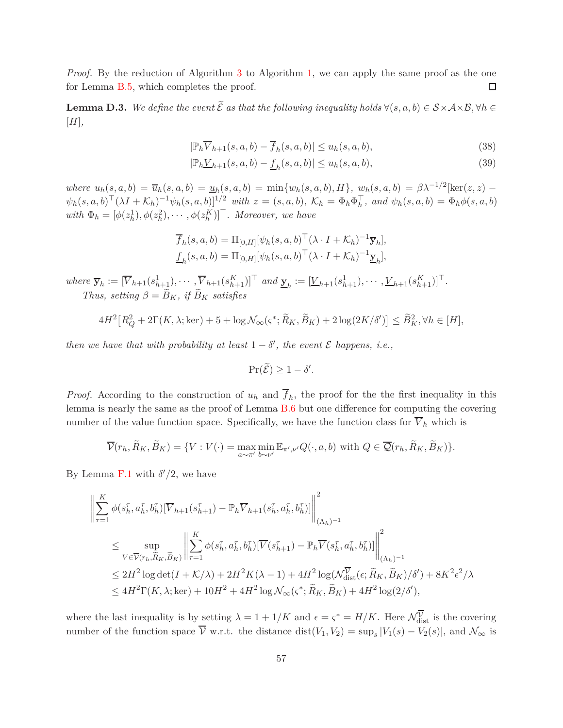*Proof.* By the reduction of Algorithm [3](#page-12-0) to Algorithm [1,](#page-6-0) we can apply the same proof as the one for Lemma [B.5,](#page-30-0) which completes the proof.  $\Box$ 

<span id="page-56-2"></span>**Lemma D.3.** We define the event  $\widetilde{\mathcal{E}}$  as that the following inequality holds  $\forall (s, a, b) \in \mathcal{S} \times \mathcal{A} \times \mathcal{B}, \forall h \in \mathcal{S}$ [*H*]*,*

<span id="page-56-1"></span><span id="page-56-0"></span>
$$
|\mathbb{P}_h \overline{V}_{h+1}(s, a, b) - \overline{f}_h(s, a, b)| \le u_h(s, a, b),
$$
\n(38)

$$
|\mathbb{P}_h \underline{V}_{h+1}(s, a, b) - \underline{f}_h(s, a, b)| \le u_h(s, a, b),
$$
\n(39)

where  $u_h(s, a, b) = \overline{u}_h(s, a, b) = \underline{u}_h(s, a, b) = \min\{w_h(s, a, b), H\}, w_h(s, a, b) = \beta \lambda^{-1/2} [\ker(z, z) - \frac{\beta \lambda^{-1/2}}{2}]$  $\psi_h(s, a, b)^\top (\lambda I + \mathcal{K}_h)^{-1} \psi_h(s, a, b)]^{1/2}$  with  $z = (s, a, b)$ ,  $\mathcal{K}_h = \Phi_h \Phi_h^\top$ , and  $\psi_h(s, a, b) = \Phi_h \phi(s, a, b)$ *with*  $\Phi_h = [\phi(z_h^1), \phi(z_h^2), \cdots, \phi(z_h^K)]^\top$ *. Moreover, we have* 

$$
\overline{f}_h(s, a, b) = \Pi_{[0,H]}[\psi_h(s, a, b)^\top (\lambda \cdot I + \mathcal{K}_h)^{-1} \overline{\mathbf{y}}_h],
$$
  

$$
\underline{f}_h(s, a, b) = \Pi_{[0,H]}[\psi_h(s, a, b)^\top (\lambda \cdot I + \mathcal{K}_h)^{-1} \underline{\mathbf{y}}_h],
$$

where  $\overline{\mathbf{y}}_h := [\overline{V}_{h+1}(s_{h+1}^1), \cdots, \overline{V}_{h+1}(s_{h+1}^K)]^\top$  and  $\underline{\mathbf{y}}_h := [\underline{V}_{h+1}(s_{h+1}^1), \cdots, \underline{V}_{h+1}(s_{h+1}^K)]^\top$ . *Thus, setting*  $\beta = \widetilde{B}_K$ *, if*  $\widetilde{B}_K$  *satisfies* 

$$
4H^2\big[R_Q^2 + 2\Gamma(K,\lambda;\text{ker}) + 5 + \log \mathcal{N}_{\infty}(\varsigma^*;\widetilde{R}_K,\widetilde{B}_K) + 2\log(2K/\delta')\big] \le \widetilde{B}_K^2, \forall h \in [H],
$$

*then we have that with probability at least*  $1 - \delta'$ , the event  $\mathcal E$  happens, i.e.,

$$
\Pr(\widetilde{\mathcal{E}}) \ge 1 - \delta'.
$$

*Proof.* According to the construction of  $u_h$  and  $f_h$ , the proof for the the first inequality in this lemma is nearly the same as the proof of Lemma [B.6](#page-32-0) but one difference for computing the covering number of the value function space. Specifically, we have the function class for  $\overline{V}_h$  which is

$$
\overline{\mathcal{V}}(r_h, \widetilde{R}_K, \widetilde{B}_K) = \{ V : V(\cdot) = \max_{a \sim \pi'} \min_{b \sim \nu'} \mathbb{E}_{\pi', \nu'} Q(\cdot, a, b) \text{ with } Q \in \overline{\mathcal{Q}}(r_h, \widetilde{R}_K, \widetilde{B}_K) \}.
$$

By Lemma [F.1](#page-68-1) with  $\delta'/2$ , we have

$$
\left\| \sum_{\tau=1}^{K} \phi(s_h^{\tau}, a_h^{\tau}, b_h^{\tau}) [\overline{V}_{h+1}(s_{h+1}^{\tau}) - \mathbb{P}_h \overline{V}_{h+1}(s_h^{\tau}, a_h^{\tau}, b_h^{\tau})] \right\|_{(\Lambda_h)^{-1}}^2
$$
  
\n
$$
\leq \sup_{V \in \overline{\mathcal{V}}(r_h, \widetilde{R}_K, \widetilde{B}_K)} \left\| \sum_{\tau=1}^{K} \phi(s_h^{\tau}, a_h^{\tau}, b_h^{\tau}) [\overline{V}(s_{h+1}^{\tau}) - \mathbb{P}_h \overline{V}(s_h^{\tau}, a_h^{\tau}, b_h^{\tau})] \right\|_{(\Lambda_h)^{-1}}^2
$$
  
\n
$$
\leq 2H^2 \log \det(I + \mathcal{K}/\lambda) + 2H^2 K(\lambda - 1) + 4H^2 \log(\mathcal{N}_{\text{dist}}^{\overline{\mathcal{V}}}(\epsilon; \widetilde{R}_K, \widetilde{B}_K)/\delta') + 8K^2 \epsilon^2/\lambda
$$
  
\n
$$
\leq 4H^2 \Gamma(K, \lambda; \text{ker}) + 10H^2 + 4H^2 \log \mathcal{N}_{\infty}(\varsigma^*; \widetilde{R}_K, \widetilde{B}_K) + 4H^2 \log(2/\delta'),
$$

where the last inequality is by setting  $\lambda = 1 + 1/K$  and  $\epsilon = \zeta^* = H/K$ . Here  $\mathcal{N}_{\text{dist}}^{\mathcal{V}}$  is the covering number of the function space  $V$  w.r.t. the distance  $dist(V_1, V_2) = \sup_s |V_1(s) - V_2(s)|$ , and  $\mathcal{N}_{\infty}$  is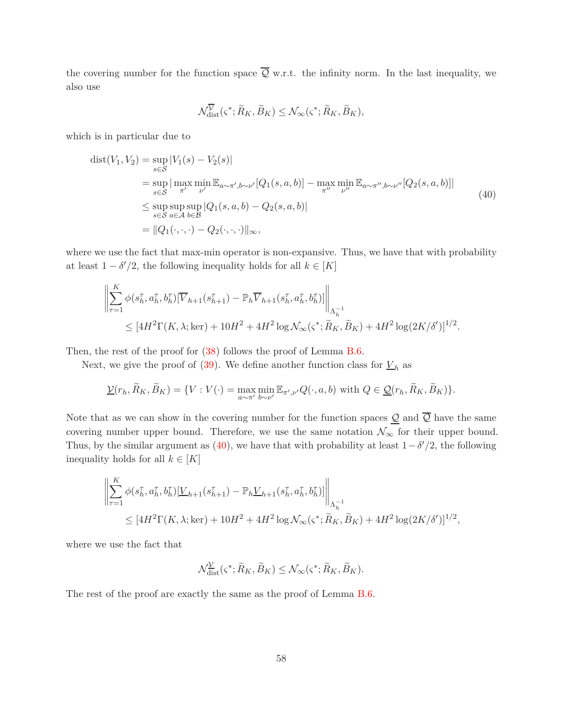the covering number for the function space  $\overline{Q}$  w.r.t. the infinity norm. In the last inequality, we also use

<span id="page-57-0"></span>
$$
\mathcal{N}_{\text{dist}}^{\overline{\mathcal{V}}}(\varsigma^*; \widetilde{R}_K, \widetilde{B}_K) \leq \mathcal{N}_{\infty}(\varsigma^*; \widetilde{R}_K, \widetilde{B}_K),
$$

which is in particular due to

$$
dist(V_1, V_2) = \sup_{s \in S} |V_1(s) - V_2(s)|
$$
  
\n
$$
= \sup_{s \in S} |\max_{\pi'} \min_{\nu'} E_{a \sim \pi', b \sim \nu'}[Q_1(s, a, b)] - \max_{\pi''} \min_{\nu''} E_{a \sim \pi'', b \sim \nu''}[Q_2(s, a, b)]|
$$
  
\n
$$
\leq \sup_{s \in S} \sup_{a \in A} \sup_{b \in B} |Q_1(s, a, b) - Q_2(s, a, b)|
$$
  
\n
$$
= ||Q_1(\cdot, \cdot, \cdot) - Q_2(\cdot, \cdot, \cdot)||_{\infty},
$$
\n(40)

where we use the fact that max-min operator is non-expansive. Thus, we have that with probability at least  $1 - \delta'/2$ , the following inequality holds for all  $k \in [K]$ 

$$
\left\| \sum_{\tau=1}^{K} \phi(s_{h}^{\tau}, a_{h}^{\tau}, b_{h}^{\tau}) [\overline{V}_{h+1}(s_{h+1}^{\tau}) - \mathbb{P}_{h} \overline{V}_{h+1}(s_{h}^{\tau}, a_{h}^{\tau}, b_{h}^{\tau})] \right\|_{\Lambda_{h}^{-1}} \leq [4H^{2} \Gamma(K, \lambda; \text{ker}) + 10H^{2} + 4H^{2} \log \mathcal{N}_{\infty}(\varsigma^{*}; \widetilde{R}_{K}, \widetilde{B}_{K}) + 4H^{2} \log (2K/\delta')]^{1/2}.
$$

Then, the rest of the proof for  $(38)$  follows the proof of Lemma [B.6.](#page-32-0)

Next, we give the proof of [\(39\)](#page-56-1). We define another function class for  $\underline{V}_h$  as

$$
\underline{\mathcal{V}}(r_h, \widetilde{R}_K, \widetilde{B}_K) = \{ V : V(\cdot) = \max_{a \sim \pi'} \min_{b \sim \nu'} \mathbb{E}_{\pi', \nu'} Q(\cdot, a, b) \text{ with } Q \in \underline{\mathcal{Q}}(r_h, \widetilde{R}_K, \widetilde{B}_K) \}.
$$

Note that as we can show in the covering number for the function spaces  $\underline{\mathcal{Q}}$  and  $\overline{\mathcal{Q}}$  have the same covering number upper bound. Therefore, we use the same notation  $\mathcal{N}_{\infty}$  for their upper bound. Thus, by the similar argument as  $(40)$ , we have that with probability at least  $1 - \delta'/2$ , the following inequality holds for all  $k \in [K]$ 

$$
\left\| \sum_{\tau=1}^{K} \phi(s_h^{\tau}, a_h^{\tau}, b_h^{\tau}) [\underline{V}_{h+1}(s_{h+1}^{\tau}) - \mathbb{P}_h \underline{V}_{h+1}(s_h^{\tau}, a_h^{\tau}, b_h^{\tau})] \right\|_{\Lambda_h^{-1}} \leq [4H^2 \Gamma(K, \lambda; \text{ker}) + 10H^2 + 4H^2 \log \mathcal{N}_{\infty}(\varsigma^*; \widetilde{R}_K, \widetilde{B}_K) + 4H^2 \log (2K/\delta')]^{1/2},
$$

where we use the fact that

$$
\mathcal{N}_{\text{dist}}^{\mathcal{V}}(\varsigma^*; \widetilde{R}_K, \widetilde{B}_K) \leq \mathcal{N}_{\infty}(\varsigma^*; \widetilde{R}_K, \widetilde{B}_K).
$$

The rest of the proof are exactly the same as the proof of Lemma [B.6.](#page-32-0)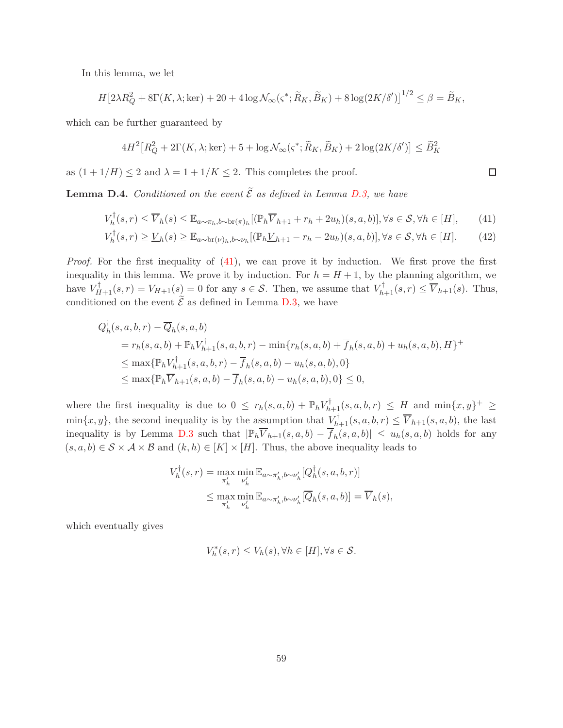In this lemma, we let

$$
H\left[2\lambda R_Q^2 + 8\Gamma(K,\lambda;\text{ker}) + 20 + 4\log\mathcal{N}_{\infty}(\varsigma^*;\widetilde{R}_K,\widetilde{B}_K) + 8\log(2K/\delta')\right]^{1/2} \leq \beta = \widetilde{B}_K,
$$

which can be further guaranteed by

$$
4H^2\left[R_Q^2 + 2\Gamma(K,\lambda;\ker) + 5 + \log N_\infty(\varsigma^*;\widetilde{R}_K,\widetilde{B}_K) + 2\log(2K/\delta')\right] \le \widetilde{B}_K^2
$$

as  $(1 + 1/H) \leq 2$  and  $\lambda = 1 + 1/K \leq 2$ . This completes the proof.

<span id="page-58-0"></span>**Lemma D.4.** *Conditioned on the event*  $\tilde{\mathcal{E}}$  *as defined in Lemma [D.3,](#page-56-2) we have* 

$$
V_h^{\dagger}(s,r) \le \overline{V}_h(s) \le \mathbb{E}_{a \sim \pi_h, b \sim \text{br}(\pi)_h} [(\mathbb{P}_h \overline{V}_{h+1} + r_h + 2u_h)(s, a, b)], \forall s \in \mathcal{S}, \forall h \in [H],\tag{41}
$$

$$
V_h^{\dagger}(s,r) \ge \underline{V}_h(s) \ge \mathbb{E}_{a \sim \text{br}(\nu)_h, b \sim \nu_h} [(\mathbb{P}_h \underline{V}_{h+1} - r_h - 2u_h)(s, a, b)], \forall s \in \mathcal{S}, \forall h \in [H]. \tag{42}
$$

*Proof.* For the first inequality of [\(41\)](#page-58-1), we can prove it by induction. We first prove the first inequality in this lemma. We prove it by induction. For  $h = H + 1$ , by the planning algorithm, we have  $V_{H+1}^{\dagger}(s,r) = V_{H+1}(s) = 0$  for any  $s \in S$ . Then, we assume that  $V_{h+1}^{\dagger}(s,r) \leq \overline{V}_{h+1}(s)$ . Thus, conditioned on the event  $\tilde{\mathcal{E}}$  as defined in Lemma [D.3,](#page-56-2) we have

$$
Q_h^{\dagger}(s, a, b, r) - \overline{Q}_h(s, a, b)
$$
  
=  $r_h(s, a, b) + \mathbb{P}_h V_{h+1}^{\dagger}(s, a, b, r) - \min\{r_h(s, a, b) + \overline{f}_h(s, a, b) + u_h(s, a, b), H\}^+$   

$$
\leq \max\{\mathbb{P}_h V_{h+1}^{\dagger}(s, a, b, r) - \overline{f}_h(s, a, b) - u_h(s, a, b), 0\}
$$
  

$$
\leq \max\{\mathbb{P}_h \overline{V}_{h+1}(s, a, b) - \overline{f}_h(s, a, b) - u_h(s, a, b), 0\} \leq 0,
$$

where the first inequality is due to  $0 \leq r_h(s, a, b) + \mathbb{P}_h V_{h+1}^{\dagger}(s, a, b, r) \leq H$  and  $\min\{x, y\}^+ \geq$  $\min\{x, y\}$ , the second inequality is by the assumption that  $\underline{V}_{h+1}^{\dagger}(s, a, b, r) \leq \overline{V}_{h+1}(s, a, b)$ , the last inequality is by Lemma [D.3](#page-56-2) such that  $|\mathbb{P}_h \overline{V}_{h+1}(s, a, b) - \overline{f}_h(s, a, b)| \leq u_h(s, a, b)$  holds for any  $(s, a, b) \in S \times A \times B$  and  $(k, h) \in [K] \times [H]$ . Thus, the above inequality leads to

$$
V_h^{\dagger}(s,r) = \max_{\pi'_h} \min_{\nu'_h} \mathbb{E}_{a \sim \pi'_h, b \sim \nu'_h} [Q_h^{\dagger}(s, a, b, r)]
$$
  

$$
\leq \max_{\pi'_h} \min_{\nu'_h} \mathbb{E}_{a \sim \pi'_h, b \sim \nu'_h} [\overline{Q}_h(s, a, b)] = \overline{V}_h(s),
$$

which eventually gives

$$
V_h^*(s,r) \le V_h(s), \forall h \in [H], \forall s \in \mathcal{S}.
$$

<span id="page-58-2"></span><span id="page-58-1"></span> $\Box$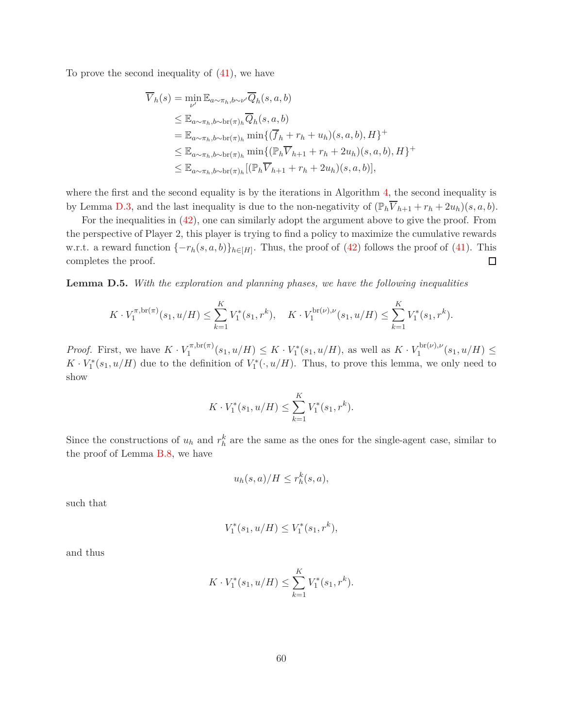To prove the second inequality of [\(41\)](#page-58-1), we have

$$
\overline{V}_h(s) = \min_{\nu'} \mathbb{E}_{a \sim \pi_h, b \sim \nu'} \overline{Q}_h(s, a, b)
$$
\n
$$
\leq \mathbb{E}_{a \sim \pi_h, b \sim \text{br}(\pi)_h} \overline{Q}_h(s, a, b)
$$
\n
$$
= \mathbb{E}_{a \sim \pi_h, b \sim \text{br}(\pi)_h} \min \{ (\overline{f}_h + r_h + u_h)(s, a, b), H \}^+
$$
\n
$$
\leq \mathbb{E}_{a \sim \pi_h, b \sim \text{br}(\pi)_h} \min \{ (\mathbb{P}_h \overline{V}_{h+1} + r_h + 2u_h)(s, a, b), H \}^+
$$
\n
$$
\leq \mathbb{E}_{a \sim \pi_h, b \sim \text{br}(\pi)_h} [(\mathbb{P}_h \overline{V}_{h+1} + r_h + 2u_h)(s, a, b)],
$$

where the first and the second equality is by the iterations in Algorithm [4,](#page-14-0) the second inequality is by Lemma [D.3,](#page-56-2) and the last inequality is due to the non-negativity of  $(\mathbb{P}_h \overline{V}_{h+1} + r_h + 2u_h)(s, a, b)$ .

For the inequalities in [\(42\)](#page-58-2), one can similarly adopt the argument above to give the proof. From the perspective of Player 2, this player is trying to find a policy to maximize the cumulative rewards w.r.t. a reward function  $\{-r_h(s, a, b)\}_{h \in [H]}$ . Thus, the proof of [\(42\)](#page-58-2) follows the proof of [\(41\)](#page-58-1). This completes the proof.  $\Box$ 

<span id="page-59-0"></span>**Lemma D.5.** *With the exploration and planning phases, we have the following inequalities*

$$
K \cdot V_1^{\pi, \text{br}(\pi)}(s_1, u/H) \le \sum_{k=1}^K V_1^*(s_1, r^k), \quad K \cdot V_1^{\text{br}(\nu), \nu}(s_1, u/H) \le \sum_{k=1}^K V_1^*(s_1, r^k).
$$

*Proof.* First, we have  $K \cdot V_1^{\pi, \text{br}(\pi)}$  $\int_{1}^{\pi,\text{bfr}(\pi)} (s_1, u/H) \leq K \cdot V_1^*(s_1, u/H)$ , as well as  $K \cdot V_1^{\text{br}(\nu),\nu}$  $\frac{1}{1}$ <sup> $(5)$ </sup>,  $\frac{1}{2}$  $(s_1, u/H)$   $\leq$  $K \cdot V_1^*(s_1, u/H)$  due to the definition of  $V_1^*(\cdot, u/H)$ . Thus, to prove this lemma, we only need to show

$$
K \cdot V_1^*(s_1, u/H) \le \sum_{k=1}^K V_1^*(s_1, r^k).
$$

Since the constructions of  $u_h$  and  $r_h^k$  are the same as the ones for the single-agent case, similar to the proof of Lemma [B.8,](#page-35-0) we have

$$
u_h(s,a)/H \le r_h^k(s,a),
$$

such that

$$
V_1^*(s_1, u/H) \le V_1^*(s_1, r^k),
$$

and thus

$$
K \cdot V_1^*(s_1, u/H) \le \sum_{k=1}^K V_1^*(s_1, r^k).
$$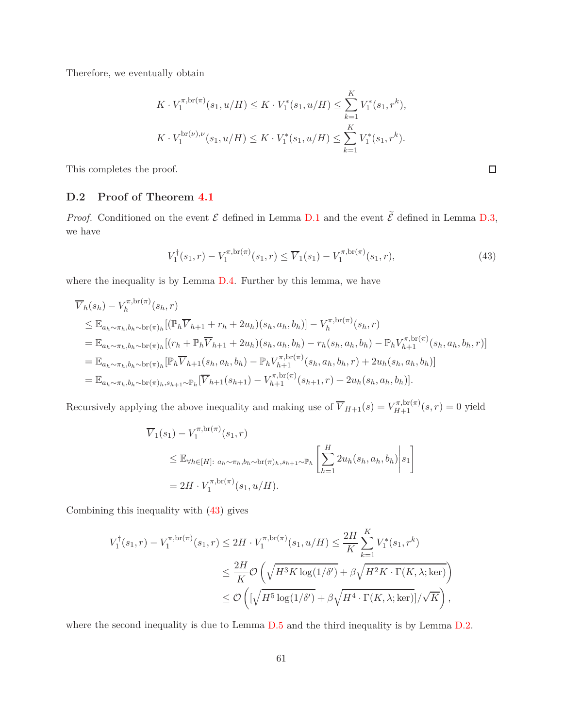Therefore, we eventually obtain

$$
K \cdot V_1^{\pi, \text{br}(\pi)}(s_1, u/H) \le K \cdot V_1^*(s_1, u/H) \le \sum_{k=1}^K V_1^*(s_1, r^k),
$$
  

$$
K \cdot V_1^{\text{br}(\nu), \nu}(s_1, u/H) \le K \cdot V_1^*(s_1, u/H) \le \sum_{k=1}^K V_1^*(s_1, r^k).
$$

<span id="page-60-0"></span>This completes the proof.

### **D.2 Proof of Theorem [4.1](#page-14-1)**

*Proof.* Conditioned on the event  $\mathcal E$  defined in Lemma [D.1](#page-55-1) and the event  $\tilde{\mathcal E}$  defined in Lemma [D.3,](#page-56-2) we have

$$
V_1^{\dagger}(s_1, r) - V_1^{\pi, \text{br}(\pi)}(s_1, r) \le \overline{V}_1(s_1) - V_1^{\pi, \text{br}(\pi)}(s_1, r), \tag{43}
$$

where the inequality is by Lemma [D.4.](#page-58-0) Further by this lemma, we have

$$
\overline{V}_{h}(s_{h}) - V_{h}^{\pi, \text{br}(\pi)}(s_{h}, r)
$$
\n
$$
\leq \mathbb{E}_{a_{h} \sim \pi_{h}, b_{h} \sim \text{br}(\pi_{h})} [(\mathbb{P}_{h} \overline{V}_{h+1} + r_{h} + 2u_{h})(s_{h}, a_{h}, b_{h})] - V_{h}^{\pi, \text{br}(\pi)}(s_{h}, r)
$$
\n
$$
= \mathbb{E}_{a_{h} \sim \pi_{h}, b_{h} \sim \text{br}(\pi_{h})} [(r_{h} + \mathbb{P}_{h} \overline{V}_{h+1} + 2u_{h})(s_{h}, a_{h}, b_{h}) - r_{h}(s_{h}, a_{h}, b_{h}) - \mathbb{P}_{h} V_{h+1}^{\pi, \text{br}(\pi)}(s_{h}, a_{h}, b_{h}, r)]
$$
\n
$$
= \mathbb{E}_{a_{h} \sim \pi_{h}, b_{h} \sim \text{br}(\pi_{h})} [\mathbb{P}_{h} \overline{V}_{h+1}(s_{h}, a_{h}, b_{h}) - \mathbb{P}_{h} V_{h+1}^{\pi, \text{br}(\pi)}(s_{h}, a_{h}, b_{h}, r) + 2u_{h}(s_{h}, a_{h}, b_{h})]
$$
\n
$$
= \mathbb{E}_{a_{h} \sim \pi_{h}, b_{h} \sim \text{br}(\pi_{h}, s_{h+1} \sim \mathbb{P}_{h})} [\overline{V}_{h+1}(s_{h+1}) - V_{h+1}^{\pi, \text{br}(\pi)}(s_{h+1}, r) + 2u_{h}(s_{h}, a_{h}, b_{h})].
$$

Recursively applying the above inequality and making use of  $\overline{V}_{H+1}(s) = V_{H+1}^{\pi, \text{br}(\pi)}(s, r) = 0$  yield

$$
\overline{V}_1(s_1) - V_1^{\pi, \text{br}(\pi)}(s_1, r)
$$
\n
$$
\leq \mathbb{E}_{\forall h \in [H]: a_h \sim \pi_h, b_h \sim \text{br}(\pi_h, s_{h+1} \sim \mathbb{P}_h} \left[ \sum_{h=1}^H 2u_h(s_h, a_h, b_h) \middle| s_1 \right]
$$
\n
$$
= 2H \cdot V_1^{\pi, \text{br}(\pi)}(s_1, u/H).
$$

Combining this inequality with [\(43\)](#page-60-1) gives

$$
V_1^{\dagger}(s_1, r) - V_1^{\pi, \text{br}(\pi)}(s_1, r) \le 2H \cdot V_1^{\pi, \text{br}(\pi)}(s_1, u/H) \le \frac{2H}{K} \sum_{k=1}^K V_1^*(s_1, r^k)
$$
  

$$
\le \frac{2H}{K} \mathcal{O}\left(\sqrt{H^3 K \log(1/\delta')} + \beta \sqrt{H^2 K \cdot \Gamma(K, \lambda; \text{ker})}\right)
$$
  

$$
\le \mathcal{O}\left(\left[\sqrt{H^5 \log(1/\delta')} + \beta \sqrt{H^4 \cdot \Gamma(K, \lambda; \text{ker})}\right] / \sqrt{K}\right),
$$

where the second inequality is due to Lemma [D.5](#page-59-0) and the third inequality is by Lemma [D.2.](#page-55-0)

<span id="page-60-1"></span>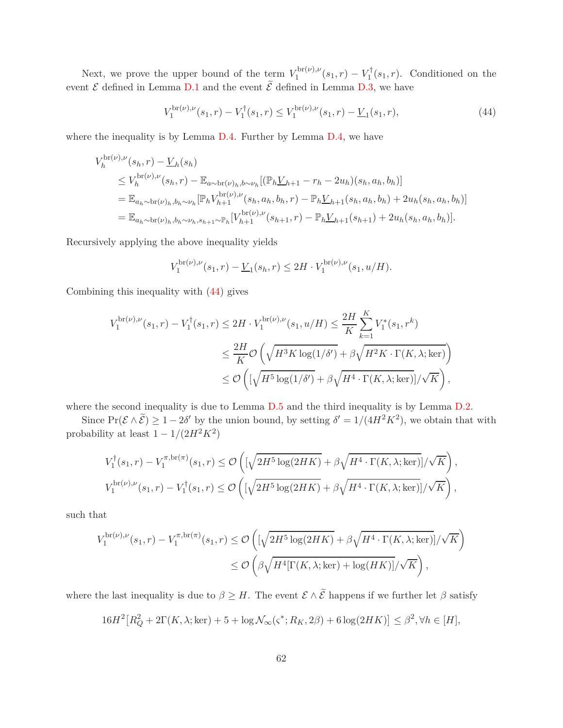Next, we prove the upper bound of the term  $V_1^{\text{br}(\nu),\nu}$  $V_1^{\text{DT}(\nu),\nu}(s_1,r) - V_1^{\dagger}(s_1,r)$ . Conditioned on the event  $\mathcal E$  defined in Lemma [D.1](#page-55-1) and the event  $\widetilde{\mathcal E}$  defined in Lemma [D.3,](#page-56-2) we have

<span id="page-61-0"></span>
$$
V_1^{\text{br}(\nu),\nu}(s_1,r) - V_1^{\dagger}(s_1,r) \le V_1^{\text{br}(\nu),\nu}(s_1,r) - \underline{V}_1(s_1,r),\tag{44}
$$

where the inequality is by Lemma [D.4.](#page-58-0) Further by Lemma [D.4,](#page-58-0) we have

$$
V_h^{\text{br}(\nu),\nu}(s_h, r) - \underline{V}_h(s_h)
$$
  
\n
$$
\leq V_h^{\text{br}(\nu),\nu}(s_h, r) - \mathbb{E}_{a \sim \text{br}(\nu)_h, b \sim \nu_h} [(\mathbb{P}_h \underline{V}_{h+1} - r_h - 2u_h)(s_h, a_h, b_h)]
$$
  
\n
$$
= \mathbb{E}_{a_h \sim \text{br}(\nu)_h, b_h \sim \nu_h} [\mathbb{P}_h V_{h+1}^{\text{br}(\nu),\nu}(s_h, a_h, b_h, r) - \mathbb{P}_h \underline{V}_{h+1}(s_h, a_h, b_h) + 2u_h(s_h, a_h, b_h)]
$$
  
\n
$$
= \mathbb{E}_{a_h \sim \text{br}(\nu)_h, b_h \sim \nu_h, s_{h+1} \sim \mathbb{P}_h} [V_{h+1}^{\text{br}(\nu),\nu}(s_{h+1}, r) - \mathbb{P}_h \underline{V}_{h+1}(s_{h+1}) + 2u_h(s_h, a_h, b_h)].
$$

Recursively applying the above inequality yields

$$
V_1^{\text{br}(\nu),\nu}(s_1,r) - \underline{V}_1(s_h,r) \le 2H \cdot V_1^{\text{br}(\nu),\nu}(s_1,u/H).
$$

Combining this inequality with [\(44\)](#page-61-0) gives

$$
V_1^{\text{br}(\nu),\nu}(s_1,r) - V_1^{\dagger}(s_1,r) \le 2H \cdot V_1^{\text{br}(\nu),\nu}(s_1,u/H) \le \frac{2H}{K} \sum_{k=1}^K V_1^*(s_1,r^k)
$$
  

$$
\le \frac{2H}{K} \mathcal{O}\left(\sqrt{H^3 K \log(1/\delta')} + \beta \sqrt{H^2 K \cdot \Gamma(K,\lambda;\text{ker})}\right)
$$
  

$$
\le \mathcal{O}\left(\left[\sqrt{H^5 \log(1/\delta')} + \beta \sqrt{H^4 \cdot \Gamma(K,\lambda;\text{ker})}\right] / \sqrt{K}\right),
$$

where the second inequality is due to Lemma  $D.5$  and the third inequality is by Lemma  $D.2$ .

Since  $Pr(\mathcal{E} \wedge \tilde{\mathcal{E}}) \geq 1 - 2\delta'$  by the union bound, by setting  $\delta' = 1/(4H^2K^2)$ , we obtain that with probability at least  $1 - 1/(2H^2K^2)$ 

$$
V_1^{\dagger}(s_1, r) - V_1^{\pi, \text{br}(\pi)}(s_1, r) \leq \mathcal{O}\left([\sqrt{2H^5 \log(2HK)} + \beta \sqrt{H^4 \cdot \Gamma(K, \lambda; \ker)}]/\sqrt{K}\right),
$$
  

$$
V_1^{\text{br}(\nu), \nu}(s_1, r) - V_1^{\dagger}(s_1, r) \leq \mathcal{O}\left([\sqrt{2H^5 \log(2HK)} + \beta \sqrt{H^4 \cdot \Gamma(K, \lambda; \ker)}]/\sqrt{K}\right),
$$

such that

$$
V_1^{\text{br}(\nu),\nu}(s_1,r) - V_1^{\pi,\text{br}(\pi)}(s_1,r) \leq \mathcal{O}\left( \left[ \sqrt{2H^5 \log(2HK)} + \beta \sqrt{H^4 \cdot \Gamma(K,\lambda;\text{ker})} \right] / \sqrt{K} \right)
$$
  

$$
\leq \mathcal{O}\left( \beta \sqrt{H^4[\Gamma(K,\lambda;\text{ker}) + \log(HK)]} / \sqrt{K} \right),
$$

where the last inequality is due to  $\beta \geq H$ . The event  $\mathcal{E} \wedge \tilde{\mathcal{E}}$  happens if we further let  $\beta$  satisfy

$$
16H2[RQ2 + 2\Gamma(K, \lambda; \text{ker}) + 5 + \log \mathcal{N}_{\infty}(\varsigma^*; R_K, 2\beta) + 6\log(2HK)] \le \beta^2, \forall h \in [H],
$$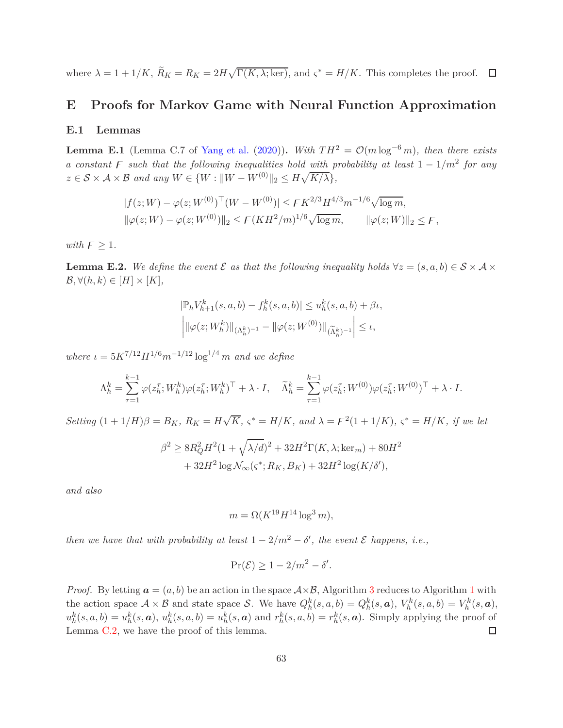where  $\lambda = 1 + 1/K$ ,  $\widetilde{R}_K = R_K = 2H\sqrt{\Gamma(K, \lambda; \ker)}$ , and  $\varsigma^* = H/K$ . This completes the proof.

# **E Proofs for Markov Game with Neural Function Approximation**

#### **E.1 Lemmas**

**Lemma E.1** (Lemma C.7 of [Yang et al.](#page-19-12) [\(2020](#page-19-12))). *With*  $TH^2 = \mathcal{O}(m \log^{-6} m)$ , then there exists *a* constant  $\overline{F}$  such that the following inequalities hold with probability at least 1 − 1/m<sup>2</sup> for any  $z \in \mathcal{S} \times \mathcal{A} \times \mathcal{B}$  and any  $W \in \{W : ||W - W^{(0)}||_2 \leq H\sqrt{K/\lambda}\},$ 

$$
|f(z;W) - \varphi(z;W^{(0)})^{\top}(W - W^{(0)})| \leq FK^{2/3}H^{4/3}m^{-1/6}\sqrt{\log m},
$$
  

$$
\|\varphi(z;W) - \varphi(z;W^{(0)})\|_2 \leq F(KH^2/m)^{1/6}\sqrt{\log m}, \qquad \|\varphi(z;W)\|_2 \leq F,
$$

*with*  $\digamma \geq 1$ *.* 

<span id="page-62-0"></span>**Lemma E.2.** We define the event  $\mathcal E$  as that the following inequality holds  $\forall z = (s, a, b) \in \mathcal S \times \mathcal A \times$  $\mathcal{B}, \forall (h,k) \in [H] \times [K],$ 

$$
|\mathbb{P}_h V_{h+1}^k(s, a, b) - f_h^k(s, a, b)| \le u_h^k(s, a, b) + \beta \iota,
$$
  

$$
\left| \|\varphi(z; W_h^k)\|_{(\Lambda_h^k)^{-1}} - \|\varphi(z; W^{(0)})\|_{(\widetilde{\Lambda}_h^k)^{-1}} \right| \le \iota,
$$

*where*  $\iota = 5K^{7/12}H^{1/6}m^{-1/12}\log^{1/4}m$  *and we define* 

$$
\Lambda_h^k = \sum_{\tau=1}^{k-1} \varphi(z_h^{\tau}; W_h^k) \varphi(z_h^{\tau}; W_h^k)^{\top} + \lambda \cdot I, \quad \tilde{\Lambda}_h^k = \sum_{\tau=1}^{k-1} \varphi(z_h^{\tau}; W^{(0)}) \varphi(z_h^{\tau}; W^{(0)})^{\top} + \lambda \cdot I.
$$

Setting  $(1+1/H)\beta = B_K$ ,  $R_K = H\sqrt{K}$ ,  $\varsigma^* = H/K$ , and  $\lambda = \mathcal{F}^2(1+1/K)$ ,  $\varsigma^* = H/K$ , if we let

$$
\beta^2 \ge 8R_Q^2 H^2 (1 + \sqrt{\lambda/d})^2 + 32H^2 \Gamma(K, \lambda; \ker_m) + 80H^2 + 32H^2 \log \mathcal{N}_{\infty}(\varsigma^*; R_K, B_K) + 32H^2 \log(K/\delta'),
$$

*and also*

$$
m = \Omega(K^{19}H^{14}\log^3 m),
$$

*then we have that with probability at least*  $1 - 2/m^2 - \delta'$ , the event  $\mathcal E$  *happens, i.e.*,

$$
\Pr(\mathcal{E}) \ge 1 - 2/m^2 - \delta'.
$$

*Proof.* By letting  $a = (a, b)$  be an action in the space  $A \times B$ , Algorithm [3](#page-12-0) reduces to Algorithm [1](#page-6-0) with the action space  $A \times B$  and state space S. We have  $Q_h^k(s, a, b) = Q_h^k(s, a), V_h^k(s, a, b) = V_h^k(s, a),$  $u_h^k(s, a, b) = u_h^k(s, a), u_h^k(s, a, b) = u_h^k(s, a)$  and  $r_h^k(s, a, b) = r_h^k(s, a)$ . Simply applying the proof of Lemma [C.2,](#page-38-0) we have the proof of this lemma.  $\Box$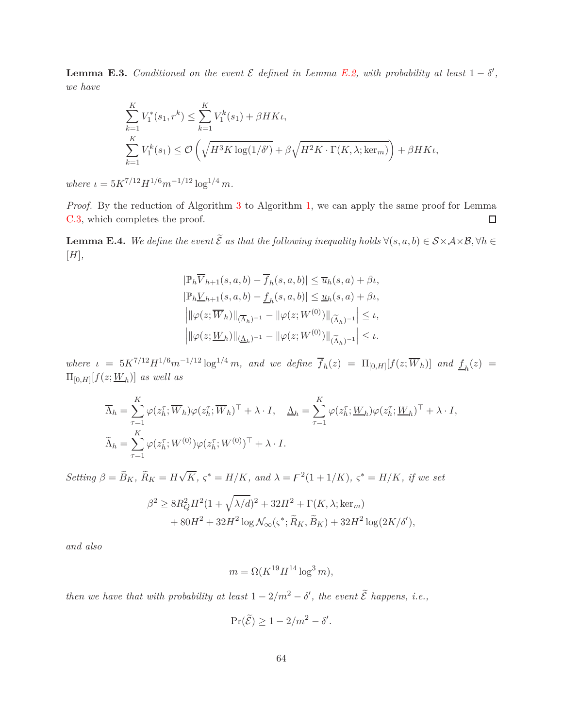<span id="page-63-1"></span>**Lemma E.3.** *Conditioned on the event*  $\mathcal{E}$  *defined in Lemma [E.2,](#page-62-0) with probability at least*  $1 - \delta'$ , *we have*

$$
\sum_{k=1}^{K} V_1^*(s_1, r^k) \le \sum_{k=1}^{K} V_1^k(s_1) + \beta HK_t,
$$
\n
$$
\sum_{k=1}^{K} V_1^k(s_1) \le \mathcal{O}\left(\sqrt{H^3K \log(1/\delta')} + \beta \sqrt{H^2K \cdot \Gamma(K, \lambda; \ker_m)}\right) + \beta HK_t,
$$

*where*  $\iota = 5K^{7/12}H^{1/6}m^{-1/12}\log^{1/4}m$ .

*Proof.* By the reduction of Algorithm [3](#page-12-0) to Algorithm [1,](#page-6-0) we can apply the same proof for Lemma [C.3,](#page-48-0) which completes the proof.  $\Box$ 

<span id="page-63-0"></span>**Lemma E.4.** We define the event  $\widetilde{\mathcal{E}}$  as that the following inequality holds  $\forall (s, a, b) \in \mathcal{S} \times \mathcal{A} \times \mathcal{B}, \forall h \in \mathcal{S}$ [*H*]*,*

$$
\begin{aligned} &\left|\mathbb{P}_h \overline{V}_{h+1}(s,a,b) - \overline{f}_h(s,a,b)\right| \le \overline{u}_h(s,a) + \beta t, \\ &\left|\mathbb{P}_h \underline{V}_{h+1}(s,a,b) - \underline{f}_h(s,a,b)\right| \le \underline{u}_h(s,a) + \beta t, \\ &\left|\left\|\varphi(z;\overline{W}_h)\right\|_{(\overline{\Lambda}_h)^{-1}} - \left\|\varphi(z;W^{(0)})\right\|_{(\widetilde{\Lambda}_h)^{-1}}\right| \le t, \\ &\left|\left\|\varphi(z;\underline{W}_h)\right\|_{(\underline{\Lambda}_h)^{-1}} - \left\|\varphi(z;W^{(0)})\right\|_{(\widetilde{\Lambda}_h)^{-1}}\right| \le t. \end{aligned}
$$

where  $\iota = 5K^{7/12}H^{1/6}m^{-1/12}\log^{1/4} m$ , and we define  $\overline{f}_h(z) = \Pi_{[0,H]}[f(z;\overline{W}_h)]$  and  $\underline{f}_h(z) =$  $\Pi_{[0,H]}[f(z; \underline{W}_h)]$  as well as

$$
\overline{\Lambda}_h = \sum_{\tau=1}^K \varphi(z_h^\tau; \overline{W}_h) \varphi(z_h^\tau; \overline{W}_h)^\top + \lambda \cdot I, \quad \underline{\Lambda}_h = \sum_{\tau=1}^K \varphi(z_h^\tau; \underline{W}_h) \varphi(z_h^\tau; \underline{W}_h)^\top + \lambda \cdot I,
$$
  

$$
\widetilde{\Lambda}_h = \sum_{\tau=1}^K \varphi(z_h^\tau; W^{(0)}) \varphi(z_h^\tau; W^{(0)})^\top + \lambda \cdot I.
$$

 $Setting \beta = \widetilde{B}_K$ *,*  $\widetilde{R}_K = H\sqrt{K}$ *,*  $\varsigma^* = H/K$ *, and*  $\lambda = \digamma^2(1 + 1/K)$ *,*  $\varsigma^* = H/K$ *, if we set* 

$$
\beta^2 \ge 8R_Q^2 H^2 (1 + \sqrt{\lambda/d})^2 + 32H^2 + \Gamma(K, \lambda; \ker_m)
$$
  
+ 80H<sup>2</sup> + 32H<sup>2</sup> log  $\mathcal{N}_{\infty}(\varsigma^*; \widetilde{R}_K, \widetilde{B}_K) + 32H^2 \log(2K/\delta'),$ 

*and also*

$$
m = \Omega(K^{19}H^{14}\log^3 m),
$$

*then we have that with probability at least*  $1 - 2/m^2 - \delta'$ , the event  $\tilde{\mathcal{E}}$  *happens, i.e.*,

$$
\Pr(\widetilde{\mathcal{E}}) \ge 1 - 2/m^2 - \delta'.
$$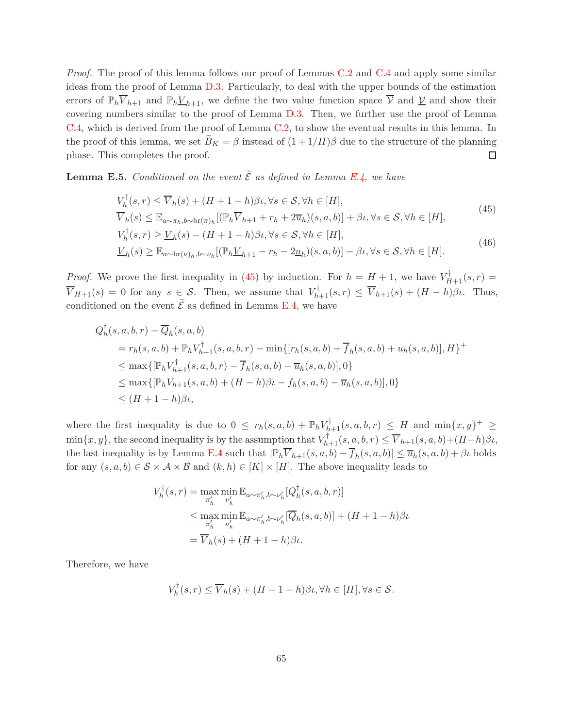*Proof.* The proof of this lemma follows our proof of Lemmas [C.2](#page-38-0) and [C.4](#page-50-0) and apply some similar ideas from the proof of Lemma [D.3.](#page-56-2) Particularly, to deal with the upper bounds of the estimation errors of  $\mathbb{P}_h \overline{V}_{h+1}$  and  $\mathbb{P}_h \underline{V}_{h+1}$ , we define the two value function space  $\overline{V}$  and  $\underline{V}$  and show their covering numbers similar to the proof of Lemma [D.3.](#page-56-2) Then, we further use the proof of Lemma [C.4,](#page-50-0) which is derived from the proof of Lemma [C.2,](#page-38-0) to show the eventual results in this lemma. In the proof of this lemma, we set  $\tilde{B}_K = \beta$  instead of  $(1 + 1/H)\beta$  due to the structure of the planning phase. This completes the proof.  $\Box$ 

<span id="page-64-2"></span>**Lemma E.5.** *Conditioned on the event*  $\widetilde{\mathcal{E}}$  *as defined in Lemma [E.4,](#page-63-0) we have* 

<span id="page-64-0"></span>
$$
V_h^{\dagger}(s,r) \le \overline{V}_h(s) + (H+1-h)\beta\iota, \forall s \in S, \forall h \in [H],
$$
  
\n
$$
\overline{V}_h(s) \le \mathbb{E}_{a \sim \pi_h, b \sim \text{br}(\pi_h)}\left[ (\mathbb{P}_h \overline{V}_{h+1} + r_h + 2\overline{u}_h)(s, a, b) \right] + \beta\iota, \forall s \in S, \forall h \in [H],
$$
\n(45)

<span id="page-64-1"></span>
$$
V_h^{\dagger}(s,r) \ge \underline{V}_h(s) - (H+1-h)\beta_t, \forall s \in S, \forall h \in [H],
$$
  
\n
$$
\underline{V}_h(s) \ge \mathbb{E}_{a \sim \text{br}(\nu)_h, b \sim \nu_h} [(\mathbb{P}_h \underline{V}_{h+1} - r_h - 2\underline{u}_h)(s, a, b)] - \beta_t, \forall s \in S, \forall h \in [H].
$$
\n(46)

*Proof.* We prove the first inequality in [\(45\)](#page-64-0) by induction. For  $h = H + 1$ , we have  $V_{H+1}^{\dagger}(s, r) =$  $\overline{V}_{H+1}(s) = 0$  for any  $s \in \mathcal{S}$ . Then, we assume that  $V_{h+1}^{\dagger}(s,r) \leq \overline{V}_{h+1}(s) + (H-h)\beta\iota$ . Thus, conditioned on the event  $\tilde{\mathcal{E}}$  as defined in Lemma [E.4,](#page-63-0) we have

$$
Q_h^{\dagger}(s, a, b, r) - \overline{Q}_h(s, a, b)
$$
  
=  $r_h(s, a, b) + \mathbb{P}_h V_{h+1}^{\dagger}(s, a, b, r) - \min\{[r_h(s, a, b) + \overline{f}_h(s, a, b) + u_h(s, a, b)], H\}^+$   

$$
\leq \max\{[\mathbb{P}_h V_{h+1}^{\dagger}(s, a, b, r) - \overline{f}_h(s, a, b) - \overline{u}_h(s, a, b)], 0\}
$$
  

$$
\leq \max\{[\mathbb{P}_h V_{h+1}(s, a, b) + (H - h)\beta t - f_h(s, a, b) - \overline{u}_h(s, a, b)], 0\}
$$
  

$$
\leq (H + 1 - h)\beta t,
$$

where the first inequality is due to  $0 \leq r_h(s, a, b) + \mathbb{P}_h V_{h+1}^{\dagger}(s, a, b, r) \leq H$  and  $\min\{x, y\}^+ \geq$  $\min\{x, y\}$ , the second inequality is by the assumption that  $V_{h+1}^{\dagger}(s, a, b, r) \leq \overline{V}_{h+1}(s, a, b) + (H-h)\beta\iota$ , the last inequality is by Lemma [E.4](#page-63-0) such that  $|\mathbb{P}_h \overline{V}_{h+1}(s, a, b) - \overline{f}_h(s, a, b)| \leq \overline{u}_h(s, a, b) + \beta \iota$  holds for any  $(s, a, b) \in \mathcal{S} \times \mathcal{A} \times \mathcal{B}$  and  $(k, h) \in [K] \times [H]$ . The above inequality leads to

$$
V_h^{\dagger}(s,r) = \max_{\pi'_h} \min_{\nu'_h} \mathbb{E}_{a \sim \pi'_h, b \sim \nu'_h} [Q_h^{\dagger}(s, a, b, r)]
$$
  
\n
$$
\leq \max_{\pi'_h} \min_{\nu'_h} \mathbb{E}_{a \sim \pi'_h, b \sim \nu'_h} [\overline{Q}_h(s, a, b)] + (H + 1 - h)\beta \nu
$$
  
\n
$$
= \overline{V}_h(s) + (H + 1 - h)\beta \nu.
$$

Therefore, we have

$$
V_h^{\dagger}(s,r) \le \overline{V}_h(s) + (H+1-h)\beta t, \forall h \in [H], \forall s \in \mathcal{S}.
$$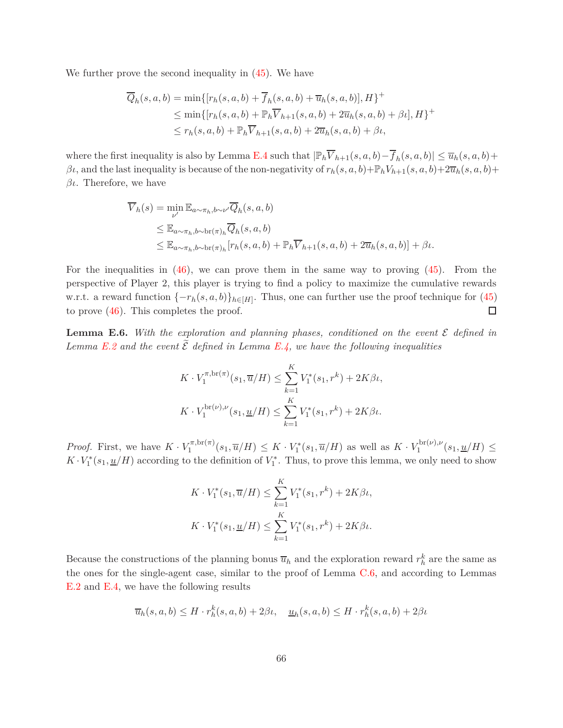We further prove the second inequality in [\(45\)](#page-64-0). We have

$$
\overline{Q}_h(s, a, b) = \min\{ [r_h(s, a, b) + \overline{f}_h(s, a, b) + \overline{u}_h(s, a, b)], H \}^+ \leq \min\{ [r_h(s, a, b) + \mathbb{P}_h \overline{V}_{h+1}(s, a, b) + 2\overline{u}_h(s, a, b) + \beta \iota], H \}^+ \leq r_h(s, a, b) + \mathbb{P}_h \overline{V}_{h+1}(s, a, b) + 2\overline{u}_h(s, a, b) + \beta \iota,
$$

where the first inequality is also by Lemma [E.4](#page-63-0) such that  $|\mathbb{P}_h \overline{V}_{h+1}(s, a, b) - \overline{f}_h(s, a, b)| \leq \overline{u}_h(s, a, b) +$ *βι*, and the last inequality is because of the non-negativity of  $r_h(s, a, b) + P_h V_{h+1}(s, a, b) + 2\overline{u}_h(s, a, b) +$ *βι*. Therefore, we have

$$
\overline{V}_h(s) = \min_{\nu'} \mathbb{E}_{a \sim \pi_h, b \sim \nu'} \overline{Q}_h(s, a, b)
$$
\n
$$
\leq \mathbb{E}_{a \sim \pi_h, b \sim \text{br}(\pi)_h} \overline{Q}_h(s, a, b)
$$
\n
$$
\leq \mathbb{E}_{a \sim \pi_h, b \sim \text{br}(\pi)_h} [r_h(s, a, b) + \mathbb{P}_h \overline{V}_{h+1}(s, a, b) + 2\overline{u}_h(s, a, b)] + \beta \iota.
$$

For the inequalities in  $(46)$ , we can prove them in the same way to proving  $(45)$ . From the perspective of Player 2, this player is trying to find a policy to maximize the cumulative rewards w.r.t. a reward function  $\{-r_h(s, a, b)\}_{h \in [H]}$ . Thus, one can further use the proof technique for [\(45\)](#page-64-0)  $\Box$ to prove [\(46\)](#page-64-1). This completes the proof.

<span id="page-65-0"></span>**Lemma E.6.** With the exploration and planning phases, conditioned on the event  $\mathcal{E}$  defined in *Lemma [E.2](#page-62-0) and the event*  $\tilde{\mathcal{E}}$  *defined in Lemma [E.4,](#page-63-0) we have the following inequalities* 

$$
K \cdot V_1^{\pi, \text{br}(\pi)}(s_1, \overline{u}/H) \le \sum_{k=1}^K V_1^*(s_1, r^k) + 2K\beta \iota,
$$
  

$$
K \cdot V_1^{\text{br}(\nu), \nu}(s_1, \underline{u}/H) \le \sum_{k=1}^K V_1^*(s_1, r^k) + 2K\beta \iota.
$$

*Proof.* First, we have  $K \cdot V_1^{\pi, \text{br}(\pi)}$  $\frac{\partial f}{\partial t}(s_1, \overline{u}/H) \leq K \cdot V_1^*(s_1, \overline{u}/H)$  as well as  $K \cdot V_1^{\text{br}(\nu), \nu}$  $\frac{\partial}{\partial 1}$ <sup>ton</sup>( $s_1, \underline{u}/H$ )  $\leq$  $K \cdot V_1^*(s_1, \underline{u}/H)$  according to the definition of  $V_1^*$ . Thus, to prove this lemma, we only need to show

$$
K \cdot V_1^*(s_1, \overline{u}/H) \le \sum_{k=1}^K V_1^*(s_1, r^k) + 2K\beta \iota,
$$
  

$$
K \cdot V_1^*(s_1, \underline{u}/H) \le \sum_{k=1}^K V_1^*(s_1, r^k) + 2K\beta \iota.
$$

Because the constructions of the planning bonus  $\overline{u}_h$  and the exploration reward  $r_h^k$  are the same as the ones for the single-agent case, similar to the proof of Lemma [C.6,](#page-52-0) and according to Lemmas [E.2](#page-62-0) and [E.4,](#page-63-0) we have the following results

$$
\overline{u}_h(s, a, b) \le H \cdot r_h^k(s, a, b) + 2\beta \iota, \quad \underline{u}_h(s, a, b) \le H \cdot r_h^k(s, a, b) + 2\beta \iota
$$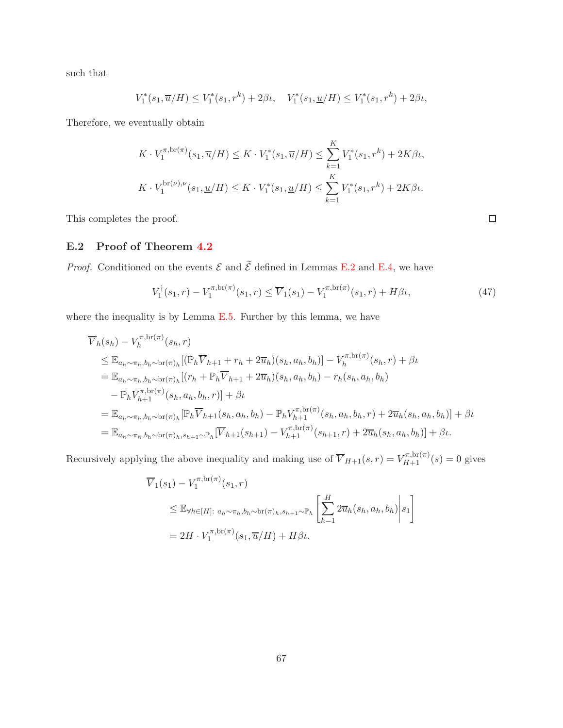such that

$$
V_1^*(s_1, \overline{u}/H) \le V_1^*(s_1, r^k) + 2\beta \iota, \quad V_1^*(s_1, \underline{u}/H) \le V_1^*(s_1, r^k) + 2\beta \iota,
$$

Therefore, we eventually obtain

$$
K \cdot V_1^{\pi, \text{br}(\pi)}(s_1, \overline{u}/H) \le K \cdot V_1^*(s_1, \overline{u}/H) \le \sum_{k=1}^K V_1^*(s_1, r^k) + 2K\beta\iota,
$$
  

$$
K \cdot V_1^{\text{br}(\nu), \nu}(s_1, \underline{u}/H) \le K \cdot V_1^*(s_1, \underline{u}/H) \le \sum_{k=1}^K V_1^*(s_1, r^k) + 2K\beta\iota.
$$

<span id="page-66-0"></span>This completes the proof.

### **E.2 Proof of Theorem [4.2](#page-14-2)**

*Proof.* Conditioned on the events  $\mathcal{E}$  and  $\widetilde{\mathcal{E}}$  defined in Lemmas [E.2](#page-62-0) and [E.4,](#page-63-0) we have

$$
V_1^{\dagger}(s_1,r) - V_1^{\pi,\text{br}(\pi)}(s_1,r) \le \overline{V}_1(s_1) - V_1^{\pi,\text{br}(\pi)}(s_1,r) + H\beta\iota,\tag{47}
$$

where the inequality is by Lemma  $E.5$ . Further by this lemma, we have

$$
\overline{V}_{h}(s_{h}) - V_{h}^{\pi, \text{br}(\pi)}(s_{h}, r)
$$
\n
$$
\leq \mathbb{E}_{a_{h} \sim \pi_{h}, b_{h} \sim \text{br}(\pi)_{h}} [(\mathbb{P}_{h} \overline{V}_{h+1} + r_{h} + 2\overline{u}_{h})(s_{h}, a_{h}, b_{h})] - V_{h}^{\pi, \text{br}(\pi)}(s_{h}, r) + \beta t
$$
\n
$$
= \mathbb{E}_{a_{h} \sim \pi_{h}, b_{h} \sim \text{br}(\pi)_{h}} [(r_{h} + \mathbb{P}_{h} \overline{V}_{h+1} + 2\overline{u}_{h})(s_{h}, a_{h}, b_{h}) - r_{h}(s_{h}, a_{h}, b_{h})
$$
\n
$$
- \mathbb{P}_{h} V_{h+1}^{\pi, \text{br}(\pi)}(s_{h}, a_{h}, b_{h}, r)] + \beta t
$$
\n
$$
= \mathbb{E}_{a_{h} \sim \pi_{h}, b_{h} \sim \text{br}(\pi)_{h}} [\mathbb{P}_{h} \overline{V}_{h+1}(s_{h}, a_{h}, b_{h}) - \mathbb{P}_{h} V_{h+1}^{\pi, \text{br}(\pi)}(s_{h}, a_{h}, b_{h}, r) + 2\overline{u}_{h}(s_{h}, a_{h}, b_{h})] + \beta t
$$
\n
$$
= \mathbb{E}_{a_{h} \sim \pi_{h}, b_{h} \sim \text{br}(\pi)_{h}, s_{h+1} \sim \mathbb{P}_{h}} [\overline{V}_{h+1}(s_{h+1}) - V_{h+1}^{\pi, \text{br}(\pi)}(s_{h+1}, r) + 2\overline{u}_{h}(s_{h}, a_{h}, b_{h})] + \beta t.
$$

Recursively applying the above inequality and making use of  $\overline{V}_{H+1}(s,r) = V_{H+1}^{\pi,\text{br}(\pi)}(s) = 0$  gives

$$
\overline{V}_1(s_1) - V_1^{\pi, \text{br}(\pi)}(s_1, r)
$$
\n
$$
\leq \mathbb{E}_{\forall h \in [H]: a_h \sim \pi_h, b_h \sim \text{br}(\pi)_h, s_{h+1} \sim \mathbb{P}_h} \left[ \sum_{h=1}^H 2\overline{u}_h(s_h, a_h, b_h) \middle| s_1 \right]
$$
\n
$$
= 2H \cdot V_1^{\pi, \text{br}(\pi)}(s_1, \overline{u}/H) + H\beta \iota.
$$

<span id="page-66-1"></span> $\Box$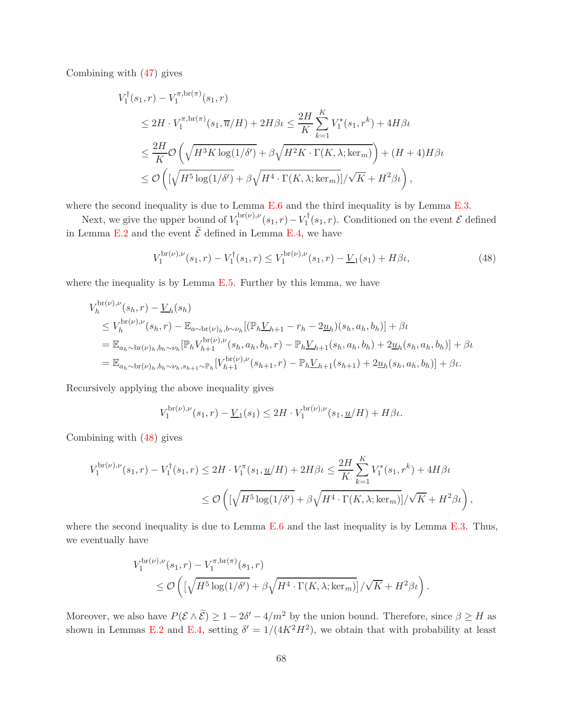Combining with [\(47\)](#page-66-1) gives

$$
V_1^{\dagger}(s_1, r) - V_1^{\pi, br(\pi)}(s_1, r)
$$
  
\n
$$
\leq 2H \cdot V_1^{\pi, br(\pi)}(s_1, \overline{u}/H) + 2H\beta \iota \leq \frac{2H}{K} \sum_{k=1}^{K} V_1^*(s_1, r^k) + 4H\beta \iota
$$
  
\n
$$
\leq \frac{2H}{K} \mathcal{O}\left(\sqrt{H^3 K \log(1/\delta')} + \beta \sqrt{H^2 K \cdot \Gamma(K, \lambda; \ker_m)}\right) + (H + 4)H\beta \iota
$$
  
\n
$$
\leq \mathcal{O}\left(\left[\sqrt{H^5 \log(1/\delta')} + \beta \sqrt{H^4 \cdot \Gamma(K, \lambda; \ker_m)}\right] / \sqrt{K} + H^2 \beta \iota\right),
$$

where the second inequality is due to Lemma [E.6](#page-65-0) and the third inequality is by Lemma [E.3.](#page-63-1)

Next, we give the upper bound of  $V_1^{\text{br}(\nu),\nu}$  $\int_1^{\text{for}(v),v}(s_1,r)-V_1^{\dagger}(s_1,r)$ . Conditioned on the event  $\mathcal{E}$  defined in Lemma [E.2](#page-62-0) and the event  $\mathcal E$  defined in Lemma [E.4,](#page-63-0) we have

<span id="page-67-0"></span>
$$
V_1^{\text{br}(\nu),\nu}(s_1,r) - V_1^{\dagger}(s_1,r) \le V_1^{\text{br}(\nu),\nu}(s_1,r) - \underline{V}_1(s_1) + H\beta\iota,\tag{48}
$$

where the inequality is by Lemma  $E.5$ . Further by this lemma, we have

$$
V_h^{\text{br}(\nu),\nu}(s_h,r) - \underline{V}_h(s_h)
$$
  
\n
$$
\leq V_h^{\text{br}(\nu),\nu}(s_h,r) - \mathbb{E}_{a \sim \text{br}(\nu)_h,b \sim \nu_h}[(\mathbb{P}_h \underline{V}_{h+1} - r_h - 2\underline{u}_h)(s_h, a_h, b_h)] + \beta \iota
$$
  
\n
$$
= \mathbb{E}_{a_h \sim \text{br}(\nu)_h,b_h \sim \nu_h}[\mathbb{P}_h \underline{V}_{h+1}^{\text{br}(\nu),\nu}(s_h, a_h, b_h, r) - \mathbb{P}_h \underline{V}_{h+1}(s_h, a_h, b_h) + 2\underline{u}_h(s_h, a_h, b_h)] + \beta \iota
$$
  
\n
$$
= \mathbb{E}_{a_h \sim \text{br}(\nu)_h,b_h \sim \nu_h,s_{h+1} \sim \mathbb{P}_h}[\underline{V}_{h+1}^{\text{br}(\nu),\nu}(s_{h+1},r) - \mathbb{P}_h \underline{V}_{h+1}(s_{h+1}) + 2\underline{u}_h(s_h, a_h, b_h)] + \beta \iota.
$$

Recursively applying the above inequality gives

$$
V_1^{\text{br}(\nu),\nu}(s_1,r) - \underline{V}_1(s_1) \le 2H \cdot V_1^{\text{br}(\nu),\nu}(s_1,\underline{u}/H) + H\beta\iota.
$$

Combining with [\(48\)](#page-67-0) gives

$$
V_1^{\text{br}(\nu),\nu}(s_1,r) - V_1^{\dagger}(s_1,r) \le 2H \cdot V_1^{\pi}(s_1,\underline{u}/H) + 2H\beta t \le \frac{2H}{K} \sum_{k=1}^K V_1^*(s_1,r^k) + 4H\beta t
$$
  

$$
\le \mathcal{O}\left( \left[ \sqrt{H^5 \log(1/\delta')} + \beta \sqrt{H^4 \cdot \Gamma(K,\lambda;\text{ker}_m)} \right] / \sqrt{K} + H^2 \beta t \right),
$$

where the second inequality is due to Lemma  $E.6$  and the last inequality is by Lemma  $E.3$ . Thus, we eventually have

$$
V_1^{\text{br}(\nu),\nu}(s_1,r) - V_1^{\pi,\text{br}(\pi)}(s_1,r)
$$
  
\$\leq \mathcal{O}\left(\left[\sqrt{H^5\log(1/\delta')} + \beta\sqrt{H^4\cdot\Gamma(K,\lambda;\text{ker}\_m)}\right]/\sqrt{K} + H^2\beta\iota\right).

Moreover, we also have  $P(\mathcal{E} \wedge \tilde{\mathcal{E}}) \geq 1 - 2\delta' - 4/m^2$  by the union bound. Therefore, since  $\beta \geq H$  as shown in Lemmas [E.2](#page-62-0) and [E.4,](#page-63-0) setting  $\delta' = 1/(4K^2H^2)$ , we obtain that with probability at least